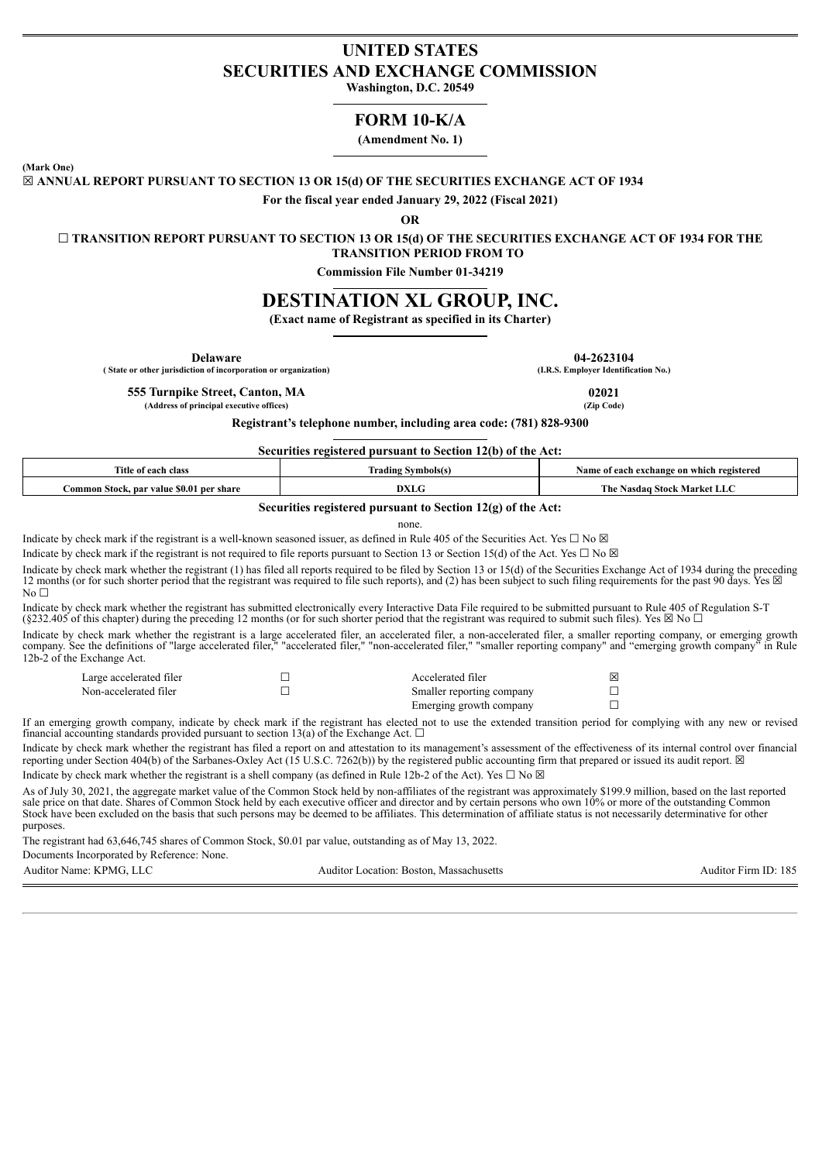# **UNITED STATES SECURITIES AND EXCHANGE COMMISSION**

**Washington, D.C. 20549**

## **FORM 10-K/A**

**(Amendment No. 1)**

**(Mark One)**

☒ **ANNUAL REPORT PURSUANT TO SECTION 13 OR 15(d) OF THE SECURITIES EXCHANGE ACT OF 1934**

**For the fiscal year ended January 29, 2022 (Fiscal 2021)**

**OR**

☐ **TRANSITION REPORT PURSUANT TO SECTION 13 OR 15(d) OF THE SECURITIES EXCHANGE ACT OF 1934 FOR THE**

**TRANSITION PERIOD FROM TO**

**Commission File Number 01-34219**

# **DESTINATION XL GROUP, INC.**

**(Exact name of Registrant as specified in its Charter)**

**Delaware 04-2623104**<br> **18.8** Employer Identification No. **18.8** Employer Identification No. **( State or other jurisdiction of incorporation or organization) (I.R.S. Employer Identification No.)**

**555 Turnpike Street, Canton, MA 02021**

**Registrant's telephone number, including area code: (781) 828-9300**

**Securities registered pursuant to Section 12(b) of the Act:**

| Title of each class                                     | --<br>rading<br>Symbolsts | e on which registered<br>each exchange<br>Name ot |  |  |  |
|---------------------------------------------------------|---------------------------|---------------------------------------------------|--|--|--|
| Common Stock. par value \$0.01<br><b>share</b><br>ner . | DXL.                      | The<br>- Stock Market<br>lasdao                   |  |  |  |

## **Securities registered pursuant to Section 12(g) of the Act:**

none.

Indicate by check mark if the registrant is a well-known seasoned issuer, as defined in Rule 405 of the Securities Act. Yes  $\Box$  No  $\boxtimes$ 

Indicate by check mark if the registrant is not required to file reports pursuant to Section 13 or Section 15(d) of the Act. Yes  $\Box$  No  $\boxtimes$ 

Indicate by check mark whether the registrant (1) has filed all reports required to be filed by Section 13 or 15(d) of the Securities Exchange Act of 1934 during the preceding 12 months (or for such shorter period that the registrant was required to file such reports), and (2) has been subject to such filing requirements for the past 90 days. Yes ⊠ No  $\Box$ 

Indicate by check mark whether the registrant has submitted electronically every Interactive Data File required to be submitted pursuant to Rule 405 of Regulation S-T (§232.405 of this chapter) during the preceding 12 months (or for such shorter period that the registrant was required to submit such files). Yes  $\boxtimes$  No  $\Box$ 

Indicate by check mark whether the registrant is a large accelerated filer, an accelerated filer, a non-accelerated filer, a smaller reporting company, or emerging growth company or emerging growth company or emerging grow "accelerated filer," "non-accelerated filer," "smaller reporting company" and "emerging growth company 12b-2 of the Exchange Act.

| Large accelerated filer | Accelerated filer         | 区 |
|-------------------------|---------------------------|---|
| Non-accelerated filer   | Smaller reporting company |   |
|                         | Emerging growth company   |   |

If an emerging growth company, indicate by check mark if the registrant has elected not to use the extended transition period for complying with any new or revised financial accounting standards provided pursuant to section 13(a) of the Exchange Act.  $\Box$ 

Indicate by check mark whether the registrant has filed a report on and attestation to its management's assessment of the effectiveness of its internal control over financial reporting under Section 404(b) of the Sarbanes-Oxley Act (15 U.S.C. 7262(b)) by the registered public accounting firm that prepared or issued its audit report.  $\boxtimes$ Indicate by check mark whether the registrant is a shell company (as defined in Rule 12b-2 of the Act). Yes  $\Box$  No  $\boxtimes$ 

As of July 30, 2021, the aggregate market value of the Common Stock held by non-affiliates of the registrant was approximately \$199.9 million, based on the last reported sale price on that date. Shares of Common Stock held by each executive officer and director and by certain persons who own 10% or more of the outstanding Common Stock have been excluded on the basis that such persons may be deemed to be affiliates. This determination of affiliate status is not necessarily determinative for other purposes.

The registrant had 63,646,745 shares of Common Stock, \$0.01 par value, outstanding as of May 13, 2022.

Documents Incorporated by Reference: None.

Auditor Name: KPMG, LLC Auditor Cocation: Boston, Massachusetts Auditor Location: Boston, Massachusetts Auditor Firm ID: 185

**(Address of principal executive offices) (Zip Code)**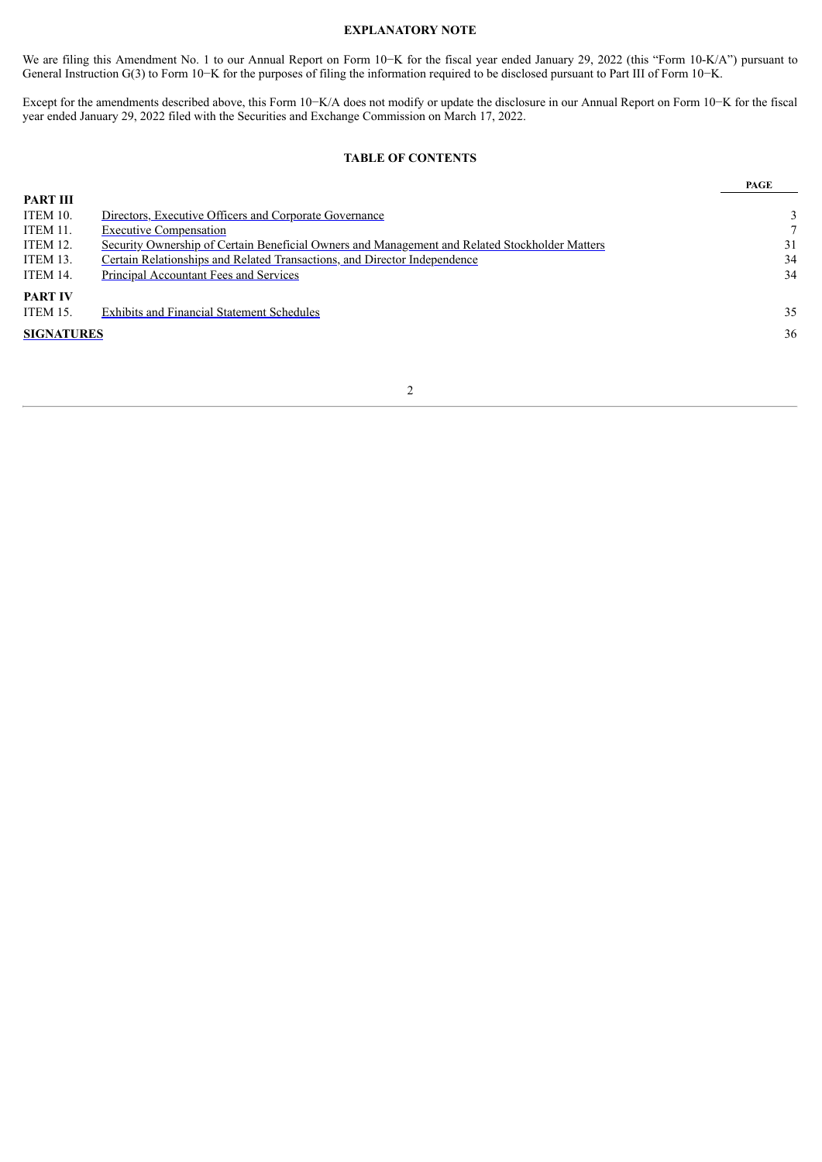## **EXPLANATORY NOTE**

We are filing this Amendment No. 1 to our Annual Report on Form 10−K for the fiscal year ended January 29, 2022 (this "Form 10-K/A") pursuant to General Instruction G(3) to Form 10−K for the purposes of filing the information required to be disclosed pursuant to Part III of Form 10−K.

Except for the amendments described above, this Form 10−K/A does not modify or update the disclosure in our Annual Report on Form 10−K for the fiscal year ended January 29, 2022 filed with the Securities and Exchange Commission on March 17, 2022.

## **TABLE OF CONTENTS**

**PAGE**

| 3  |
|----|
|    |
| 31 |
| 34 |
| 34 |
|    |
| 35 |
| 36 |
|    |
|    |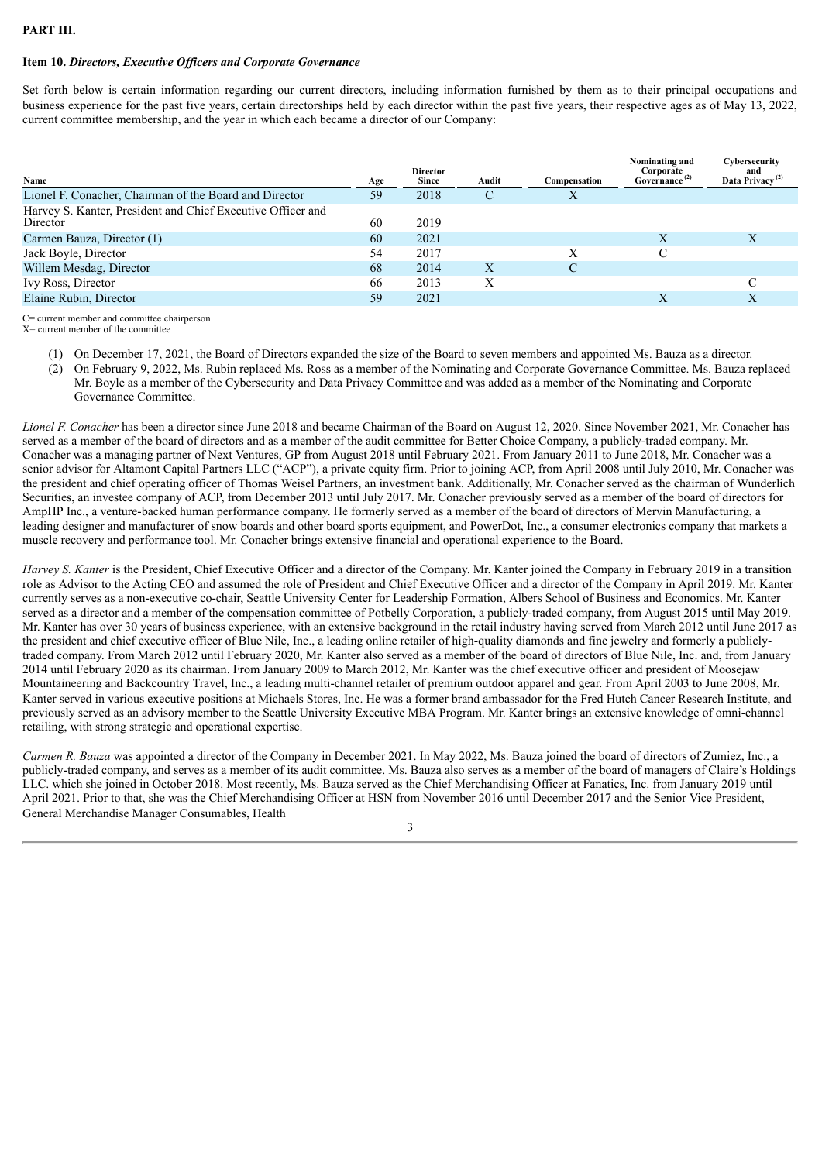## **PART III.**

## <span id="page-2-0"></span>**Item 10.** *Directors, Executive Of icers and Corporate Governance*

Set forth below is certain information regarding our current directors, including information furnished by them as to their principal occupations and business experience for the past five years, certain directorships held by each director within the past five years, their respective ages as of May 13, 2022, current committee membership, and the year in which each became a director of our Company:

| Name                                                                    | Age | <b>Director</b><br><b>Since</b> | Audit | Compensation | Nominating and<br>Corporate<br>Governance <sup>(2)</sup> | Cybersecurity<br>and<br>Data Privacy <sup>(2)</sup> |
|-------------------------------------------------------------------------|-----|---------------------------------|-------|--------------|----------------------------------------------------------|-----------------------------------------------------|
| Lionel F. Conacher, Chairman of the Board and Director                  | 59  | 2018                            | С     | X            |                                                          |                                                     |
| Harvey S. Kanter, President and Chief Executive Officer and<br>Director | 60  | 2019                            |       |              |                                                          |                                                     |
| Carmen Bauza, Director (1)                                              | 60  | 2021                            |       |              | X                                                        | Х                                                   |
| Jack Boyle, Director                                                    | 54  | 2017                            |       |              |                                                          |                                                     |
| Willem Mesdag, Director                                                 | 68  | 2014                            | X     |              |                                                          |                                                     |
| Ivy Ross, Director                                                      | 66  | 2013                            |       |              |                                                          |                                                     |
| Elaine Rubin, Director                                                  | 59  | 2021                            |       |              | X                                                        | X                                                   |

C= current member and committee chairperson X= current member of the committee

- (1) On December 17, 2021, the Board of Directors expanded the size of the Board to seven members and appointed Ms. Bauza as a director.
- (2) On February 9, 2022, Ms. Rubin replaced Ms. Ross as a member of the Nominating and Corporate Governance Committee. Ms. Bauza replaced Mr. Boyle as a member of the Cybersecurity and Data Privacy Committee and was added as a member of the Nominating and Corporate Governance Committee.

*Lionel F. Conacher* has been a director since June 2018 and became Chairman of the Board on August 12, 2020. Since November 2021, Mr. Conacher has served as a member of the board of directors and as a member of the audit committee for Better Choice Company, a publicly-traded company. Mr. Conacher was a managing partner of Next Ventures, GP from August 2018 until February 2021. From January 2011 to June 2018, Mr. Conacher was a senior advisor for Altamont Capital Partners LLC ("ACP"), a private equity firm. Prior to joining ACP, from April 2008 until July 2010, Mr. Conacher was the president and chief operating officer of Thomas Weisel Partners, an investment bank. Additionally, Mr. Conacher served as the chairman of Wunderlich Securities, an investee company of ACP, from December 2013 until July 2017. Mr. Conacher previously served as a member of the board of directors for AmpHP Inc., a venture-backed human performance company. He formerly served as a member of the board of directors of Mervin Manufacturing, a leading designer and manufacturer of snow boards and other board sports equipment, and PowerDot, Inc., a consumer electronics company that markets a muscle recovery and performance tool. Mr. Conacher brings extensive financial and operational experience to the Board.

*Harvey S. Kanter* is the President, Chief Executive Officer and a director of the Company. Mr. Kanter joined the Company in February 2019 in a transition role as Advisor to the Acting CEO and assumed the role of President and Chief Executive Officer and a director of the Company in April 2019. Mr. Kanter currently serves as a non-executive co-chair, Seattle University Center for Leadership Formation, Albers School of Business and Economics. Mr. Kanter served as a director and a member of the compensation committee of Potbelly Corporation, a publicly-traded company, from August 2015 until May 2019. Mr. Kanter has over 30 years of business experience, with an extensive background in the retail industry having served from March 2012 until June 2017 as the president and chief executive officer of Blue Nile, Inc., a leading online retailer of high-quality diamonds and fine jewelry and formerly a publiclytraded company. From March 2012 until February 2020, Mr. Kanter also served as a member of the board of directors of Blue Nile, Inc. and, from January 2014 until February 2020 as its chairman. From January 2009 to March 2012, Mr. Kanter was the chief executive officer and president of Moosejaw Mountaineering and Backcountry Travel, Inc., a leading multi-channel retailer of premium outdoor apparel and gear. From April 2003 to June 2008, Mr. Kanter served in various executive positions at Michaels Stores, Inc. He was a former brand ambassador for the Fred Hutch Cancer Research Institute, and previously served as an advisory member to the Seattle University Executive MBA Program. Mr. Kanter brings an extensive knowledge of omni-channel retailing, with strong strategic and operational expertise.

*Carmen R. Bauza* was appointed a director of the Company in December 2021. In May 2022, Ms. Bauza joined the board of directors of Zumiez, Inc., a publicly-traded company, and serves as a member of its audit committee. Ms. Bauza also serves as a member of the board of managers of Claire's Holdings LLC. which she joined in October 2018. Most recently, Ms. Bauza served as the Chief Merchandising Officer at Fanatics, Inc. from January 2019 until April 2021. Prior to that, she was the Chief Merchandising Officer at HSN from November 2016 until December 2017 and the Senior Vice President, General Merchandise Manager Consumables, Health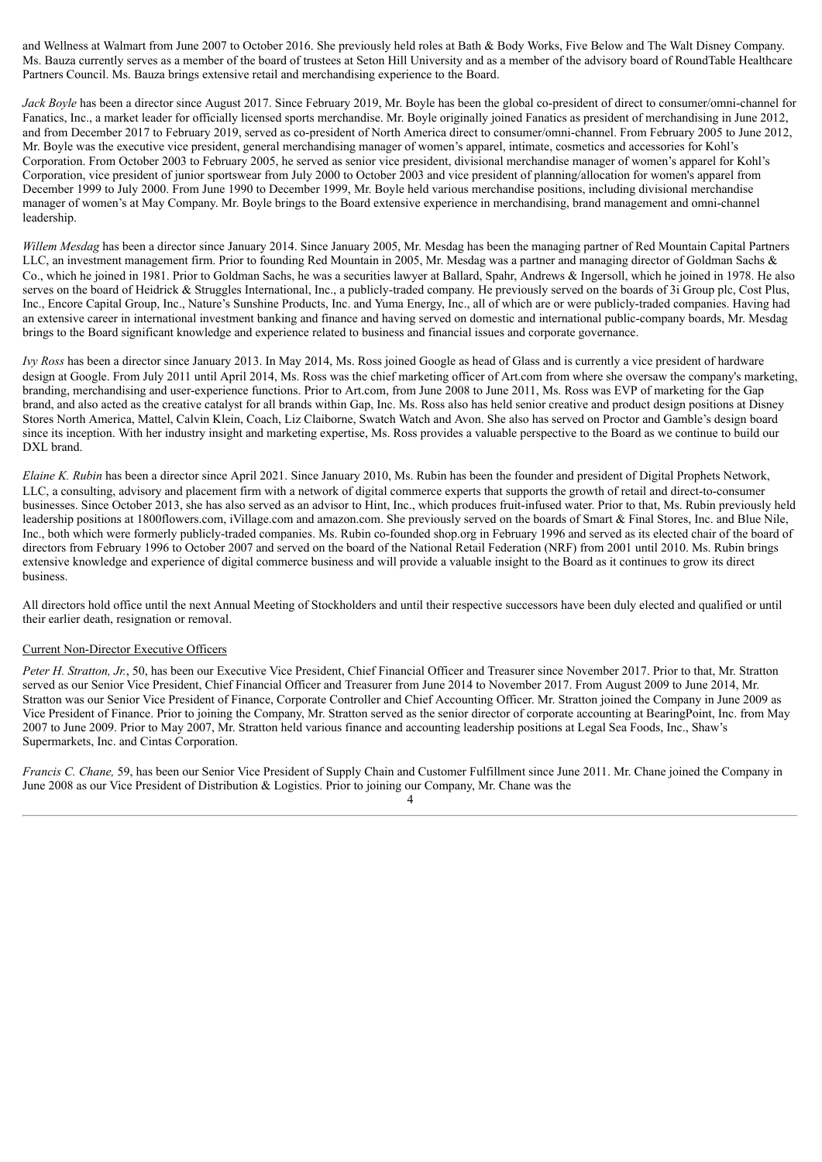and Wellness at Walmart from June 2007 to October 2016. She previously held roles at Bath & Body Works, Five Below and The Walt Disney Company. Ms. Bauza currently serves as a member of the board of trustees at Seton Hill University and as a member of the advisory board of RoundTable Healthcare Partners Council. Ms. Bauza brings extensive retail and merchandising experience to the Board.

*Jack Boyle* has been a director since August 2017. Since February 2019, Mr. Boyle has been the global co-president of direct to consumer/omni-channel for Fanatics, Inc., a market leader for officially licensed sports merchandise. Mr. Boyle originally joined Fanatics as president of merchandising in June 2012, and from December 2017 to February 2019, served as co-president of North America direct to consumer/omni-channel. From February 2005 to June 2012, Mr. Boyle was the executive vice president, general merchandising manager of women's apparel, intimate, cosmetics and accessories for Kohl's Corporation. From October 2003 to February 2005, he served as senior vice president, divisional merchandise manager of women's apparel for Kohl's Corporation, vice president of junior sportswear from July 2000 to October 2003 and vice president of planning/allocation for women's apparel from December 1999 to July 2000. From June 1990 to December 1999, Mr. Boyle held various merchandise positions, including divisional merchandise manager of women's at May Company. Mr. Boyle brings to the Board extensive experience in merchandising, brand management and omni-channel leadership.

*Willem Mesdag* has been a director since January 2014. Since January 2005, Mr. Mesdag has been the managing partner of Red Mountain Capital Partners LLC, an investment management firm. Prior to founding Red Mountain in 2005, Mr. Mesdag was a partner and managing director of Goldman Sachs & Co., which he joined in 1981. Prior to Goldman Sachs, he was a securities lawyer at Ballard, Spahr, Andrews & Ingersoll, which he joined in 1978. He also serves on the board of Heidrick & Struggles International, Inc., a publicly-traded company. He previously served on the boards of 3i Group plc, Cost Plus, Inc., Encore Capital Group, Inc., Nature's Sunshine Products, Inc. and Yuma Energy, Inc., all of which are or were publicly-traded companies. Having had an extensive career in international investment banking and finance and having served on domestic and international public-company boards, Mr. Mesdag brings to the Board significant knowledge and experience related to business and financial issues and corporate governance.

*Ivy Ross* has been a director since January 2013. In May 2014, Ms. Ross joined Google as head of Glass and is currently a vice president of hardware design at Google. From July 2011 until April 2014, Ms. Ross was the chief marketing officer of Art.com from where she oversaw the company's marketing, branding, merchandising and user-experience functions. Prior to Art.com, from June 2008 to June 2011, Ms. Ross was EVP of marketing for the Gap brand, and also acted as the creative catalyst for all brands within Gap, Inc. Ms. Ross also has held senior creative and product design positions at Disney Stores North America, Mattel, Calvin Klein, Coach, Liz Claiborne, Swatch Watch and Avon. She also has served on Proctor and Gamble's design board since its inception. With her industry insight and marketing expertise, Ms. Ross provides a valuable perspective to the Board as we continue to build our DXL brand.

*Elaine K. Rubin* has been a director since April 2021. Since January 2010, Ms. Rubin has been the founder and president of Digital Prophets Network, LLC, a consulting, advisory and placement firm with a network of digital commerce experts that supports the growth of retail and direct-to-consumer businesses. Since October 2013, she has also served as an advisor to Hint, Inc., which produces fruit-infused water. Prior to that, Ms. Rubin previously held leadership positions at 1800flowers.com, iVillage.com and amazon.com. She previously served on the boards of Smart & Final Stores, Inc. and Blue Nile, Inc., both which were formerly publicly-traded companies. Ms. Rubin co-founded shop.org in February 1996 and served as its elected chair of the board of directors from February 1996 to October 2007 and served on the board of the National Retail Federation (NRF) from 2001 until 2010. Ms. Rubin brings extensive knowledge and experience of digital commerce business and will provide a valuable insight to the Board as it continues to grow its direct business.

All directors hold office until the next Annual Meeting of Stockholders and until their respective successors have been duly elected and qualified or until their earlier death, resignation or removal.

## Current Non-Director Executive Officers

*Peter H. Stratton, Jr.*, 50, has been our Executive Vice President, Chief Financial Officer and Treasurer since November 2017. Prior to that, Mr. Stratton served as our Senior Vice President, Chief Financial Officer and Treasurer from June 2014 to November 2017. From August 2009 to June 2014, Mr. Stratton was our Senior Vice President of Finance, Corporate Controller and Chief Accounting Officer. Mr. Stratton joined the Company in June 2009 as Vice President of Finance. Prior to joining the Company, Mr. Stratton served as the senior director of corporate accounting at BearingPoint, Inc. from May 2007 to June 2009. Prior to May 2007, Mr. Stratton held various finance and accounting leadership positions at Legal Sea Foods, Inc., Shaw's Supermarkets, Inc. and Cintas Corporation.

*Francis C. Chane,* 59, has been our Senior Vice President of Supply Chain and Customer Fulfillment since June 2011. Mr. Chane joined the Company in June 2008 as our Vice President of Distribution & Logistics. Prior to joining our Company, Mr. Chane was the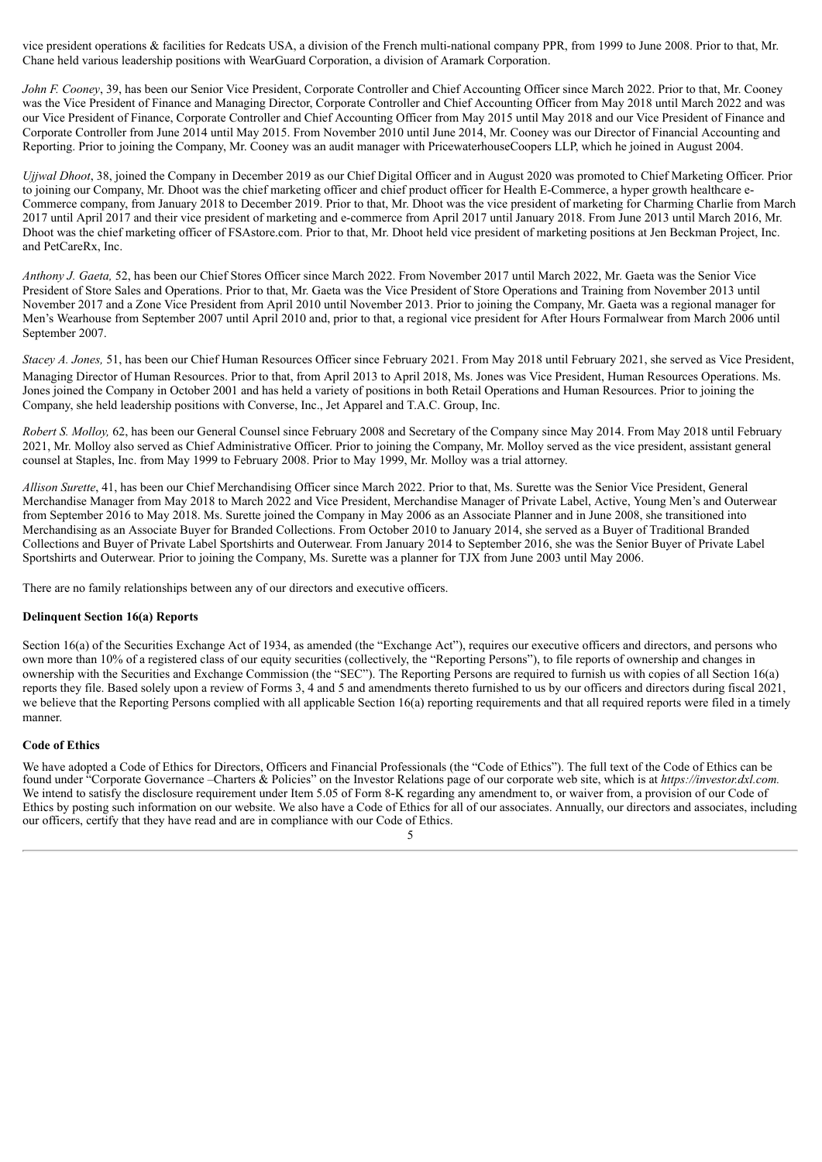vice president operations & facilities for Redcats USA, a division of the French multi-national company PPR, from 1999 to June 2008. Prior to that, Mr. Chane held various leadership positions with WearGuard Corporation, a division of Aramark Corporation.

*John F. Cooney*, 39, has been our Senior Vice President, Corporate Controller and Chief Accounting Officer since March 2022. Prior to that, Mr. Cooney was the Vice President of Finance and Managing Director, Corporate Controller and Chief Accounting Officer from May 2018 until March 2022 and was our Vice President of Finance, Corporate Controller and Chief Accounting Officer from May 2015 until May 2018 and our Vice President of Finance and Corporate Controller from June 2014 until May 2015. From November 2010 until June 2014, Mr. Cooney was our Director of Financial Accounting and Reporting. Prior to joining the Company, Mr. Cooney was an audit manager with PricewaterhouseCoopers LLP, which he joined in August 2004.

*Ujjwal Dhoot*, 38, joined the Company in December 2019 as our Chief Digital Officer and in August 2020 was promoted to Chief Marketing Officer. Prior to joining our Company, Mr. Dhoot was the chief marketing officer and chief product officer for Health E-Commerce, a hyper growth healthcare e-Commerce company, from January 2018 to December 2019. Prior to that, Mr. Dhoot was the vice president of marketing for Charming Charlie from March 2017 until April 2017 and their vice president of marketing and e-commerce from April 2017 until January 2018. From June 2013 until March 2016, Mr. Dhoot was the chief marketing officer of FSAstore.com. Prior to that, Mr. Dhoot held vice president of marketing positions at Jen Beckman Project, Inc. and PetCareRx, Inc.

*Anthony J. Gaeta,* 52, has been our Chief Stores Officer since March 2022. From November 2017 until March 2022, Mr. Gaeta was the Senior Vice President of Store Sales and Operations. Prior to that, Mr. Gaeta was the Vice President of Store Operations and Training from November 2013 until November 2017 and a Zone Vice President from April 2010 until November 2013. Prior to joining the Company, Mr. Gaeta was a regional manager for Men's Wearhouse from September 2007 until April 2010 and, prior to that, a regional vice president for After Hours Formalwear from March 2006 until September 2007.

*Stacey A. Jones,* 51, has been our Chief Human Resources Officer since February 2021. From May 2018 until February 2021, she served as Vice President, Managing Director of Human Resources. Prior to that, from April 2013 to April 2018, Ms. Jones was Vice President, Human Resources Operations. Ms. Jones joined the Company in October 2001 and has held a variety of positions in both Retail Operations and Human Resources. Prior to joining the Company, she held leadership positions with Converse, Inc., Jet Apparel and T.A.C. Group, Inc.

*Robert S. Molloy,* 62, has been our General Counsel since February 2008 and Secretary of the Company since May 2014. From May 2018 until February 2021, Mr. Molloy also served as Chief Administrative Officer. Prior to joining the Company, Mr. Molloy served as the vice president, assistant general counsel at Staples, Inc. from May 1999 to February 2008. Prior to May 1999, Mr. Molloy was a trial attorney.

*Allison Surette*, 41, has been our Chief Merchandising Officer since March 2022. Prior to that, Ms. Surette was the Senior Vice President, General Merchandise Manager from May 2018 to March 2022 and Vice President, Merchandise Manager of Private Label, Active, Young Men's and Outerwear from September 2016 to May 2018. Ms. Surette joined the Company in May 2006 as an Associate Planner and in June 2008, she transitioned into Merchandising as an Associate Buyer for Branded Collections. From October 2010 to January 2014, she served as a Buyer of Traditional Branded Collections and Buyer of Private Label Sportshirts and Outerwear. From January 2014 to September 2016, she was the Senior Buyer of Private Label Sportshirts and Outerwear. Prior to joining the Company, Ms. Surette was a planner for TJX from June 2003 until May 2006.

There are no family relationships between any of our directors and executive officers.

## **Delinquent Section 16(a) Reports**

Section 16(a) of the Securities Exchange Act of 1934, as amended (the "Exchange Act"), requires our executive officers and directors, and persons who own more than 10% of a registered class of our equity securities (collectively, the "Reporting Persons"), to file reports of ownership and changes in ownership with the Securities and Exchange Commission (the "SEC"). The Reporting Persons are required to furnish us with copies of all Section 16(a) reports they file. Based solely upon a review of Forms 3, 4 and 5 and amendments thereto furnished to us by our officers and directors during fiscal 2021, we believe that the Reporting Persons complied with all applicable Section 16(a) reporting requirements and that all required reports were filed in a timely manner.

## **Code of Ethics**

We have adopted a Code of Ethics for Directors, Officers and Financial Professionals (the "Code of Ethics"). The full text of the Code of Ethics can be found under "Corporate Governance –Charters & Policies" on the Investor Relations page of our corporate web site, which is at *https://investor.dxl.com.* We intend to satisfy the disclosure requirement under Item 5.05 of Form 8-K regarding any amendment to, or waiver from, a provision of our Code of Ethics by posting such information on our website. We also have a Code of Ethics for all of our associates. Annually, our directors and associates, including our officers, certify that they have read and are in compliance with our Code of Ethics.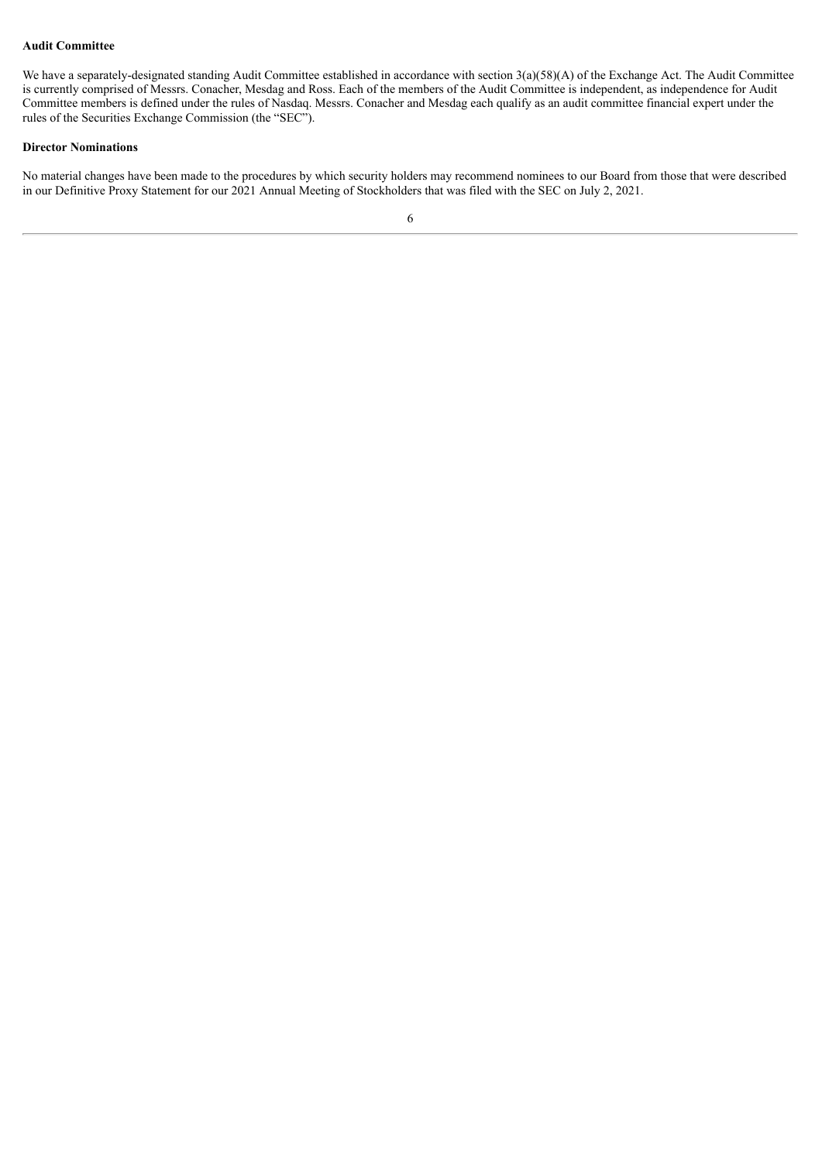#### **Audit Committee**

We have a separately-designated standing Audit Committee established in accordance with section 3(a)(58)(A) of the Exchange Act. The Audit Committee is currently comprised of Messrs. Conacher, Mesdag and Ross. Each of the members of the Audit Committee is independent, as independence for Audit Committee members is defined under the rules of Nasdaq. Messrs. Conacher and Mesdag each qualify as an audit committee financial expert under the rules of the Securities Exchange Commission (the "SEC").

## **Director Nominations**

No material changes have been made to the procedures by which security holders may recommend nominees to our Board from those that were described in our Definitive Proxy Statement for our 2021 Annual Meeting of Stockholders that was filed with the SEC on July 2, 2021.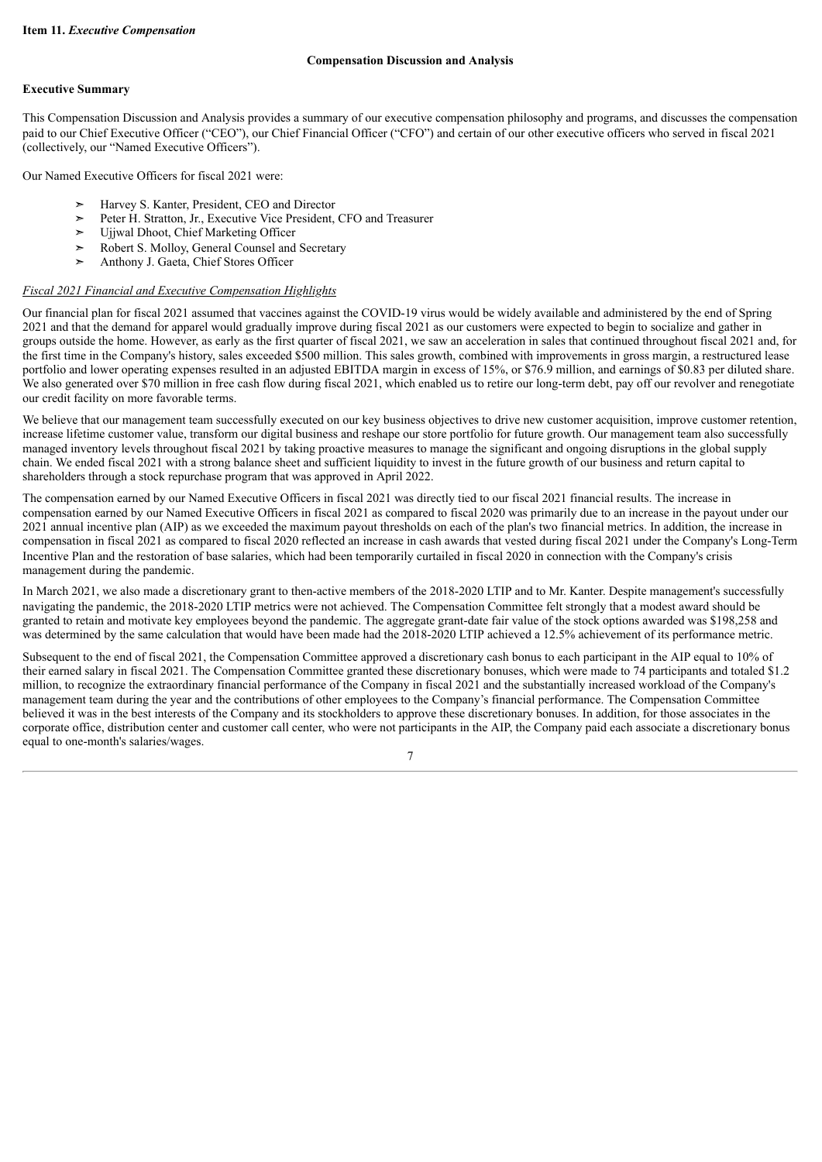## **Compensation Discussion and Analysis**

## <span id="page-6-0"></span>**Executive Summary**

This Compensation Discussion and Analysis provides a summary of our executive compensation philosophy and programs, and discusses the compensation paid to our Chief Executive Officer ("CEO"), our Chief Financial Officer ("CFO") and certain of our other executive officers who served in fiscal 2021 (collectively, our "Named Executive Officers").

Our Named Executive Officers for fiscal 2021 were:

- ➣ Harvey S. Kanter, President, CEO and Director
- ▶ Peter H. Stratton, Jr., Executive Vice President, CFO and Treasurer<br>► Ujiwal Dhoot, Chief Marketing Officer
- ➣ Ujjwal Dhoot, Chief Marketing Officer
- ➣ Robert S. Molloy, General Counsel and Secretary
- ➣ Anthony J. Gaeta, Chief Stores Officer

## *Fiscal 2021 Financial and Executive Compensation Highlights*

Our financial plan for fiscal 2021 assumed that vaccines against the COVID-19 virus would be widely available and administered by the end of Spring 2021 and that the demand for apparel would gradually improve during fiscal 2021 as our customers were expected to begin to socialize and gather in groups outside the home. However, as early as the first quarter of fiscal 2021, we saw an acceleration in sales that continued throughout fiscal 2021 and, for the first time in the Company's history, sales exceeded \$500 million. This sales growth, combined with improvements in gross margin, a restructured lease portfolio and lower operating expenses resulted in an adjusted EBITDA margin in excess of 15%, or \$76.9 million, and earnings of \$0.83 per diluted share. We also generated over \$70 million in free cash flow during fiscal 2021, which enabled us to retire our long-term debt, pay off our revolver and renegotiate our credit facility on more favorable terms.

We believe that our management team successfully executed on our key business objectives to drive new customer acquisition, improve customer retention, increase lifetime customer value, transform our digital business and reshape our store portfolio for future growth. Our management team also successfully managed inventory levels throughout fiscal 2021 by taking proactive measures to manage the significant and ongoing disruptions in the global supply chain. We ended fiscal 2021 with a strong balance sheet and sufficient liquidity to invest in the future growth of our business and return capital to shareholders through a stock repurchase program that was approved in April 2022.

The compensation earned by our Named Executive Officers in fiscal 2021 was directly tied to our fiscal 2021 financial results. The increase in compensation earned by our Named Executive Officers in fiscal 2021 as compared to fiscal 2020 was primarily due to an increase in the payout under our 2021 annual incentive plan (AIP) as we exceeded the maximum payout thresholds on each of the plan's two financial metrics. In addition, the increase in compensation in fiscal 2021 as compared to fiscal 2020 reflected an increase in cash awards that vested during fiscal 2021 under the Company's Long-Term Incentive Plan and the restoration of base salaries, which had been temporarily curtailed in fiscal 2020 in connection with the Company's crisis management during the pandemic.

In March 2021, we also made a discretionary grant to then-active members of the 2018-2020 LTIP and to Mr. Kanter. Despite management's successfully navigating the pandemic, the 2018-2020 LTIP metrics were not achieved. The Compensation Committee felt strongly that a modest award should be granted to retain and motivate key employees beyond the pandemic. The aggregate grant-date fair value of the stock options awarded was \$198,258 and was determined by the same calculation that would have been made had the 2018-2020 LTIP achieved a 12.5% achievement of its performance metric.

Subsequent to the end of fiscal 2021, the Compensation Committee approved a discretionary cash bonus to each participant in the AIP equal to 10% of their earned salary in fiscal 2021. The Compensation Committee granted these discretionary bonuses, which were made to 74 participants and totaled \$1.2 million, to recognize the extraordinary financial performance of the Company in fiscal 2021 and the substantially increased workload of the Company's management team during the year and the contributions of other employees to the Company's financial performance. The Compensation Committee believed it was in the best interests of the Company and its stockholders to approve these discretionary bonuses. In addition, for those associates in the corporate office, distribution center and customer call center, who were not participants in the AIP, the Company paid each associate a discretionary bonus equal to one-month's salaries/wages. 7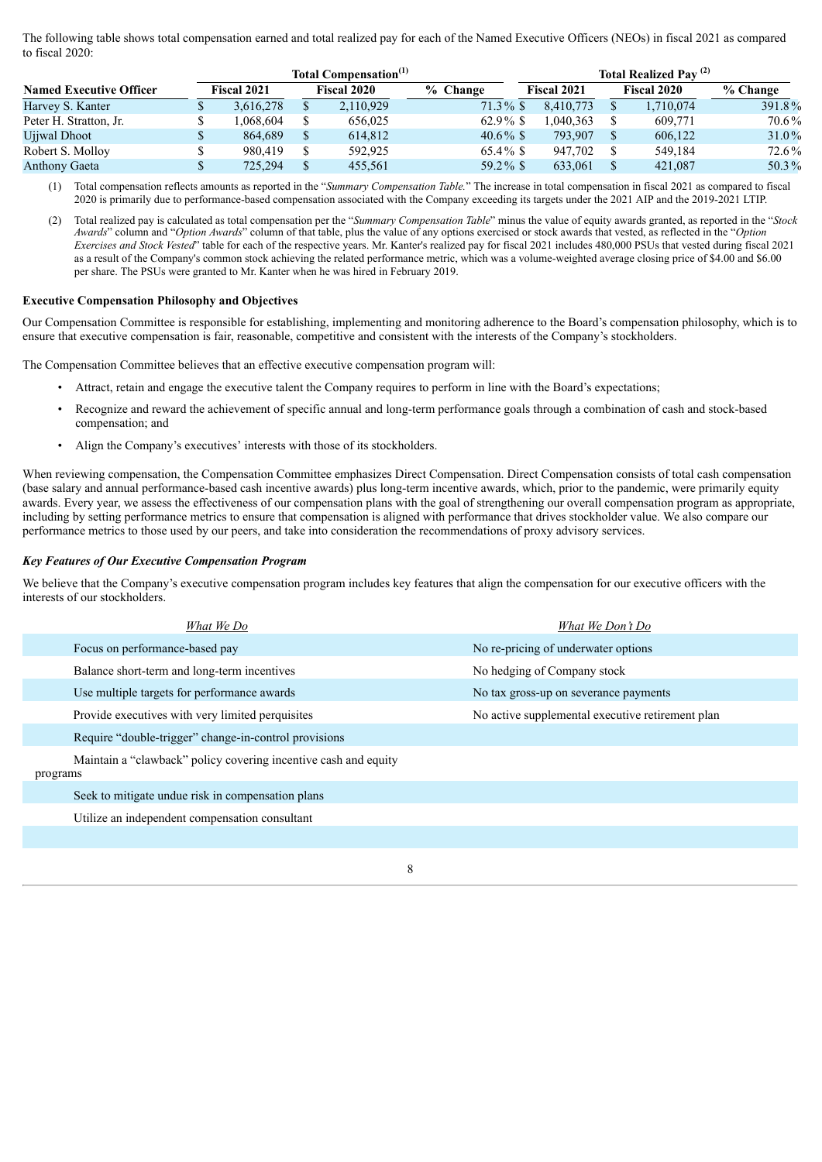The following table shows total compensation earned and total realized pay for each of the Named Executive Officers (NEOs) in fiscal 2021 as compared to fiscal 2020:

|                                | Total Compensation <sup>(1)</sup> |  |                    |             |                    | Total Realized Pay <sup>(2)</sup> |                    |          |  |  |
|--------------------------------|-----------------------------------|--|--------------------|-------------|--------------------|-----------------------------------|--------------------|----------|--|--|
| <b>Named Executive Officer</b> | <b>Fiscal 2021</b>                |  | <b>Fiscal 2020</b> | % Change    | <b>Fiscal 2021</b> |                                   | <b>Fiscal 2020</b> | % Change |  |  |
| Harvey S. Kanter               | 3.616.278                         |  | 2,110,929          | $71.3\%$ \$ | 8.410.773          |                                   | 1,710,074          | 391.8%   |  |  |
| Peter H. Stratton, Jr.         | .068.604                          |  | 656,025            | $62.9\%$ \$ | .040.363           |                                   | 609,771            | 70.6%    |  |  |
| Ujiwal Dhoot                   | 864.689                           |  | 614.812            | $40.6\%$ \$ | 793.907            |                                   | 606,122            | $31.0\%$ |  |  |
| Robert S. Molloy               | 980.419                           |  | 592.925            | $65.4\%$ \$ | 947.702            |                                   | 549.184            | 72.6%    |  |  |
| <b>Anthony Gaeta</b>           | 725,294                           |  | 455.561            | $59.2\%$ \$ | 633.061            |                                   | 421,087            | 50.3%    |  |  |

(1) Total compensation reflects amounts as reported in the "*Summary Compensation Table.*" The increase in total compensation in fiscal 2021 as compared to fiscal 2020 is primarily due to performance-based compensation associated with the Company exceeding its targets under the 2021 AIP and the 2019-2021 LTIP.

(2) Total realized pay is calculated as total compensation per the "*Summary Compensation Table*" minus the value of equity awards granted, as reported in the "*Stock Awards*" column and "*Option Awards*" column of that table, plus the value of any options exercised or stock awards that vested, as reflected in the "*Option Exercises and Stock Vested*" table for each of the respective years. Mr. Kanter's realized pay for fiscal 2021 includes 480,000 PSUs that vested during fiscal 2021 as a result of the Company's common stock achieving the related performance metric, which was a volume-weighted average closing price of \$4.00 and \$6.00 per share. The PSUs were granted to Mr. Kanter when he was hired in February 2019.

## **Executive Compensation Philosophy and Objectives**

Our Compensation Committee is responsible for establishing, implementing and monitoring adherence to the Board's compensation philosophy, which is to ensure that executive compensation is fair, reasonable, competitive and consistent with the interests of the Company's stockholders.

The Compensation Committee believes that an effective executive compensation program will:

- Attract, retain and engage the executive talent the Company requires to perform in line with the Board's expectations;
- Recognize and reward the achievement of specific annual and long-term performance goals through a combination of cash and stock-based compensation; and
- Align the Company's executives' interests with those of its stockholders.

When reviewing compensation, the Compensation Committee emphasizes Direct Compensation. Direct Compensation consists of total cash compensation (base salary and annual performance-based cash incentive awards) plus long-term incentive awards, which, prior to the pandemic, were primarily equity awards. Every year, we assess the effectiveness of our compensation plans with the goal of strengthening our overall compensation program as appropriate, including by setting performance metrics to ensure that compensation is aligned with performance that drives stockholder value. We also compare our performance metrics to those used by our peers, and take into consideration the recommendations of proxy advisory services.

#### *Key Features of Our Executive Compensation Program*

We believe that the Company's executive compensation program includes key features that align the compensation for our executive officers with the interests of our stockholders.

| What We Do                                                                  | What We Don't Do                                 |
|-----------------------------------------------------------------------------|--------------------------------------------------|
| Focus on performance-based pay                                              | No re-pricing of underwater options              |
| Balance short-term and long-term incentives                                 | No hedging of Company stock                      |
| Use multiple targets for performance awards                                 | No tax gross-up on severance payments            |
| Provide executives with very limited perquisites                            | No active supplemental executive retirement plan |
| Require "double-trigger" change-in-control provisions                       |                                                  |
| Maintain a "clawback" policy covering incentive cash and equity<br>programs |                                                  |
| Seek to mitigate undue risk in compensation plans                           |                                                  |
| Utilize an independent compensation consultant                              |                                                  |
|                                                                             |                                                  |
|                                                                             |                                                  |

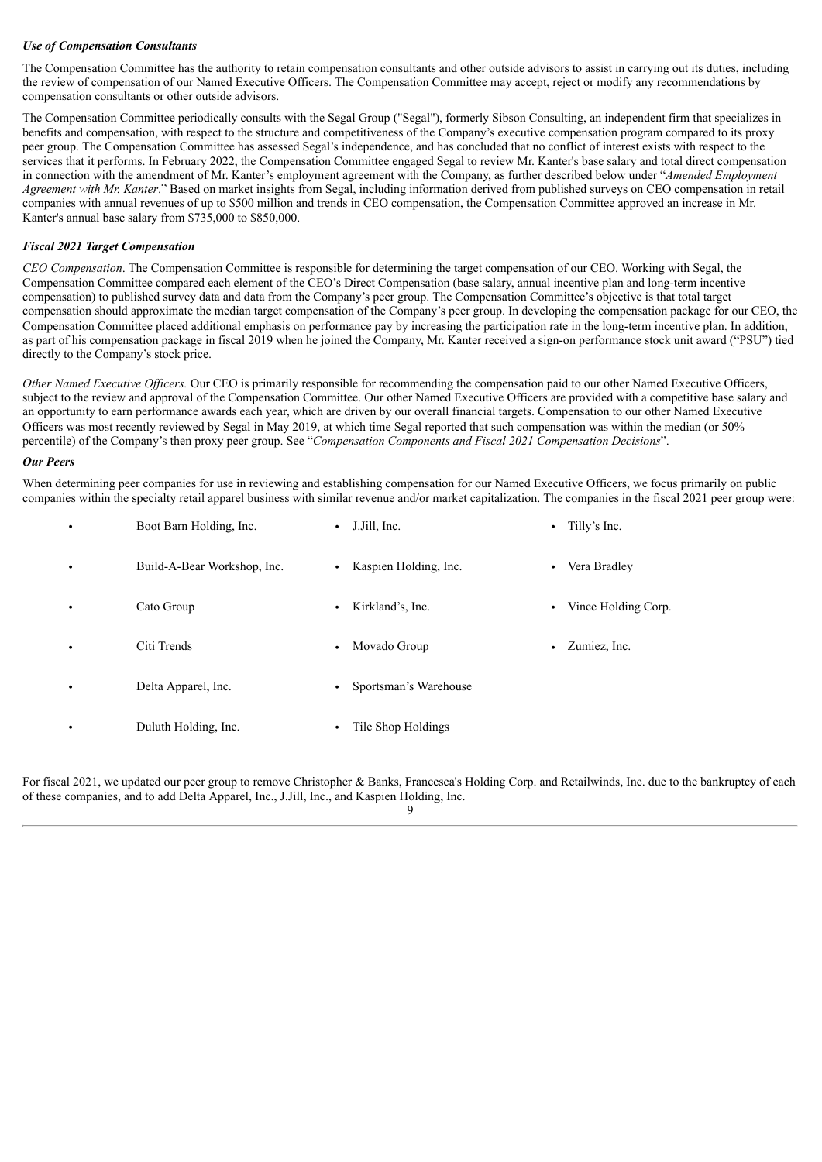## *Use of Compensation Consultants*

The Compensation Committee has the authority to retain compensation consultants and other outside advisors to assist in carrying out its duties, including the review of compensation of our Named Executive Officers. The Compensation Committee may accept, reject or modify any recommendations by compensation consultants or other outside advisors.

The Compensation Committee periodically consults with the Segal Group ("Segal"), formerly Sibson Consulting, an independent firm that specializes in benefits and compensation, with respect to the structure and competitiveness of the Company's executive compensation program compared to its proxy peer group. The Compensation Committee has assessed Segal's independence, and has concluded that no conflict of interest exists with respect to the services that it performs. In February 2022, the Compensation Committee engaged Segal to review Mr. Kanter's base salary and total direct compensation in connection with the amendment of Mr. Kanter's employment agreement with the Company, as further described below under "*Amended Employment Agreement with Mr. Kanter*." Based on market insights from Segal, including information derived from published surveys on CEO compensation in retail companies with annual revenues of up to \$500 million and trends in CEO compensation, the Compensation Committee approved an increase in Mr. Kanter's annual base salary from \$735,000 to \$850,000.

## *Fiscal 2021 Target Compensation*

*CEO Compensation*. The Compensation Committee is responsible for determining the target compensation of our CEO. Working with Segal, the Compensation Committee compared each element of the CEO's Direct Compensation (base salary, annual incentive plan and long-term incentive compensation) to published survey data and data from the Company's peer group. The Compensation Committee's objective is that total target compensation should approximate the median target compensation of the Company's peer group. In developing the compensation package for our CEO, the Compensation Committee placed additional emphasis on performance pay by increasing the participation rate in the long-term incentive plan. In addition, as part of his compensation package in fiscal 2019 when he joined the Company, Mr. Kanter received a sign-on performance stock unit award ("PSU") tied directly to the Company's stock price.

*Other Named Executive Of icers.* Our CEO is primarily responsible for recommending the compensation paid to our other Named Executive Officers, subject to the review and approval of the Compensation Committee. Our other Named Executive Officers are provided with a competitive base salary and an opportunity to earn performance awards each year, which are driven by our overall financial targets. Compensation to our other Named Executive Officers was most recently reviewed by Segal in May 2019, at which time Segal reported that such compensation was within the median (or 50% percentile) of the Company's then proxy peer group. See "*Compensation Components and Fiscal 2021 Compensation Decisions*".

## *Our Peers*

When determining peer companies for use in reviewing and establishing compensation for our Named Executive Officers, we focus primarily on public companies within the specialty retail apparel business with similar revenue and/or market capitalization. The companies in the fiscal 2021 peer group were:

| $\bullet$ | Boot Barn Holding, Inc.     | J.Jill, Inc.<br>$\bullet$          | Tilly's Inc.<br>$\bullet$ |
|-----------|-----------------------------|------------------------------------|---------------------------|
| $\bullet$ | Build-A-Bear Workshop, Inc. | Kaspien Holding, Inc.<br>$\bullet$ | Vera Bradley              |
| $\bullet$ | Cato Group                  | Kirkland's, Inc.<br>$\bullet$      | Vince Holding Corp.       |
| $\bullet$ | Citi Trends                 | Movado Group<br>$\bullet$          | Zumiez, Inc.              |
| $\bullet$ | Delta Apparel, Inc.         | Sportsman's Warehouse<br>$\bullet$ |                           |
| $\bullet$ | Duluth Holding, Inc.        | Tile Shop Holdings<br>$\bullet$    |                           |

For fiscal 2021, we updated our peer group to remove Christopher & Banks, Francesca's Holding Corp. and Retailwinds, Inc. due to the bankruptcy of each of these companies, and to add Delta Apparel, Inc., J.Jill, Inc., and Kaspien Holding, Inc.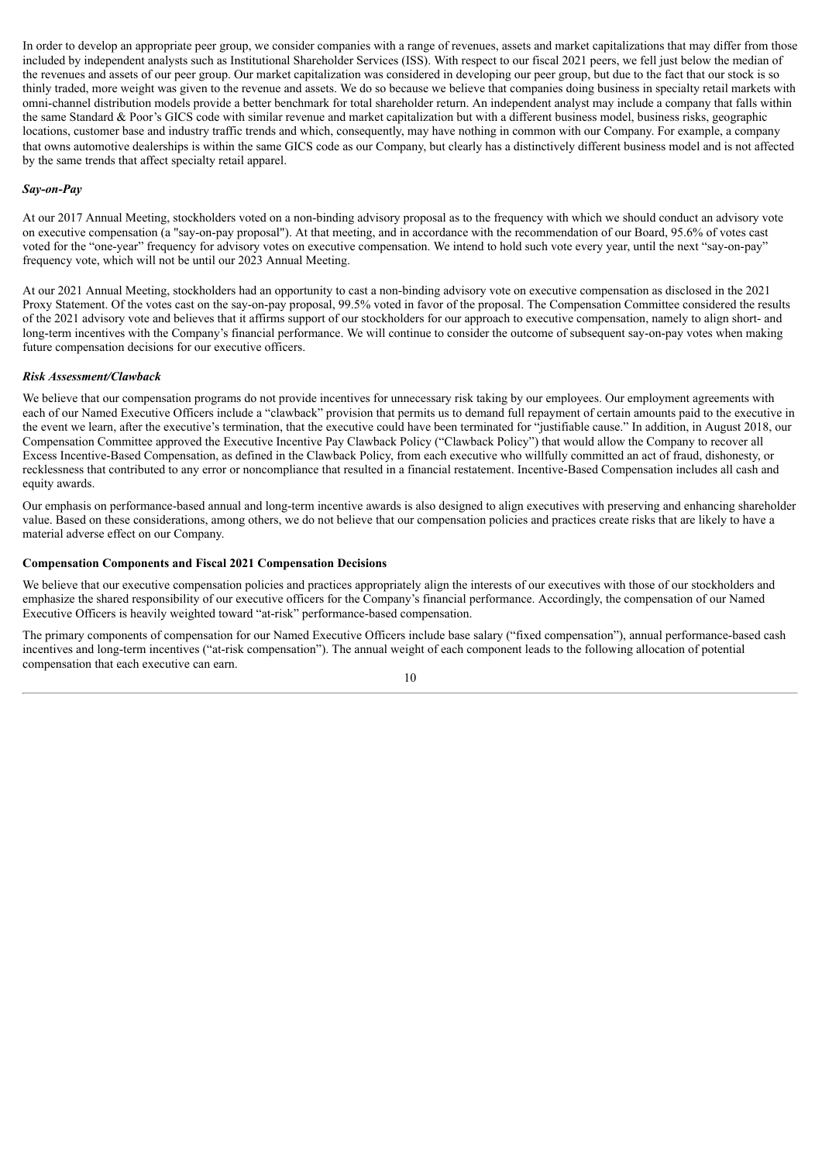In order to develop an appropriate peer group, we consider companies with a range of revenues, assets and market capitalizations that may differ from those included by independent analysts such as Institutional Shareholder Services (ISS). With respect to our fiscal 2021 peers, we fell just below the median of the revenues and assets of our peer group. Our market capitalization was considered in developing our peer group, but due to the fact that our stock is so thinly traded, more weight was given to the revenue and assets. We do so because we believe that companies doing business in specialty retail markets with omni-channel distribution models provide a better benchmark for total shareholder return. An independent analyst may include a company that falls within the same Standard & Poor's GICS code with similar revenue and market capitalization but with a different business model, business risks, geographic locations, customer base and industry traffic trends and which, consequently, may have nothing in common with our Company. For example, a company that owns automotive dealerships is within the same GICS code as our Company, but clearly has a distinctively different business model and is not affected by the same trends that affect specialty retail apparel.

## *Say-on-Pay*

At our 2017 Annual Meeting, stockholders voted on a non-binding advisory proposal as to the frequency with which we should conduct an advisory vote on executive compensation (a "say-on-pay proposal"). At that meeting, and in accordance with the recommendation of our Board, 95.6% of votes cast voted for the "one-year" frequency for advisory votes on executive compensation. We intend to hold such vote every year, until the next "say-on-pay" frequency vote, which will not be until our 2023 Annual Meeting.

At our 2021 Annual Meeting, stockholders had an opportunity to cast a non-binding advisory vote on executive compensation as disclosed in the 2021 Proxy Statement. Of the votes cast on the say-on-pay proposal, 99.5% voted in favor of the proposal. The Compensation Committee considered the results of the 2021 advisory vote and believes that it affirms support of our stockholders for our approach to executive compensation, namely to align short- and long-term incentives with the Company's financial performance. We will continue to consider the outcome of subsequent say-on-pay votes when making future compensation decisions for our executive officers.

## *Risk Assessment/Clawback*

We believe that our compensation programs do not provide incentives for unnecessary risk taking by our employees. Our employment agreements with each of our Named Executive Officers include a "clawback" provision that permits us to demand full repayment of certain amounts paid to the executive in the event we learn, after the executive's termination, that the executive could have been terminated for "justifiable cause." In addition, in August 2018, our Compensation Committee approved the Executive Incentive Pay Clawback Policy ("Clawback Policy") that would allow the Company to recover all Excess Incentive-Based Compensation, as defined in the Clawback Policy, from each executive who willfully committed an act of fraud, dishonesty, or recklessness that contributed to any error or noncompliance that resulted in a financial restatement. Incentive-Based Compensation includes all cash and equity awards.

Our emphasis on performance-based annual and long-term incentive awards is also designed to align executives with preserving and enhancing shareholder value. Based on these considerations, among others, we do not believe that our compensation policies and practices create risks that are likely to have a material adverse effect on our Company.

## **Compensation Components and Fiscal 2021 Compensation Decisions**

We believe that our executive compensation policies and practices appropriately align the interests of our executives with those of our stockholders and emphasize the shared responsibility of our executive officers for the Company's financial performance. Accordingly, the compensation of our Named Executive Officers is heavily weighted toward "at-risk" performance-based compensation.

The primary components of compensation for our Named Executive Officers include base salary ("fixed compensation"), annual performance-based cash incentives and long-term incentives ("at-risk compensation"). The annual weight of each component leads to the following allocation of potential compensation that each executive can earn.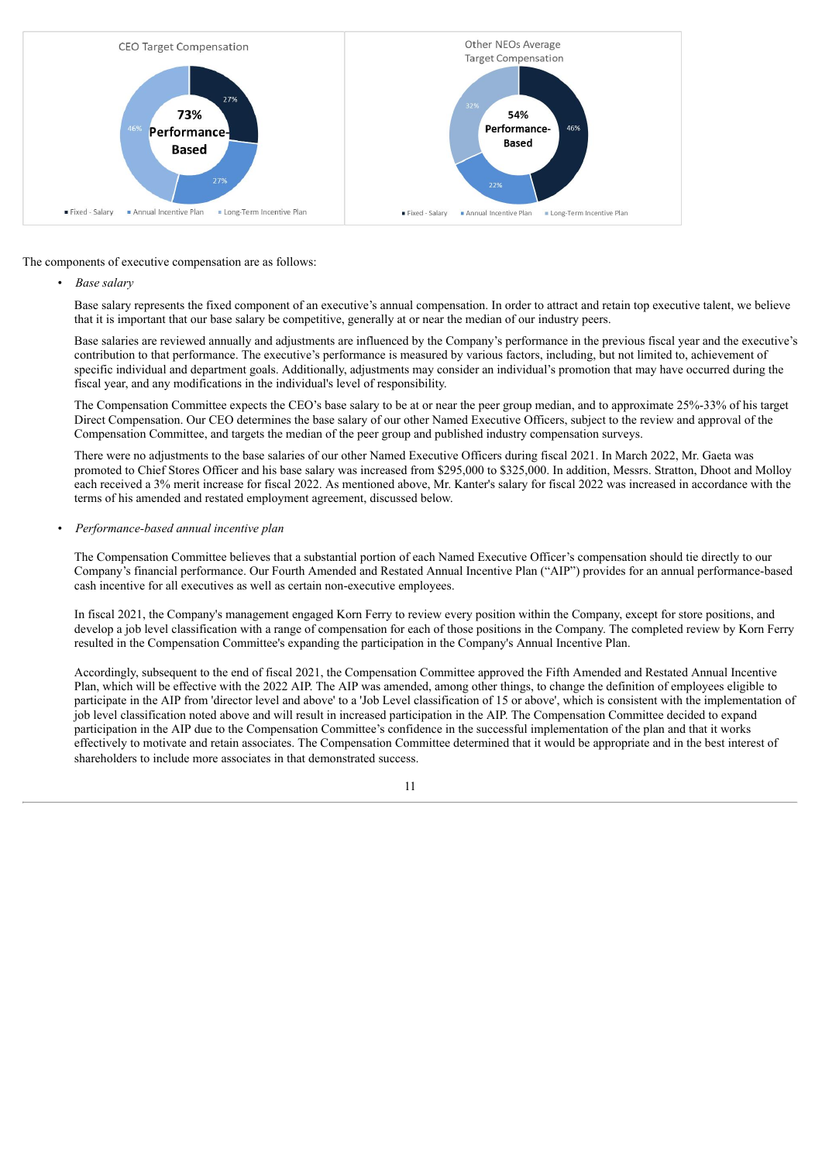

The components of executive compensation are as follows:

• *Base salary*

Base salary represents the fixed component of an executive's annual compensation. In order to attract and retain top executive talent, we believe that it is important that our base salary be competitive, generally at or near the median of our industry peers.

Base salaries are reviewed annually and adjustments are influenced by the Company's performance in the previous fiscal year and the executive's contribution to that performance. The executive's performance is measured by various factors, including, but not limited to, achievement of specific individual and department goals. Additionally, adjustments may consider an individual's promotion that may have occurred during the fiscal year, and any modifications in the individual's level of responsibility.

The Compensation Committee expects the CEO's base salary to be at or near the peer group median, and to approximate 25%-33% of his target Direct Compensation. Our CEO determines the base salary of our other Named Executive Officers, subject to the review and approval of the Compensation Committee, and targets the median of the peer group and published industry compensation surveys.

There were no adjustments to the base salaries of our other Named Executive Officers during fiscal 2021. In March 2022, Mr. Gaeta was promoted to Chief Stores Officer and his base salary was increased from \$295,000 to \$325,000. In addition, Messrs. Stratton, Dhoot and Molloy each received a 3% merit increase for fiscal 2022. As mentioned above, Mr. Kanter's salary for fiscal 2022 was increased in accordance with the terms of his amended and restated employment agreement, discussed below.

## • *Performance-based annual incentive plan*

The Compensation Committee believes that a substantial portion of each Named Executive Officer's compensation should tie directly to our Company's financial performance. Our Fourth Amended and Restated Annual Incentive Plan ("AIP") provides for an annual performance-based cash incentive for all executives as well as certain non-executive employees.

In fiscal 2021, the Company's management engaged Korn Ferry to review every position within the Company, except for store positions, and develop a job level classification with a range of compensation for each of those positions in the Company. The completed review by Korn Ferry resulted in the Compensation Committee's expanding the participation in the Company's Annual Incentive Plan.

Accordingly, subsequent to the end of fiscal 2021, the Compensation Committee approved the Fifth Amended and Restated Annual Incentive Plan, which will be effective with the 2022 AIP. The AIP was amended, among other things, to change the definition of employees eligible to participate in the AIP from 'director level and above' to a 'Job Level classification of 15 or above', which is consistent with the implementation of job level classification noted above and will result in increased participation in the AIP. The Compensation Committee decided to expand participation in the AIP due to the Compensation Committee's confidence in the successful implementation of the plan and that it works effectively to motivate and retain associates. The Compensation Committee determined that it would be appropriate and in the best interest of shareholders to include more associates in that demonstrated success.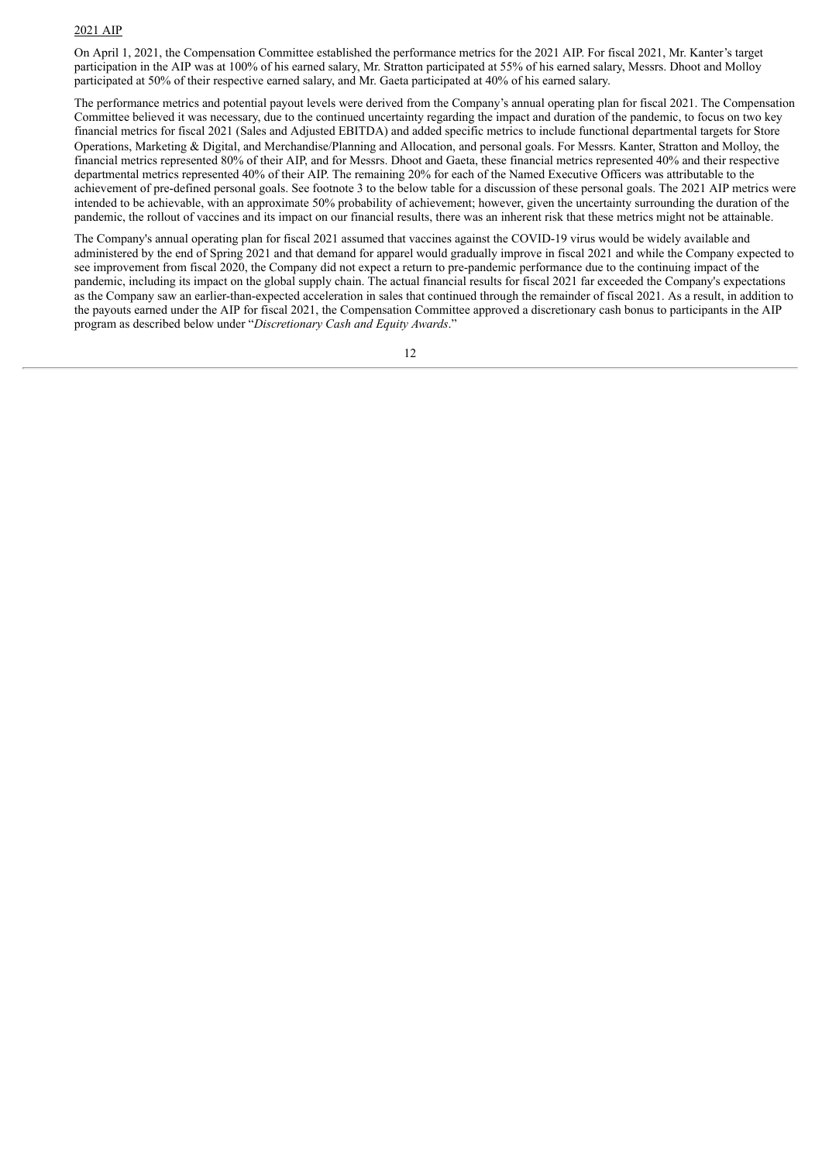#### 2021 AIP

On April 1, 2021, the Compensation Committee established the performance metrics for the 2021 AIP. For fiscal 2021, Mr. Kanter's target participation in the AIP was at 100% of his earned salary, Mr. Stratton participated at 55% of his earned salary, Messrs. Dhoot and Molloy participated at 50% of their respective earned salary, and Mr. Gaeta participated at 40% of his earned salary.

The performance metrics and potential payout levels were derived from the Company's annual operating plan for fiscal 2021. The Compensation Committee believed it was necessary, due to the continued uncertainty regarding the impact and duration of the pandemic, to focus on two key financial metrics for fiscal 2021 (Sales and Adjusted EBITDA) and added specific metrics to include functional departmental targets for Store Operations, Marketing & Digital, and Merchandise/Planning and Allocation, and personal goals. For Messrs. Kanter, Stratton and Molloy, the financial metrics represented 80% of their AIP, and for Messrs. Dhoot and Gaeta, these financial metrics represented 40% and their respective departmental metrics represented 40% of their AIP. The remaining 20% for each of the Named Executive Officers was attributable to the achievement of pre-defined personal goals. See footnote 3 to the below table for a discussion of these personal goals. The 2021 AIP metrics were intended to be achievable, with an approximate 50% probability of achievement; however, given the uncertainty surrounding the duration of the pandemic, the rollout of vaccines and its impact on our financial results, there was an inherent risk that these metrics might not be attainable.

The Company's annual operating plan for fiscal 2021 assumed that vaccines against the COVID-19 virus would be widely available and administered by the end of Spring 2021 and that demand for apparel would gradually improve in fiscal 2021 and while the Company expected to see improvement from fiscal 2020, the Company did not expect a return to pre-pandemic performance due to the continuing impact of the pandemic, including its impact on the global supply chain. The actual financial results for fiscal 2021 far exceeded the Company's expectations as the Company saw an earlier-than-expected acceleration in sales that continued through the remainder of fiscal 2021. As a result, in addition to the payouts earned under the AIP for fiscal 2021, the Compensation Committee approved a discretionary cash bonus to participants in the AIP program as described below under "*Discretionary Cash and Equity Awards*."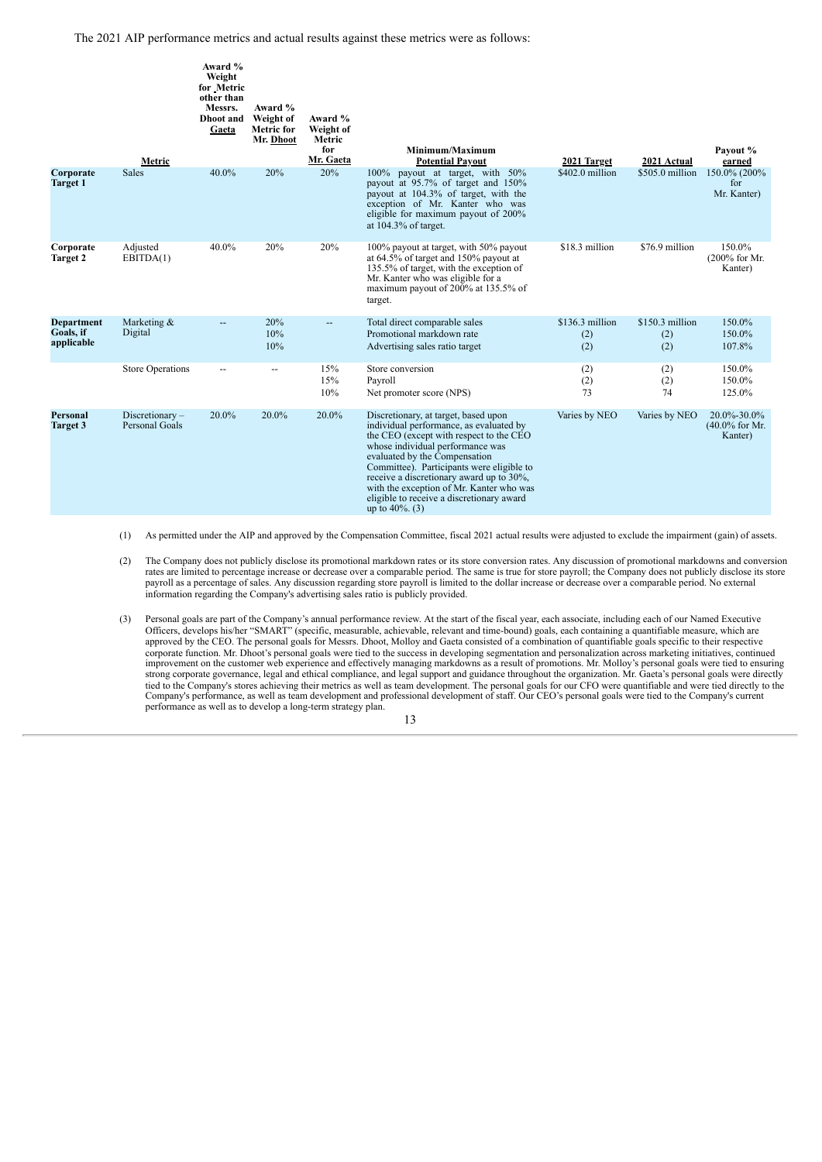The 2021 AIP performance metrics and actual results against these metrics were as follows:

|                                              | Metric                              | Award %<br>Weight<br>for Metric<br>other than<br>Messrs.<br>Dhoot and<br>Gaeta | Award %<br>Weight of<br><b>Metric for</b><br>Mr. Dhoot | Award %<br>Weight of<br>Metric<br>for<br>Mr. Gaeta | Minimum/Maximum<br><b>Potential Payout</b>                                                                                                                                                                                                                                                                                                                                                              | 2021 Target                   | 2021 Actual                    | Payout %<br>earned                          |
|----------------------------------------------|-------------------------------------|--------------------------------------------------------------------------------|--------------------------------------------------------|----------------------------------------------------|---------------------------------------------------------------------------------------------------------------------------------------------------------------------------------------------------------------------------------------------------------------------------------------------------------------------------------------------------------------------------------------------------------|-------------------------------|--------------------------------|---------------------------------------------|
| Corporate<br><b>Target 1</b>                 | <b>Sales</b>                        | 40.0%                                                                          | 20%                                                    | 20%                                                | 100% payout at target, with 50%<br>payout at 95.7% of target and 150%<br>payout at 104.3% of target, with the<br>exception of Mr. Kanter who was<br>eligible for maximum payout of 200%<br>at $104.3\%$ of target.                                                                                                                                                                                      | \$402.0 million               | \$505.0 million                | 150.0% (200%)<br>for<br>Mr. Kanter)         |
| Corporate<br><b>Target 2</b>                 | Adjusted<br>EBITDA(1)               | 40.0%                                                                          | 20%                                                    | 20%                                                | 100% payout at target, with 50% payout<br>at 64.5% of target and 150% payout at<br>135.5% of target, with the exception of<br>Mr. Kanter who was eligible for a<br>maximum payout of 200% at 135.5% of<br>target.                                                                                                                                                                                       | \$18.3 million                | \$76.9 million                 | 150.0%<br>$(200\%$ for Mr.<br>Kanter)       |
| <b>Department</b><br>Goals, if<br>applicable | Marketing &<br>Digital              |                                                                                | 20%<br>10%<br>10%                                      | $-$                                                | Total direct comparable sales<br>Promotional markdown rate<br>Advertising sales ratio target                                                                                                                                                                                                                                                                                                            | \$136.3 million<br>(2)<br>(2) | $$150.3$ million<br>(2)<br>(2) | 150.0%<br>150.0%<br>107.8%                  |
|                                              | <b>Store Operations</b>             |                                                                                | $\overline{\phantom{a}}$                               | 15%<br>15%<br>10%                                  | Store conversion<br>Payroll<br>Net promoter score (NPS)                                                                                                                                                                                                                                                                                                                                                 | (2)<br>(2)<br>73              | (2)<br>(2)<br>74               | 150.0%<br>150.0%<br>125.0%                  |
| <b>Personal</b><br><b>Target 3</b>           | $Discretionary -$<br>Personal Goals | 20.0%                                                                          | 20.0%                                                  | 20.0%                                              | Discretionary, at target, based upon<br>individual performance, as evaluated by<br>the CEO (except with respect to the CEO<br>whose individual performance was<br>evaluated by the Compensation<br>Committee). Participants were eligible to<br>receive a discretionary award up to 30%,<br>with the exception of Mr. Kanter who was<br>eligible to receive a discretionary award<br>up to $40\%$ . (3) | Varies by NEO                 | Varies by NEO                  | 20.0%-30.0%<br>$(40.0\%$ for Mr.<br>Kanter) |

(1) As permitted under the AIP and approved by the Compensation Committee, fiscal 2021 actual results were adjusted to exclude the impairment (gain) of assets.

(2) The Company does not publicly disclose its promotional markdown rates or its store conversion rates. Any discussion of promotional markdowns and conversion rates are limited to percentage increase or decrease over a comparable period. The same is true for store payroll; the Company does not publicly disclose its store payroll as a percentage of sales. Any discussion regarding store payroll is limited to the dollar increase or decrease over a comparable period. No external information regarding the Company's advertising sales ratio is publicly provided.

(3) Personal goals are part of the Company's annual performance review. At the start of the fiscal year, each associate, including each of our Named Executive Officers, develops his/her "SMART" (specific, measurable, achievable, relevant and time-bound) goals, each containing a quantifiable measure, which are approved by the CEO. The personal goals for Messrs. Dhoot, Molloy and Gaeta consisted of a combination of quantifiable goals specific to their respective corporate function. Mr. Dhoot's personal goals were tied to the success in developing segmentation and personalization across marketing initiatives, continued<br>improvement on the customer web experience and effectively mana strong corporate governance, legal and ethical compliance, and legal support and guidance throughout the organization. Mr. Gaeta's personal goals were directly tied to the Company's stores achieving their metrics as well as team development. The personal goals for our CFO were quantifiable and were tied directly to the tied to the Company's stores achieving their metrics as well Company's performance, as well as team development and professional development of staff. Our CEO's personal goals were tied to the Company's current performance as well as to develop a long-term strategy plan.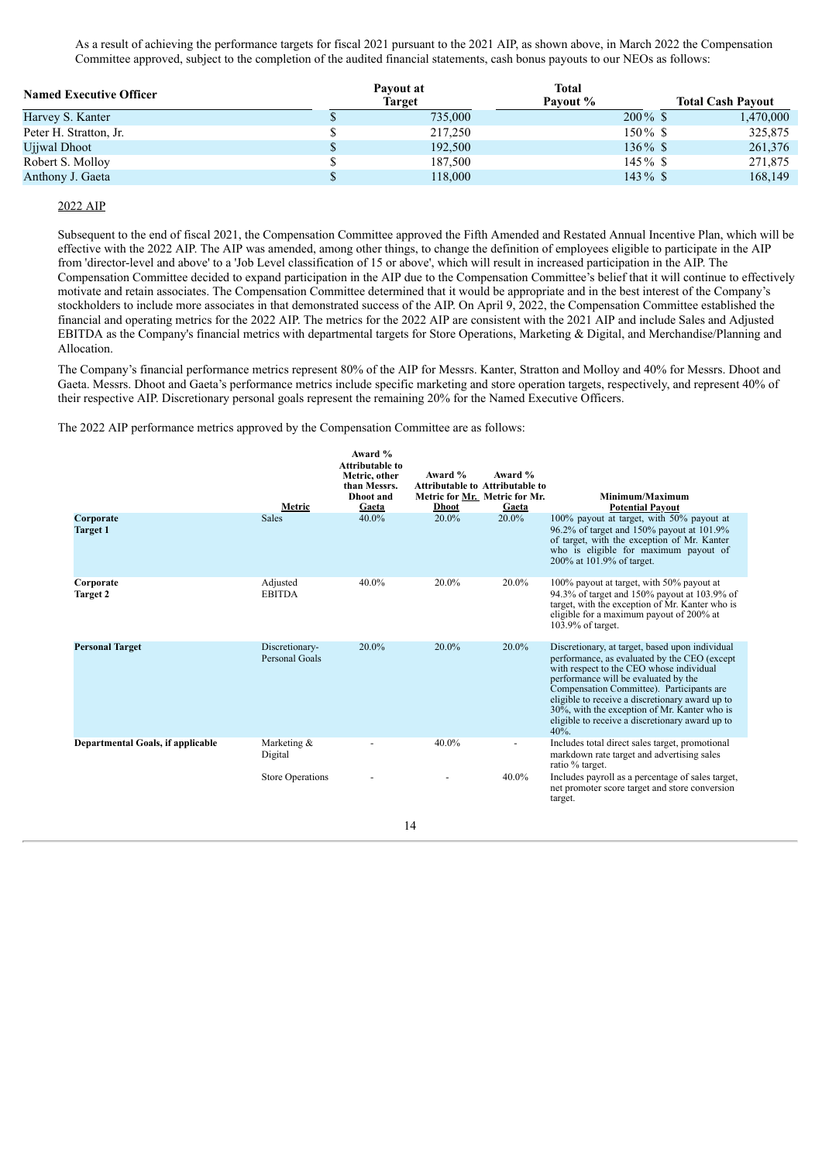As a result of achieving the performance targets for fiscal 2021 pursuant to the 2021 AIP, as shown above, in March 2022 the Compensation Committee approved, subject to the completion of the audited financial statements, cash bonus payouts to our NEOs as follows:

| <b>Named Executive Officer</b> | Payout at<br>Target | <b>Total</b><br>Payout % | <b>Total Cash Payout</b> |
|--------------------------------|---------------------|--------------------------|--------------------------|
| Harvey S. Kanter               | 735,000             | $200\%$ \$               | 1,470,000                |
| Peter H. Stratton, Jr.         | 217,250             | 150% \$                  | 325,875                  |
| Ujiwal Dhoot                   | 192.500             | $136\%$ \$               | 261,376                  |
| Robert S. Molloy               | 187,500             | $145\%$ \$               | 271,875                  |
| Anthony J. Gaeta               | 118,000             | $143\%$ \$               | 168,149                  |

## 2022 AIP

Subsequent to the end of fiscal 2021, the Compensation Committee approved the Fifth Amended and Restated Annual Incentive Plan, which will be effective with the 2022 AIP. The AIP was amended, among other things, to change the definition of employees eligible to participate in the AIP from 'director-level and above' to a 'Job Level classification of 15 or above', which will result in increased participation in the AIP. The Compensation Committee decided to expand participation in the AIP due to the Compensation Committee's belief that it will continue to effectively motivate and retain associates. The Compensation Committee determined that it would be appropriate and in the best interest of the Company's stockholders to include more associates in that demonstrated success of the AIP. On April 9, 2022, the Compensation Committee established the financial and operating metrics for the 2022 AIP. The metrics for the 2022 AIP are consistent with the 2021 AIP and include Sales and Adjusted EBITDA as the Company's financial metrics with departmental targets for Store Operations, Marketing & Digital, and Merchandise/Planning and Allocation.

The Company's financial performance metrics represent 80% of the AIP for Messrs. Kanter, Stratton and Molloy and 40% for Messrs. Dhoot and Gaeta. Messrs. Dhoot and Gaeta's performance metrics include specific marketing and store operation targets, respectively, and represent 40% of their respective AIP. Discretionary personal goals represent the remaining 20% for the Named Executive Officers.

The 2022 AIP performance metrics approved by the Compensation Committee are as follows:

|                                          | Metric                           | Award %<br><b>Attributable to</b><br>Metric, other<br>than Messrs.<br>Dhoot and<br>Gaeta | Award %<br><b>Attributable to Attributable to</b><br>Metric for Mr. Metric for Mr.<br><b>Dhoot</b> | Award %<br>Gaeta | Minimum/Maximum<br><b>Potential Pavout</b>                                                                                                                                                                                                                                                                                                                                                    |
|------------------------------------------|----------------------------------|------------------------------------------------------------------------------------------|----------------------------------------------------------------------------------------------------|------------------|-----------------------------------------------------------------------------------------------------------------------------------------------------------------------------------------------------------------------------------------------------------------------------------------------------------------------------------------------------------------------------------------------|
| Corporate<br><b>Target 1</b>             | <b>Sales</b>                     | 40.0%                                                                                    | 20.0%                                                                                              | 20.0%            | 100% payout at target, with 50% payout at<br>96.2% of target and 150% payout at 101.9%<br>of target, with the exception of Mr. Kanter<br>who is eligible for maximum payout of<br>200% at 101.9% of target.                                                                                                                                                                                   |
| Corporate<br><b>Target 2</b>             | Adjusted<br><b>EBITDA</b>        | 40.0%                                                                                    | 20.0%                                                                                              | 20.0%            | 100% payout at target, with 50% payout at<br>94.3% of target and 150% payout at 103.9% of<br>target, with the exception of Mr. Kanter who is<br>eligible for a maximum payout of 200% at<br>103.9% of target.                                                                                                                                                                                 |
| <b>Personal Target</b>                   | Discretionary-<br>Personal Goals | 20.0%                                                                                    | 20.0%                                                                                              | 20.0%            | Discretionary, at target, based upon individual<br>performance, as evaluated by the CEO (except<br>with respect to the CEO whose individual<br>performance will be evaluated by the<br>Compensation Committee). Participants are<br>eligible to receive a discretionary award up to<br>30%, with the exception of Mr. Kanter who is<br>eligible to receive a discretionary award up to<br>40% |
| <b>Departmental Goals, if applicable</b> | Marketing &<br>Digital           |                                                                                          | 40.0%                                                                                              |                  | Includes total direct sales target, promotional<br>markdown rate target and advertising sales<br>ratio % target.                                                                                                                                                                                                                                                                              |
|                                          | <b>Store Operations</b>          |                                                                                          |                                                                                                    | 40.0%            | Includes payroll as a percentage of sales target,<br>net promoter score target and store conversion<br>target.                                                                                                                                                                                                                                                                                |
|                                          |                                  |                                                                                          | 14                                                                                                 |                  |                                                                                                                                                                                                                                                                                                                                                                                               |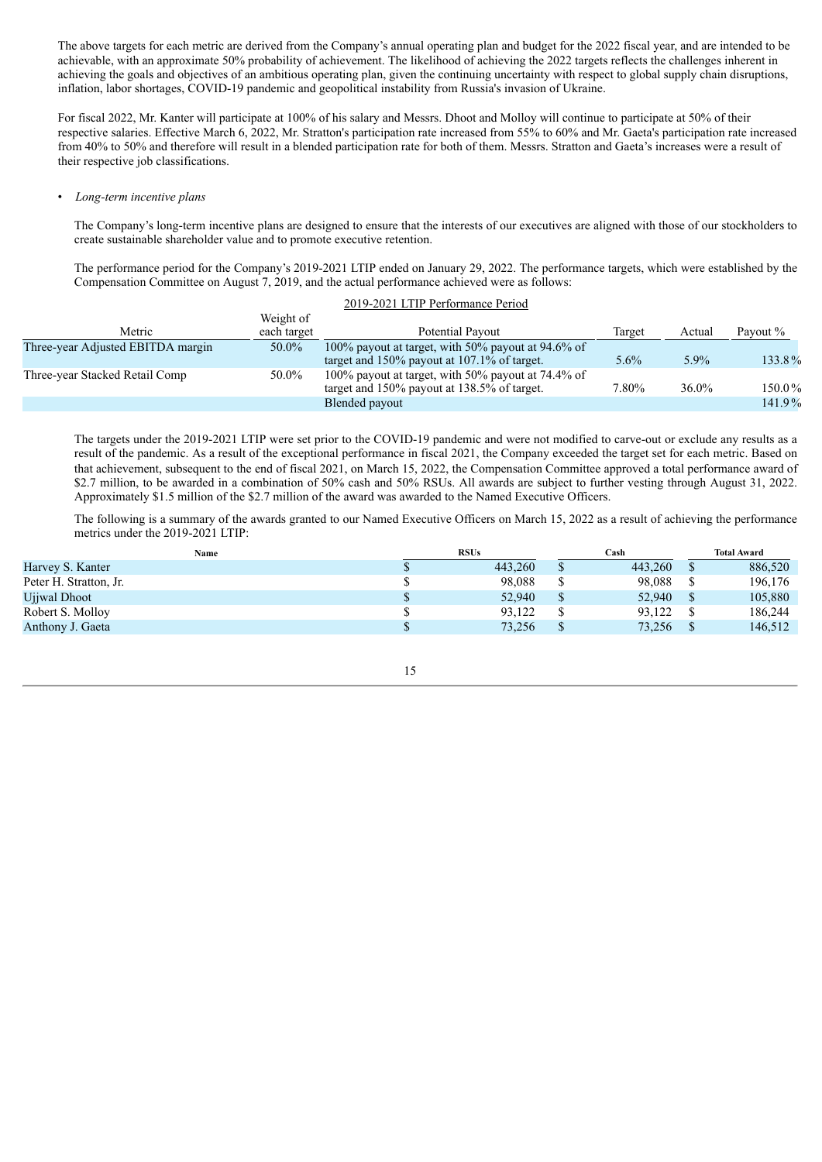The above targets for each metric are derived from the Company's annual operating plan and budget for the 2022 fiscal year, and are intended to be achievable, with an approximate 50% probability of achievement. The likelihood of achieving the 2022 targets reflects the challenges inherent in achieving the goals and objectives of an ambitious operating plan, given the continuing uncertainty with respect to global supply chain disruptions, inflation, labor shortages, COVID-19 pandemic and geopolitical instability from Russia's invasion of Ukraine.

For fiscal 2022, Mr. Kanter will participate at 100% of his salary and Messrs. Dhoot and Molloy will continue to participate at 50% of their respective salaries. Effective March 6, 2022, Mr. Stratton's participation rate increased from 55% to 60% and Mr. Gaeta's participation rate increased from 40% to 50% and therefore will result in a blended participation rate for both of them. Messrs. Stratton and Gaeta's increases were a result of their respective job classifications.

• *Long-term incentive plans*

The Company's long-term incentive plans are designed to ensure that the interests of our executives are aligned with those of our stockholders to create sustainable shareholder value and to promote executive retention.

The performance period for the Company's 2019-2021 LTIP ended on January 29, 2022. The performance targets, which were established by the Compensation Committee on August 7, 2019, and the actual performance achieved were as follows:

| 2019-2021 LTIP Performance Period |                          |                                                                                                      |         |          |          |  |
|-----------------------------------|--------------------------|------------------------------------------------------------------------------------------------------|---------|----------|----------|--|
| Metric                            | Weight of<br>each target | Potential Payout                                                                                     | Target  | Actual   | Payout % |  |
| Three-year Adjusted EBITDA margin | 50.0%                    | 100% payout at target, with 50% payout at 94.6% of<br>target and $150\%$ payout at 107.1% of target. | $5.6\%$ | 5.9%     | 133.8%   |  |
| Three-year Stacked Retail Comp    | 50.0%                    | 100% payout at target, with 50% payout at 74.4% of<br>target and 150% payout at 138.5% of target.    | 7.80%   | $36.0\%$ | 150.0%   |  |
|                                   |                          | Blended payout                                                                                       |         |          | 141.9%   |  |

The targets under the 2019-2021 LTIP were set prior to the COVID-19 pandemic and were not modified to carve-out or exclude any results as a result of the pandemic. As a result of the exceptional performance in fiscal 2021, the Company exceeded the target set for each metric. Based on that achievement, subsequent to the end of fiscal 2021, on March 15, 2022, the Compensation Committee approved a total performance award of \$2.7 million, to be awarded in a combination of 50% cash and 50% RSUs. All awards are subject to further vesting through August 31, 2022. Approximately \$1.5 million of the \$2.7 million of the award was awarded to the Named Executive Officers.

The following is a summary of the awards granted to our Named Executive Officers on March 15, 2022 as a result of achieving the performance metrics under the 2019-2021 LTIP:

| Name                   | <b>RSUs</b> |         | Cash     |         | <b>Total Award</b> |         |
|------------------------|-------------|---------|----------|---------|--------------------|---------|
| Harvey S. Kanter       |             | 443.260 | S        | 443.260 |                    | 886,520 |
| Peter H. Stratton, Jr. |             | 98.088  | ــه      | 98,088  |                    | 196,176 |
| Ujiwal Dhoot           |             | 52.940  | \$       | 52.940  |                    | 105,880 |
| Robert S. Molloy       |             | 93.122  |          | 93,122  |                    | 186.244 |
| Anthony J. Gaeta       |             | 73,256  | <b>Φ</b> | 73,256  |                    | 146,512 |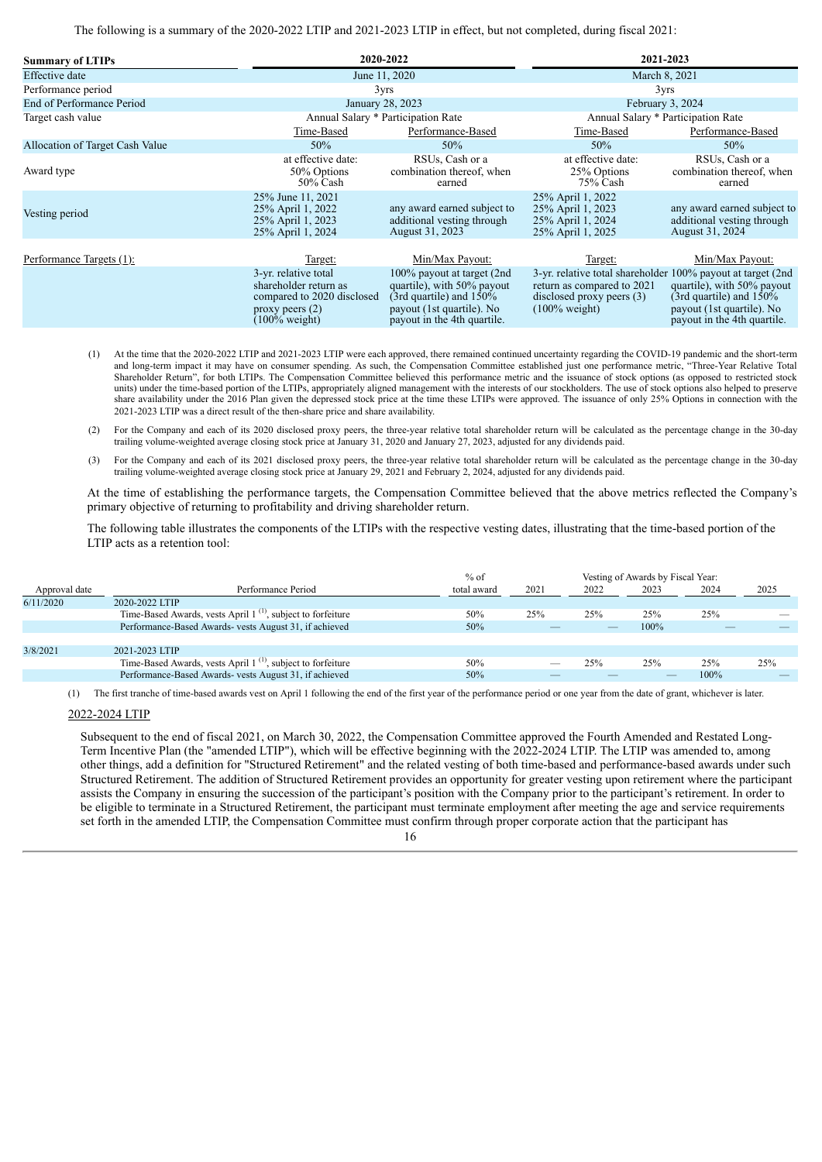The following is a summary of the 2020-2022 LTIP and 2021-2023 LTIP in effect, but not completed, during fiscal 2021:

| <b>Summary of LTIPs</b>         |                                                                                                                              | 2020-2022                                                                                                                                           | 2021-2023                                                                                                                                             |                                                                                                                      |  |  |  |  |  |
|---------------------------------|------------------------------------------------------------------------------------------------------------------------------|-----------------------------------------------------------------------------------------------------------------------------------------------------|-------------------------------------------------------------------------------------------------------------------------------------------------------|----------------------------------------------------------------------------------------------------------------------|--|--|--|--|--|
| Effective date                  |                                                                                                                              | June 11, 2020                                                                                                                                       | March 8, 2021                                                                                                                                         |                                                                                                                      |  |  |  |  |  |
| Performance period              |                                                                                                                              | 3yrs                                                                                                                                                | 3yrs                                                                                                                                                  |                                                                                                                      |  |  |  |  |  |
| End of Performance Period       |                                                                                                                              | January 28, 2023                                                                                                                                    | February 3, 2024                                                                                                                                      |                                                                                                                      |  |  |  |  |  |
| Target cash value               |                                                                                                                              | Annual Salary * Participation Rate                                                                                                                  | Annual Salary * Participation Rate                                                                                                                    |                                                                                                                      |  |  |  |  |  |
|                                 | Time-Based                                                                                                                   | Performance-Based                                                                                                                                   | Time-Based                                                                                                                                            | Performance-Based                                                                                                    |  |  |  |  |  |
| Allocation of Target Cash Value | 50%                                                                                                                          | 50%                                                                                                                                                 | 50%                                                                                                                                                   | 50%                                                                                                                  |  |  |  |  |  |
| Award type                      | at effective date:<br>50% Options<br>$50\%$ Cash                                                                             | RSUs, Cash or a<br>combination thereof, when<br>earned                                                                                              | at effective date:<br>25% Options<br>75% Cash                                                                                                         | RSUs, Cash or a<br>combination thereof, when<br>earned                                                               |  |  |  |  |  |
| Vesting period                  | 25% June 11, 2021<br>25% April 1, 2022<br>25% April 1, 2023<br>25% April 1, 2024                                             | any award earned subject to<br>additional vesting through<br>August 31, 2023                                                                        | 25% April 1, 2022<br>25% April 1, 2023<br>25% April 1, 2024<br>25% April 1, 2025                                                                      | any award earned subject to<br>additional vesting through<br>August 31, 2024                                         |  |  |  |  |  |
| Performance Targets (1):        | Target:                                                                                                                      | Min/Max Payout:                                                                                                                                     | Target:                                                                                                                                               | Min/Max Payout:                                                                                                      |  |  |  |  |  |
|                                 | 3-yr. relative total<br>shareholder return as<br>compared to 2020 disclosed<br>proxy peers $(2)$<br>$(100\% \text{ weight})$ | 100% payout at target (2nd)<br>quartile), with 50% payout<br>(3rd quartile) and $150\%$<br>payout (1st quartile). No<br>payout in the 4th quartile. | 3-yr. relative total shareholder 100% payout at target (2nd)<br>return as compared to 2021<br>disclosed proxy peers $(3)$<br>$(100\% \text{ weight})$ | quartile), with 50% payout<br>(3rd quartile) and $150\%$<br>payout (1st quartile). No<br>payout in the 4th quartile. |  |  |  |  |  |

- (1) At the time that the 2020-2022 LTIP and 2021-2023 LTIP were each approved, there remained continued uncertainty regarding the COVID-19 pandemic and the short-term and long-term impact it may have on consumer spending. As such, the Compensation Committee established just one performance metric, "Three-Year Relative Total Shareholder Return", for both LTIPs. The Compensation Committee believed this performance metric and the issuance of stock options (as opposed to restricted stock units) under the time-based portion of the LTIPs, appropriately aligned management with the interests of our stockholders. The use of stock options also helped to preserve share availability under the 2016 Plan given the depressed stock price at the time these LTIPs were approved. The issuance of only 25% Options in connection with the 2021-2023 LTIP was a direct result of the then-share price and share availability.
- (2) For the Company and each of its 2020 disclosed proxy peers, the three-year relative total shareholder return will be calculated as the percentage change in the 30-day trailing volume-weighted average closing stock price at January 31, 2020 and January 27, 2023, adjusted for any dividends paid.
- (3) For the Company and each of its 2021 disclosed proxy peers, the three-year relative total shareholder return will be calculated as the percentage change in the 30-day trailing volume-weighted average closing stock price at January 29, 2021 and February 2, 2024, adjusted for any dividends paid.

At the time of establishing the performance targets, the Compensation Committee believed that the above metrics reflected the Company's primary objective of returning to profitability and driving shareholder return.

The following table illustrates the components of the LTIPs with the respective vesting dates, illustrating that the time-based portion of the LTIP acts as a retention tool:

|               |                                                                         | $%$ of      |      | Vesting of Awards by Fiscal Year: |      |      |      |  |
|---------------|-------------------------------------------------------------------------|-------------|------|-----------------------------------|------|------|------|--|
| Approval date | Performance Period                                                      | total award | 2021 | 2022                              | 2023 | 2024 | 2025 |  |
| 6/11/2020     | 2020-2022 LTIP                                                          |             |      |                                   |      |      |      |  |
|               | Time-Based Awards, vests April 1 <sup>(1)</sup> , subject to forfeiture | 50%         | 25%  | 25%                               | 25%  | 25%  |      |  |
|               | Performance-Based Awards- vests August 31, if achieved                  | 50%         |      |                                   | 100% |      |      |  |
|               |                                                                         |             |      |                                   |      |      |      |  |
| 3/8/2021      | 2021-2023 LTIP                                                          |             |      |                                   |      |      |      |  |
|               | Time-Based Awards, vests April 1 <sup>(1)</sup> , subject to forfeiture | 50%         |      | 25%                               | 25%  | 25%  | 25%  |  |
|               | Performance-Based Awards- vests August 31, if achieved                  | 50%         |      |                                   |      | 100% |      |  |

(1) The first tranche of time-based awards vest on April 1 following the end of the first year of the performance period or one year from the date of grant, whichever is later.

## 2022-2024 LTIP

Subsequent to the end of fiscal 2021, on March 30, 2022, the Compensation Committee approved the Fourth Amended and Restated Long-Term Incentive Plan (the "amended LTIP"), which will be effective beginning with the 2022-2024 LTIP. The LTIP was amended to, among other things, add a definition for "Structured Retirement" and the related vesting of both time-based and performance-based awards under such Structured Retirement. The addition of Structured Retirement provides an opportunity for greater vesting upon retirement where the participant assists the Company in ensuring the succession of the participant's position with the Company prior to the participant's retirement. In order to be eligible to terminate in a Structured Retirement, the participant must terminate employment after meeting the age and service requirements set forth in the amended LTIP, the Compensation Committee must confirm through proper corporate action that the participant has 16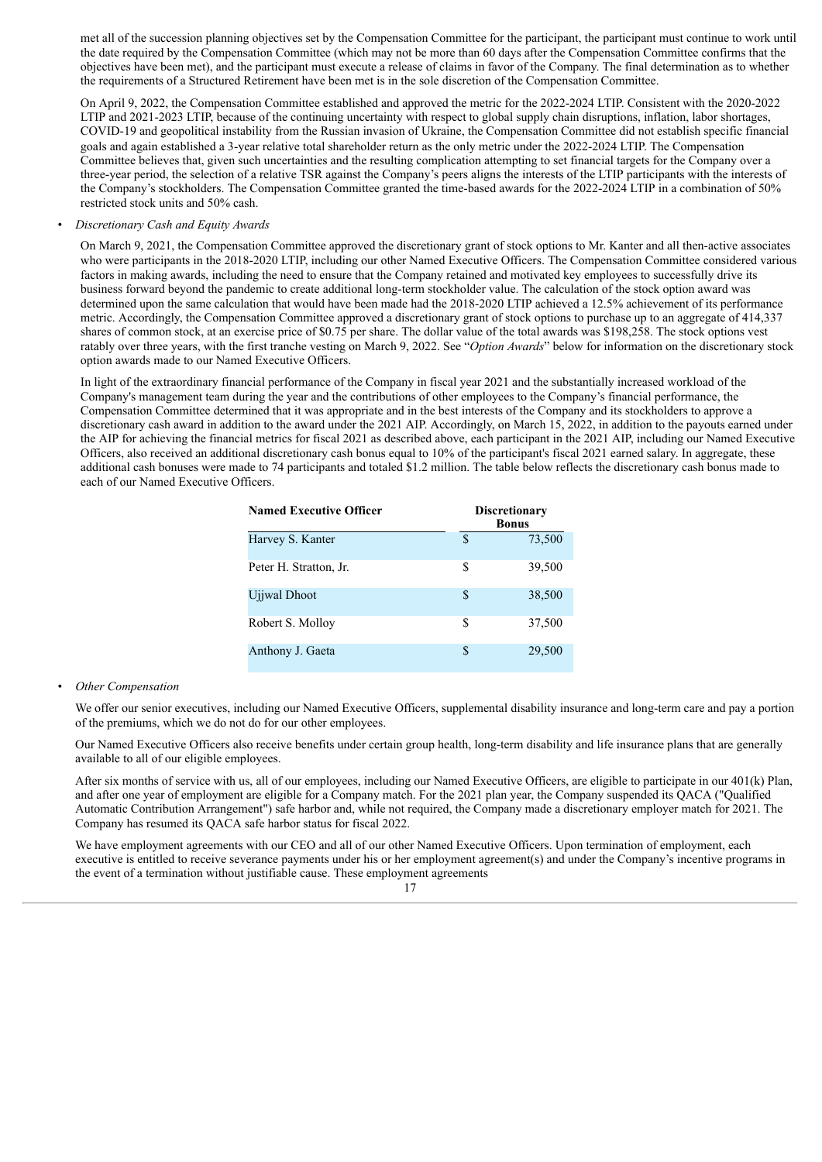met all of the succession planning objectives set by the Compensation Committee for the participant, the participant must continue to work until the date required by the Compensation Committee (which may not be more than 60 days after the Compensation Committee confirms that the objectives have been met), and the participant must execute a release of claims in favor of the Company. The final determination as to whether the requirements of a Structured Retirement have been met is in the sole discretion of the Compensation Committee.

On April 9, 2022, the Compensation Committee established and approved the metric for the 2022-2024 LTIP. Consistent with the 2020-2022 LTIP and 2021-2023 LTIP, because of the continuing uncertainty with respect to global supply chain disruptions, inflation, labor shortages, COVID-19 and geopolitical instability from the Russian invasion of Ukraine, the Compensation Committee did not establish specific financial goals and again established a 3-year relative total shareholder return as the only metric under the 2022-2024 LTIP. The Compensation Committee believes that, given such uncertainties and the resulting complication attempting to set financial targets for the Company over a three-year period, the selection of a relative TSR against the Company's peers aligns the interests of the LTIP participants with the interests of the Company's stockholders. The Compensation Committee granted the time-based awards for the 2022-2024 LTIP in a combination of 50% restricted stock units and 50% cash.

## • *Discretionary Cash and Equity Awards*

On March 9, 2021, the Compensation Committee approved the discretionary grant of stock options to Mr. Kanter and all then-active associates who were participants in the 2018-2020 LTIP, including our other Named Executive Officers. The Compensation Committee considered various factors in making awards, including the need to ensure that the Company retained and motivated key employees to successfully drive its business forward beyond the pandemic to create additional long-term stockholder value. The calculation of the stock option award was determined upon the same calculation that would have been made had the 2018-2020 LTIP achieved a 12.5% achievement of its performance metric. Accordingly, the Compensation Committee approved a discretionary grant of stock options to purchase up to an aggregate of 414,337 shares of common stock, at an exercise price of \$0.75 per share. The dollar value of the total awards was \$198,258. The stock options vest ratably over three years, with the first tranche vesting on March 9, 2022. See "*Option Awards*" below for information on the discretionary stock option awards made to our Named Executive Officers.

In light of the extraordinary financial performance of the Company in fiscal year 2021 and the substantially increased workload of the Company's management team during the year and the contributions of other employees to the Company's financial performance, the Compensation Committee determined that it was appropriate and in the best interests of the Company and its stockholders to approve a discretionary cash award in addition to the award under the 2021 AIP. Accordingly, on March 15, 2022, in addition to the payouts earned under the AIP for achieving the financial metrics for fiscal 2021 as described above, each participant in the 2021 AIP, including our Named Executive Officers, also received an additional discretionary cash bonus equal to 10% of the participant's fiscal 2021 earned salary. In aggregate, these additional cash bonuses were made to 74 participants and totaled \$1.2 million. The table below reflects the discretionary cash bonus made to each of our Named Executive Officers.

| <b>Named Executive Officer</b> |     | <b>Discretionary</b><br><b>Bonus</b> |  |  |  |  |
|--------------------------------|-----|--------------------------------------|--|--|--|--|
| Harvey S. Kanter               | S   | 73,500                               |  |  |  |  |
| Peter H. Stratton, Jr.         | \$  | 39,500                               |  |  |  |  |
| Ujiwal Dhoot                   | \$. | 38,500                               |  |  |  |  |
| Robert S. Molloy               | S   | 37,500                               |  |  |  |  |
| Anthony J. Gaeta               | \$. | 29,500                               |  |  |  |  |

#### • *Other Compensation*

We offer our senior executives, including our Named Executive Officers, supplemental disability insurance and long-term care and pay a portion of the premiums, which we do not do for our other employees.

Our Named Executive Officers also receive benefits under certain group health, long-term disability and life insurance plans that are generally available to all of our eligible employees.

After six months of service with us, all of our employees, including our Named Executive Officers, are eligible to participate in our 401(k) Plan, and after one year of employment are eligible for a Company match. For the 2021 plan year, the Company suspended its QACA ("Qualified Automatic Contribution Arrangement") safe harbor and, while not required, the Company made a discretionary employer match for 2021. The Company has resumed its QACA safe harbor status for fiscal 2022.

We have employment agreements with our CEO and all of our other Named Executive Officers. Upon termination of employment, each executive is entitled to receive severance payments under his or her employment agreement(s) and under the Company's incentive programs in the event of a termination without justifiable cause. These employment agreements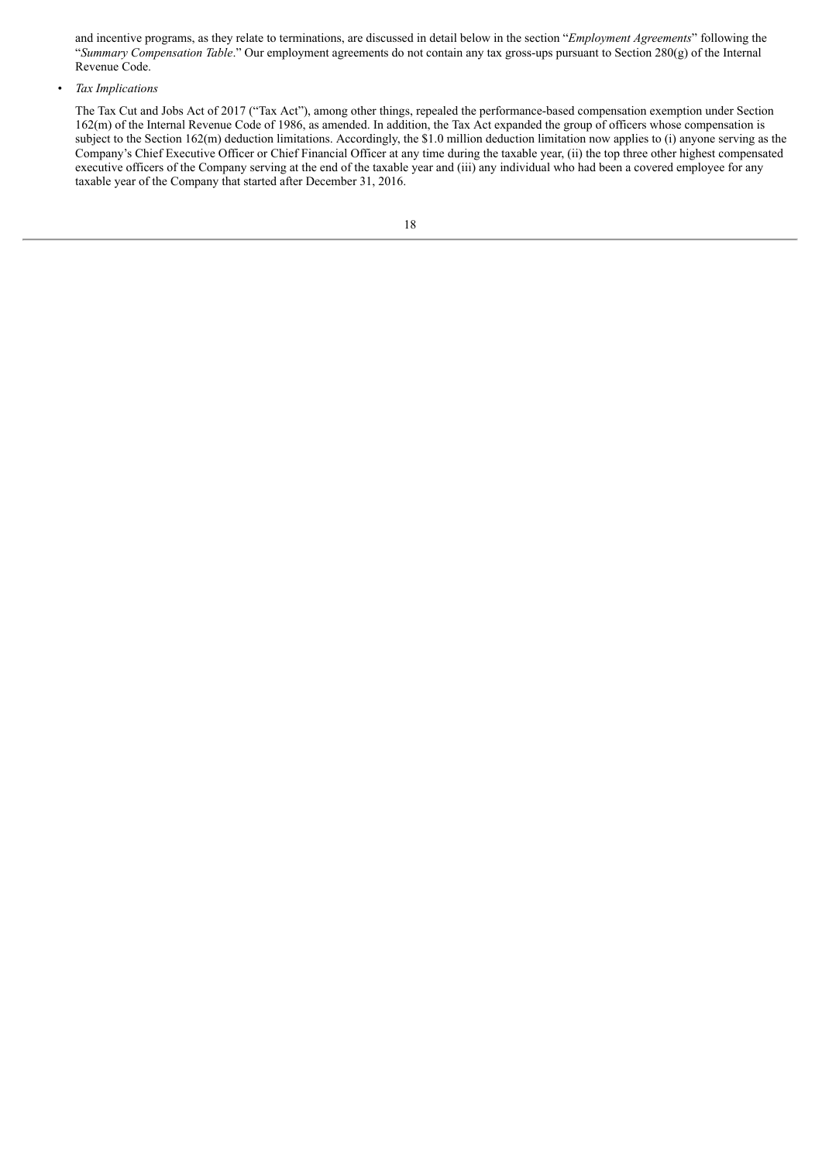and incentive programs, as they relate to terminations, are discussed in detail below in the section "*Employment Agreements*" following the "*Summary Compensation Table*." Our employment agreements do not contain any tax gross-ups pursuant to Section 280(g) of the Internal Revenue Code.

#### • *Tax Implications*

The Tax Cut and Jobs Act of 2017 ("Tax Act"), among other things, repealed the performance-based compensation exemption under Section 162(m) of the Internal Revenue Code of 1986, as amended. In addition, the Tax Act expanded the group of officers whose compensation is subject to the Section 162(m) deduction limitations. Accordingly, the \$1.0 million deduction limitation now applies to (i) anyone serving as the Company's Chief Executive Officer or Chief Financial Officer at any time during the taxable year, (ii) the top three other highest compensated executive officers of the Company serving at the end of the taxable year and (iii) any individual who had been a covered employee for any taxable year of the Company that started after December 31, 2016.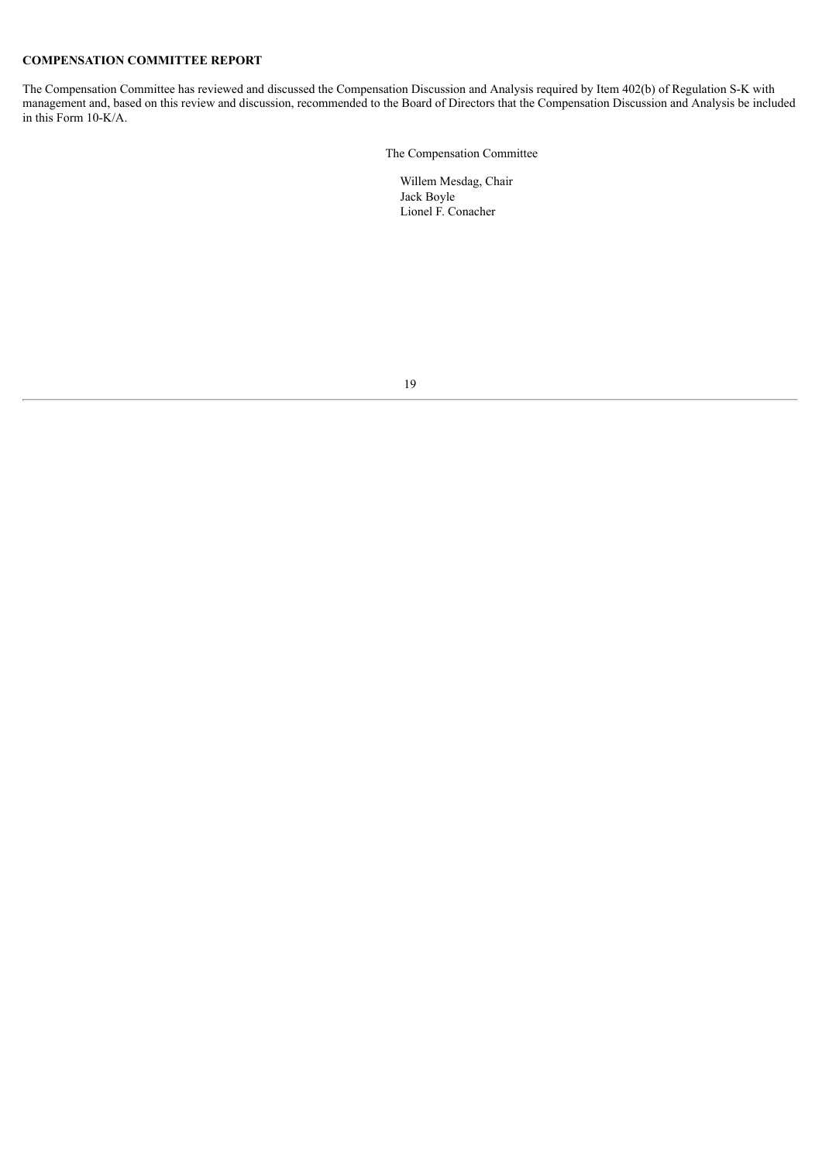## **COMPENSATION COMMITTEE REPORT**

The Compensation Committee has reviewed and discussed the Compensation Discussion and Analysis required by Item 402(b) of Regulation S-K with management and, based on this review and discussion, recommended to the Board of Directors that the Compensation Discussion and Analysis be included in this Form 10-K/A.

The Compensation Committee

Willem Mesdag, Chair Jack Boyle Lionel F. Conacher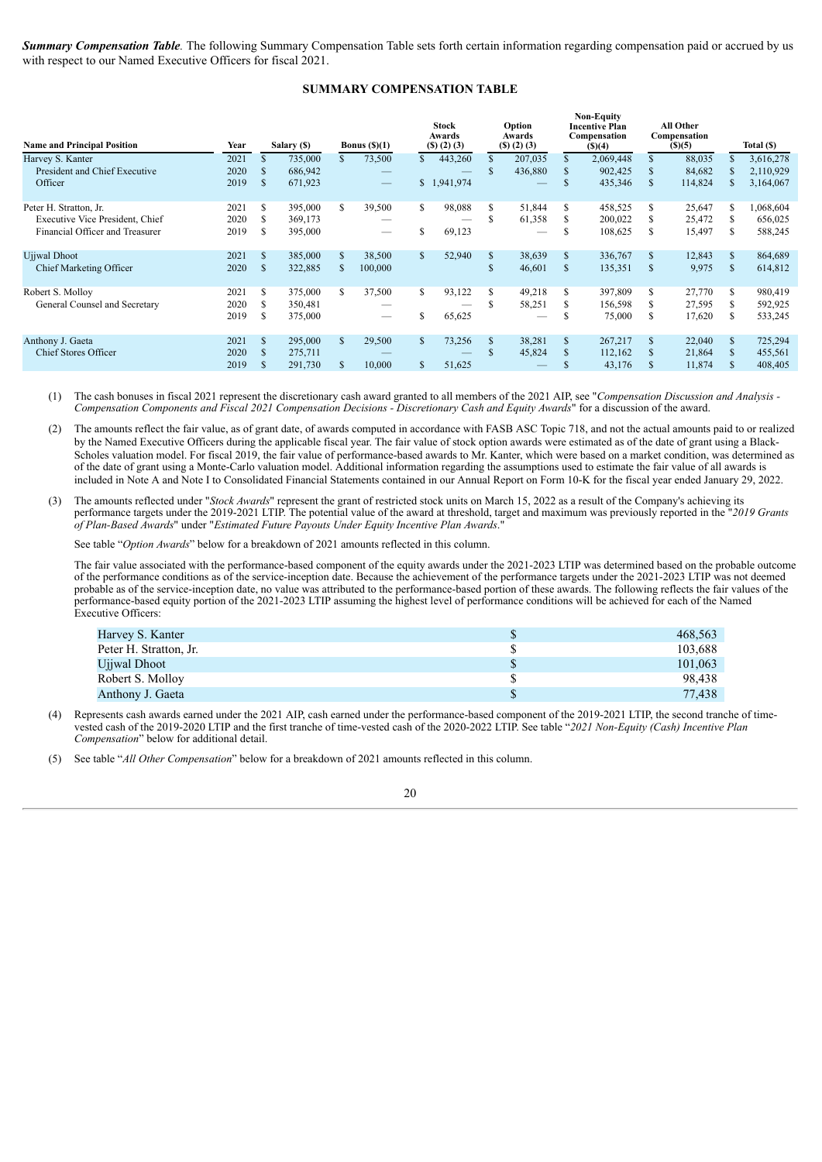*Summary Compensation Table.* The following Summary Compensation Table sets forth certain information regarding compensation paid or accrued by us with respect to our Named Executive Officers for fiscal 2021.

## **SUMMARY COMPENSATION TABLE**

| <b>Name and Principal Position</b>     | Year |               | Salary (\$) |    | Bonus $(S)(1)$           |              | <b>Stock</b><br>Awards<br>(5)(2)(3) |               | Option<br>Awards<br>$($ S $)$ $(2)$ $(3)$ |   | <b>Non-Equity</b><br><b>Incentive Plan</b><br>Compensation<br>(S)(4) |     | All Other<br>Compensation<br>(S)(5) |     | Total (\$) |
|----------------------------------------|------|---------------|-------------|----|--------------------------|--------------|-------------------------------------|---------------|-------------------------------------------|---|----------------------------------------------------------------------|-----|-------------------------------------|-----|------------|
| Harvey S. Kanter                       | 2021 |               | 735,000     |    | 73,500                   | $\mathbf{s}$ | 443,260                             | \$            | 207,035                                   |   | 2,069,448                                                            | \$  | 88,035                              |     | 3,616,278  |
| President and Chief Executive          | 2020 | S.            | 686,942     |    | $\hspace{0.05cm}$        |              |                                     | \$            | 436,880                                   |   | 902,425                                                              |     | 84,682                              |     | 2,110,929  |
| Officer                                | 2019 | S             | 671,923     |    | $\overline{\phantom{m}}$ |              | \$1,941,974                         |               |                                           |   | 435,346                                                              | \$. | 114,824                             |     | 3,164,067  |
| Peter H. Stratton, Jr.                 | 2021 | S             | 395,000     | S. | 39,500                   | S.           | 98,088                              | \$            | 51,844                                    |   | 458,525                                                              | S   | 25,647                              |     | 1,068,604  |
| <b>Executive Vice President, Chief</b> | 2020 | S             | 369,173     |    |                          |              |                                     | \$            | 61,358                                    |   | 200,022                                                              |     | 25,472                              |     | 656,025    |
| Financial Officer and Treasurer        | 2019 | S             | 395,000     |    |                          | \$           | 69,123                              |               |                                           | S | 108,625                                                              | S   | 15,497                              | S.  | 588,245    |
| Ujiwal Dhoot                           | 2021 | \$            | 385,000     | S. | 38,500                   | $\mathbf{s}$ | 52,940                              | \$            | 38,639                                    |   | 336,767                                                              | \$. | 12,843                              |     | 864,689    |
| Chief Marketing Officer                | 2020 | \$            | 322,885     |    | 100,000                  |              |                                     | \$            | 46,601                                    |   | 135,351                                                              | \$. | 9,975                               | \$. | 614,812    |
| Robert S. Molloy                       | 2021 | S             | 375,000     | S. | 37,500                   | \$           | 93,122                              | \$            | 49,218                                    |   | 397,809                                                              | S   | 27,770                              |     | 980,419    |
| General Counsel and Secretary          | 2020 |               | 350,481     |    |                          |              |                                     | S             | 58,251                                    |   | 156,598                                                              |     | 27,595                              |     | 592,925    |
|                                        | 2019 | S             | 375,000     |    |                          |              | 65,625                              |               |                                           |   | 75,000                                                               |     | 17,620                              |     | 533,245    |
| Anthony J. Gaeta                       | 2021 | <sup>\$</sup> | 295,000     | S. | 29,500                   | \$.          | 73,256                              | <sup>\$</sup> | 38,281                                    |   | 267,217                                                              |     | 22,040                              |     | 725,294    |
| Chief Stores Officer                   | 2020 |               | 275,711     |    |                          |              |                                     | \$            | 45,824                                    |   | 112,162                                                              |     | 21,864                              |     | 455,561    |
|                                        | 2019 |               | 291,730     |    | 10,000                   | \$           | 51,625                              |               |                                           |   | 43,176                                                               |     | 11,874                              |     | 408,405    |

(1) The cash bonuses in fiscal 2021 represent the discretionary cash award granted to all members of the 2021 AIP, see "*Compensation Discussion and Analysis - Compensation Components and Fiscal 2021 Compensation Decisions - Discretionary Cash and Equity Awards*" for a discussion of the award.

(2) The amounts reflect the fair value, as of grant date, of awards computed in accordance with FASB ASC Topic 718, and not the actual amounts paid to or realized by the Named Executive Officers during the applicable fiscal year. The fair value of stock option awards were estimated as of the date of grant using a Black-Scholes valuation model. For fiscal 2019, the fair value of performance-based awards to Mr. Kanter, which were based on a market condition, was determined as of the date of grant using a Monte-Carlo valuation model. Additional information regarding the assumptions used to estimate the fair value of all awards is included in Note A and Note I to Consolidated Financial Statements contained in our Annual Report on Form 10-K for the fiscal year ended January 29, 2022.

(3) The amounts reflected under "*Stock Awards*" represent the grant of restricted stock units on March 15, 2022 as a result of the Company's achieving its performance targets under the 2019-2021 LTIP. The potential value of the award at threshold, target and maximum was previously reported in the "*2019 Grants of Plan-Based Awards*" under "*Estimated Future Payouts Under Equity Incentive Plan Awards*."

See table "*Option Awards*" below for a breakdown of 2021 amounts reflected in this column.

The fair value associated with the performance-based component of the equity awards under the 2021-2023 LTIP was determined based on the probable outcome of the performance conditions as of the service-inception date. Because the achievement of the performance targets under the 2021-2023 LTIP was not deemed probable as of the service-inception date, no value was attributed to the performance-based portion of these awards. The following reflects the fair values of the performance-based equity portion of the 2021-2023 LTIP assuming the highest level of performance conditions will be achieved for each of the Named Executive Officers:

| Harvey S. Kanter       | 468,563 |
|------------------------|---------|
| Peter H. Stratton, Jr. | 103.688 |
| Ujiwal Dhoot           | 101,063 |
| Robert S. Molloy       | 98.438  |
| Anthony J. Gaeta       | 77.438  |

(4) Represents cash awards earned under the 2021 AIP, cash earned under the performance-based component of the 2019-2021 LTIP, the second tranche of timevested cash of the 2019-2020 LTIP and the first tranche of time-vested cash of the 2020-2022 LTIP. See table "*2021 Non-Equity (Cash) Incentive Plan Compensation*" below for additional detail.

(5) See table "*All Other Compensation*" below for a breakdown of 2021 amounts reflected in this column.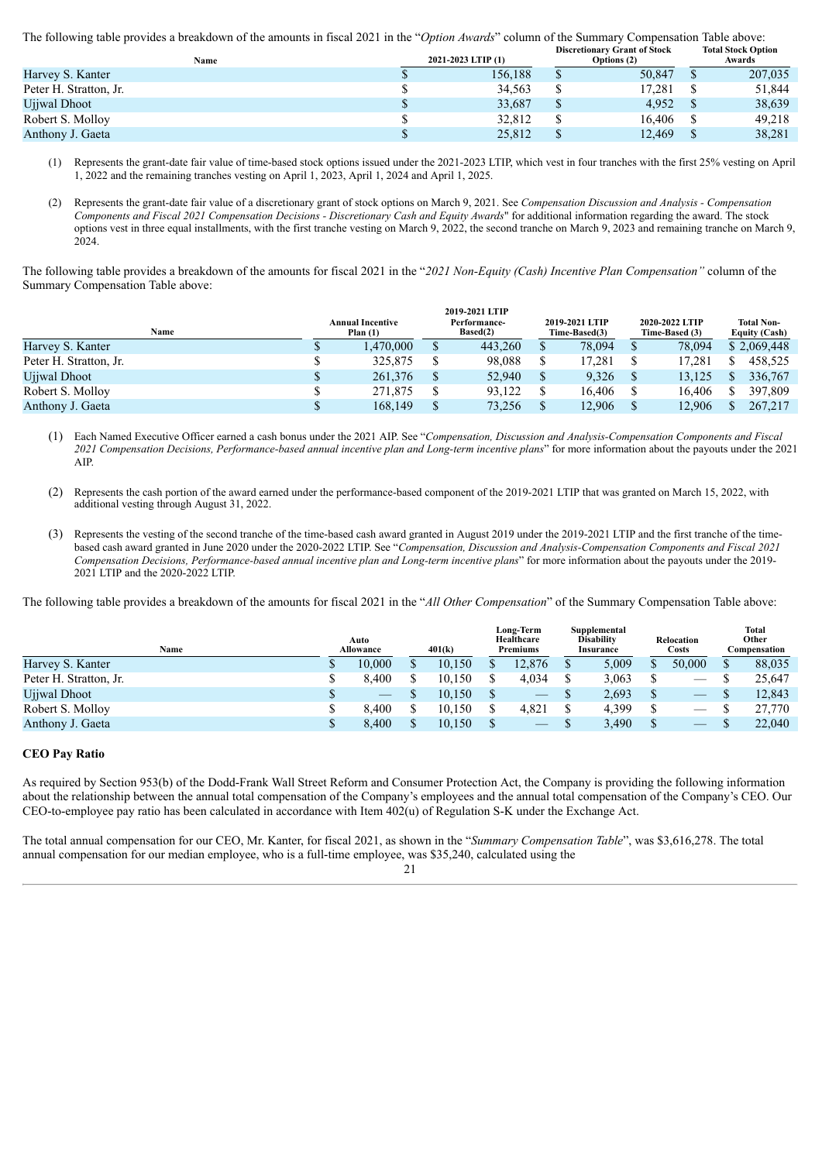The following table provides a breakdown of the amounts in fiscal 2021 in the "*Option Awards*" column of the Summary Compensation Table above:

| Name                   |  | 2021-2023 LTIP (1) | <b>Discretionary Grant of Stock</b><br>Options (2) | <b>Total Stock Option</b><br>Awards |
|------------------------|--|--------------------|----------------------------------------------------|-------------------------------------|
| Harvey S. Kanter       |  | 156.188            | 50.847                                             | 207,035                             |
| Peter H. Stratton, Jr. |  | 34.563             | 17.281                                             | 51,844                              |
| Ujjwal Dhoot           |  | 33,687             | 4,952                                              | 38,639                              |
| Robert S. Molloy       |  | 32,812             | 16.406                                             | 49.218                              |
| Anthony J. Gaeta       |  | 25,812             | 12,469                                             | 38,281                              |
|                        |  |                    |                                                    |                                     |

(1) Represents the grant-date fair value of time-based stock options issued under the 2021-2023 LTIP, which vest in four tranches with the first 25% vesting on April 1, 2022 and the remaining tranches vesting on April 1, 2023, April 1, 2024 and April 1, 2025.

(2) Represents the grant-date fair value of a discretionary grant of stock options on March 9, 2021. See *Compensation Discussion and Analysis - Compensation Components and Fiscal 2021 Compensation Decisions - Discretionary Cash and Equity Awards*" for additional information regarding the award. The stock options vest in three equal installments, with the first tranche vesting on March 9, 2022, the second tranche on March 9, 2023 and remaining tranche on March 9, 2024.

The following table provides a breakdown of the amounts for fiscal 2021 in the "*2021 Non-Equity (Cash) Incentive Plan Compensation"* column of the Summary Compensation Table above:

| Name                   | <b>Annual Incentive</b><br>Plan $(1)$ | Performance-<br>Based(2) | 2019-2021 LTIP<br>Time-Based(3) |  | 2020-2022 LTIP<br>Time-Based (3) | <b>Total Non-</b><br><b>Equity (Cash)</b> |
|------------------------|---------------------------------------|--------------------------|---------------------------------|--|----------------------------------|-------------------------------------------|
| Harvey S. Kanter       | .470.000                              | 443.260                  | 78,094                          |  | 78,094                           | \$2,069,448                               |
| Peter H. Stratton, Jr. | 325,875                               | 98.088                   | 17,281                          |  | 17.281                           | 458.525                                   |
| Ujiwal Dhoot           | 261.376                               | 52.940                   | 9.326                           |  | 13.125                           | 336,767                                   |
| Robert S. Molloy       | 271.875                               | 93.122                   | 16,406                          |  | 16.406                           | 397,809                                   |
| Anthony J. Gaeta       | 168.149                               | 73,256                   | 12.906                          |  | 12.906                           | 267.217                                   |

- (1) Each Named Executive Officer earned a cash bonus under the 2021 AIP. See "*Compensation, Discussion and Analysis-Compensation Components and Fiscal 2021 Compensation Decisions, Performance-based annual incentive plan and Long-term incentive plans*" for more information about the payouts under the 2021 AIP.
- (2) Represents the cash portion of the award earned under the performance-based component of the 2019-2021 LTIP that was granted on March 15, 2022, with additional vesting through August 31, 2022.
- (3) Represents the vesting of the second tranche of the time-based cash award granted in August 2019 under the 2019-2021 LTIP and the first tranche of the timebased cash award granted in June 2020 under the 2020-2022 LTIP. See "*Compensation, Discussion and Analysis-Compensation Components and Fiscal 2021 Compensation Decisions, Performance-based annual incentive plan and Long-term incentive plans*" for more information about the payouts under the 2019- 2021 LTIP and the 2020-2022 LTIP.

The following table provides a breakdown of the amounts for fiscal 2021 in the "*All Other Compensation*" of the Summary Compensation Table above:

| Name                   |  | Auto<br>Allowance | 401(k) |        | Long-Term<br>Healthcare<br><b>Premiums</b> |                                 | Supplemental<br><b>Disability</b><br><b>Insurance</b> |       | Relocation<br>Costs |        | <b>Total</b><br>Other<br>Compensation |        |
|------------------------|--|-------------------|--------|--------|--------------------------------------------|---------------------------------|-------------------------------------------------------|-------|---------------------|--------|---------------------------------------|--------|
| Harvey S. Kanter       |  | 10.000            |        | 10.150 |                                            | 12.876                          |                                                       | 5,009 |                     | 50,000 |                                       | 88,035 |
| Peter H. Stratton, Jr. |  | 8.400             |        | 10.150 |                                            | 4.034                           |                                                       | 3,063 |                     | —      |                                       | 25.647 |
| Ujiwal Dhoot           |  |                   |        | 10.150 |                                            | $\hspace{0.1mm}-\hspace{0.1mm}$ |                                                       | 2,693 |                     |        |                                       | 12,843 |
| Robert S. Molloy       |  | 8.400             |        | 10.150 |                                            | 4.821                           |                                                       | 4,399 |                     |        |                                       | 27,770 |
| Anthony J. Gaeta       |  | 8.400             |        | 10,150 |                                            |                                 |                                                       | 3,490 |                     | $-$    |                                       | 22,040 |

## **CEO Pay Ratio**

As required by Section 953(b) of the Dodd-Frank Wall Street Reform and Consumer Protection Act, the Company is providing the following information about the relationship between the annual total compensation of the Company's employees and the annual total compensation of the Company's CEO. Our CEO-to-employee pay ratio has been calculated in accordance with Item 402(u) of Regulation S-K under the Exchange Act.

The total annual compensation for our CEO, Mr. Kanter, for fiscal 2021, as shown in the "*Summary Compensation Table*", was \$3,616,278. The total annual compensation for our median employee, who is a full-time employee, was \$35,240, calculated using the

<sup>21</sup>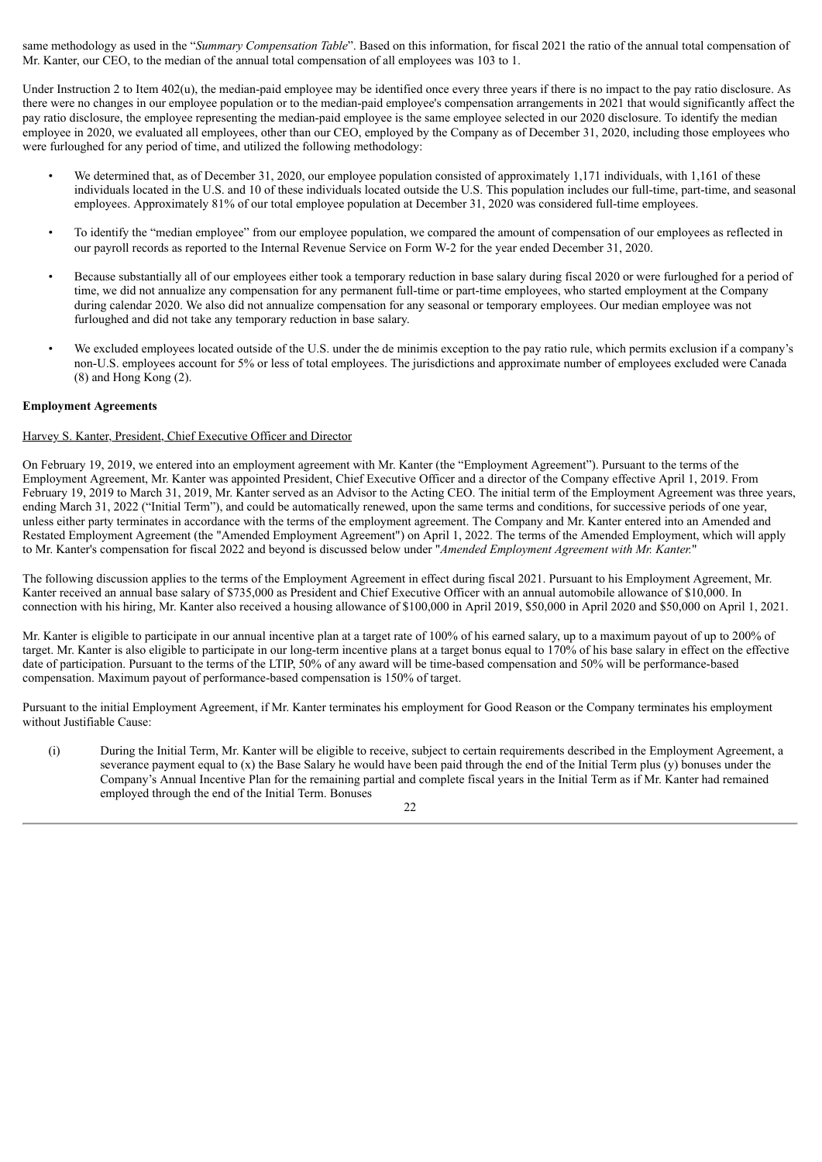same methodology as used in the "*Summary Compensation Table*". Based on this information, for fiscal 2021 the ratio of the annual total compensation of Mr. Kanter, our CEO, to the median of the annual total compensation of all employees was 103 to 1.

Under Instruction 2 to Item 402(u), the median-paid employee may be identified once every three years if there is no impact to the pay ratio disclosure. As there were no changes in our employee population or to the median-paid employee's compensation arrangements in 2021 that would significantly affect the pay ratio disclosure, the employee representing the median-paid employee is the same employee selected in our 2020 disclosure. To identify the median employee in 2020, we evaluated all employees, other than our CEO, employed by the Company as of December 31, 2020, including those employees who were furloughed for any period of time, and utilized the following methodology:

- We determined that, as of December 31, 2020, our employee population consisted of approximately 1,171 individuals, with 1,161 of these individuals located in the U.S. and 10 of these individuals located outside the U.S. This population includes our full-time, part-time, and seasonal employees. Approximately 81% of our total employee population at December 31, 2020 was considered full-time employees.
- To identify the "median employee" from our employee population, we compared the amount of compensation of our employees as reflected in our payroll records as reported to the Internal Revenue Service on Form W-2 for the year ended December 31, 2020.
- Because substantially all of our employees either took a temporary reduction in base salary during fiscal 2020 or were furloughed for a period of time, we did not annualize any compensation for any permanent full-time or part-time employees, who started employment at the Company during calendar 2020. We also did not annualize compensation for any seasonal or temporary employees. Our median employee was not furloughed and did not take any temporary reduction in base salary.
- We excluded employees located outside of the U.S. under the de minimis exception to the pay ratio rule, which permits exclusion if a company's non-U.S. employees account for 5% or less of total employees. The jurisdictions and approximate number of employees excluded were Canada (8) and Hong Kong (2).

## **Employment Agreements**

## Harvey S. Kanter, President, Chief Executive Officer and Director

On February 19, 2019, we entered into an employment agreement with Mr. Kanter (the "Employment Agreement"). Pursuant to the terms of the Employment Agreement, Mr. Kanter was appointed President, Chief Executive Officer and a director of the Company effective April 1, 2019. From February 19, 2019 to March 31, 2019, Mr. Kanter served as an Advisor to the Acting CEO. The initial term of the Employment Agreement was three years, ending March 31, 2022 ("Initial Term"), and could be automatically renewed, upon the same terms and conditions, for successive periods of one year, unless either party terminates in accordance with the terms of the employment agreement. The Company and Mr. Kanter entered into an Amended and Restated Employment Agreement (the "Amended Employment Agreement") on April 1, 2022. The terms of the Amended Employment, which will apply to Mr. Kanter's compensation for fiscal 2022 and beyond is discussed below under "*Amended Employment Agreement with Mr. Kanter.*"

The following discussion applies to the terms of the Employment Agreement in effect during fiscal 2021. Pursuant to his Employment Agreement, Mr. Kanter received an annual base salary of \$735,000 as President and Chief Executive Officer with an annual automobile allowance of \$10,000. In connection with his hiring, Mr. Kanter also received a housing allowance of \$100,000 in April 2019, \$50,000 in April 2020 and \$50,000 on April 1, 2021.

Mr. Kanter is eligible to participate in our annual incentive plan at a target rate of 100% of his earned salary, up to a maximum payout of up to 200% of target. Mr. Kanter is also eligible to participate in our long-term incentive plans at a target bonus equal to 170% of his base salary in effect on the effective date of participation. Pursuant to the terms of the LTIP, 50% of any award will be time-based compensation and 50% will be performance-based compensation. Maximum payout of performance-based compensation is 150% of target.

Pursuant to the initial Employment Agreement, if Mr. Kanter terminates his employment for Good Reason or the Company terminates his employment without Justifiable Cause:

- (i) During the Initial Term, Mr. Kanter will be eligible to receive, subject to certain requirements described in the Employment Agreement, a severance payment equal to  $(x)$  the Base Salary he would have been paid through the end of the Initial Term plus  $(y)$  bonuses under the Company's Annual Incentive Plan for the remaining partial and complete fiscal years in the Initial Term as if Mr. Kanter had remained employed through the end of the Initial Term. Bonuses
	- 22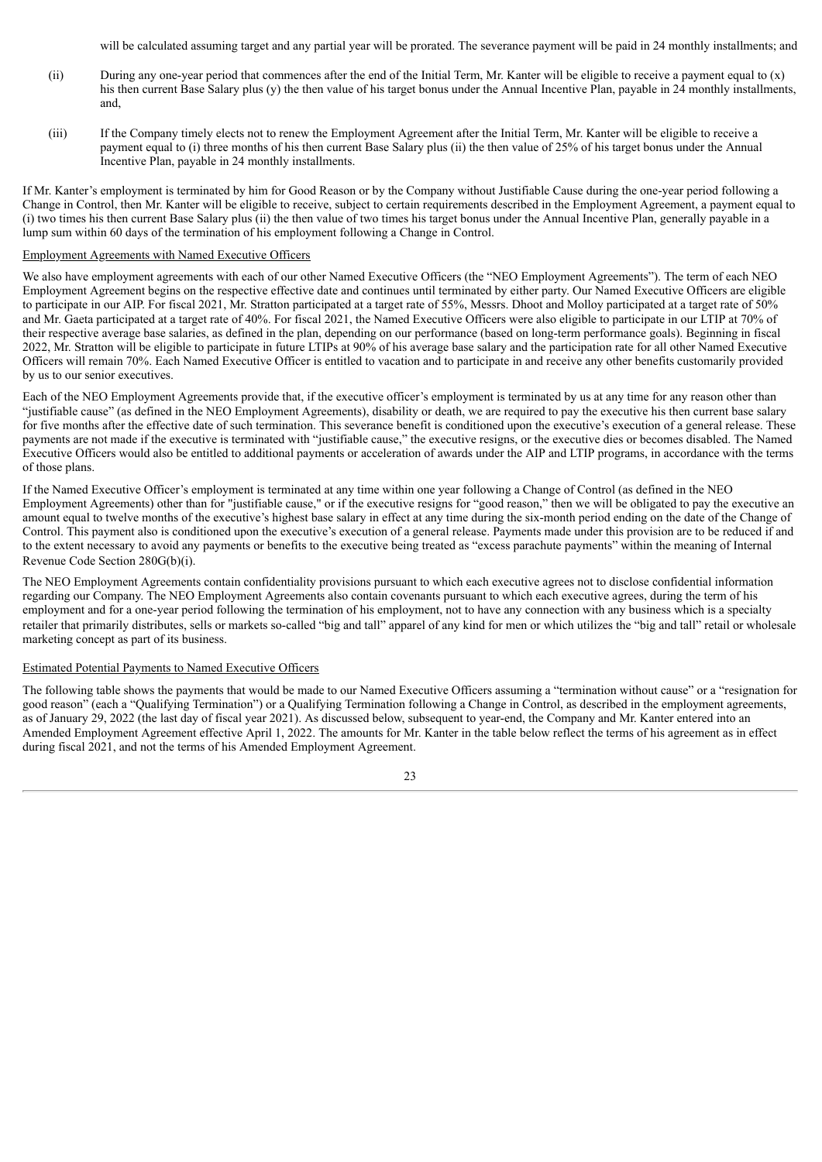will be calculated assuming target and any partial year will be prorated. The severance payment will be paid in 24 monthly installments; and

- (ii) During any one-year period that commences after the end of the Initial Term, Mr. Kanter will be eligible to receive a payment equal to (x) his then current Base Salary plus (y) the then value of his target bonus under the Annual Incentive Plan, payable in 24 monthly installments. and,
- (iii) If the Company timely elects not to renew the Employment Agreement after the Initial Term, Mr. Kanter will be eligible to receive a payment equal to (i) three months of his then current Base Salary plus (ii) the then value of 25% of his target bonus under the Annual Incentive Plan, payable in 24 monthly installments.

If Mr. Kanter's employment is terminated by him for Good Reason or by the Company without Justifiable Cause during the one-year period following a Change in Control, then Mr. Kanter will be eligible to receive, subject to certain requirements described in the Employment Agreement, a payment equal to (i) two times his then current Base Salary plus (ii) the then value of two times his target bonus under the Annual Incentive Plan, generally payable in a lump sum within 60 days of the termination of his employment following a Change in Control.

#### Employment Agreements with Named Executive Officers

We also have employment agreements with each of our other Named Executive Officers (the "NEO Employment Agreements"). The term of each NEO Employment Agreement begins on the respective effective date and continues until terminated by either party. Our Named Executive Officers are eligible to participate in our AIP. For fiscal 2021, Mr. Stratton participated at a target rate of 55%, Messrs. Dhoot and Molloy participated at a target rate of 50% and Mr. Gaeta participated at a target rate of 40%. For fiscal 2021, the Named Executive Officers were also eligible to participate in our LTIP at 70% of their respective average base salaries, as defined in the plan, depending on our performance (based on long-term performance goals). Beginning in fiscal 2022, Mr. Stratton will be eligible to participate in future LTIPs at 90% of his average base salary and the participation rate for all other Named Executive Officers will remain 70%. Each Named Executive Officer is entitled to vacation and to participate in and receive any other benefits customarily provided by us to our senior executives.

Each of the NEO Employment Agreements provide that, if the executive officer's employment is terminated by us at any time for any reason other than "justifiable cause" (as defined in the NEO Employment Agreements), disability or death, we are required to pay the executive his then current base salary for five months after the effective date of such termination. This severance benefit is conditioned upon the executive's execution of a general release. These payments are not made if the executive is terminated with "justifiable cause," the executive resigns, or the executive dies or becomes disabled. The Named Executive Officers would also be entitled to additional payments or acceleration of awards under the AIP and LTIP programs, in accordance with the terms of those plans.

If the Named Executive Officer's employment is terminated at any time within one year following a Change of Control (as defined in the NEO Employment Agreements) other than for "justifiable cause," or if the executive resigns for "good reason," then we will be obligated to pay the executive an amount equal to twelve months of the executive's highest base salary in effect at any time during the six-month period ending on the date of the Change of Control. This payment also is conditioned upon the executive's execution of a general release. Payments made under this provision are to be reduced if and to the extent necessary to avoid any payments or benefits to the executive being treated as "excess parachute payments" within the meaning of Internal Revenue Code Section 280G(b)(i).

The NEO Employment Agreements contain confidentiality provisions pursuant to which each executive agrees not to disclose confidential information regarding our Company. The NEO Employment Agreements also contain covenants pursuant to which each executive agrees, during the term of his employment and for a one-year period following the termination of his employment, not to have any connection with any business which is a specialty retailer that primarily distributes, sells or markets so-called "big and tall" apparel of any kind for men or which utilizes the "big and tall" retail or wholesale marketing concept as part of its business.

#### Estimated Potential Payments to Named Executive Officers

The following table shows the payments that would be made to our Named Executive Officers assuming a "termination without cause" or a "resignation for good reason" (each a "Qualifying Termination") or a Qualifying Termination following a Change in Control, as described in the employment agreements, as of January 29, 2022 (the last day of fiscal year 2021). As discussed below, subsequent to year-end, the Company and Mr. Kanter entered into an Amended Employment Agreement effective April 1, 2022. The amounts for Mr. Kanter in the table below reflect the terms of his agreement as in effect during fiscal 2021, and not the terms of his Amended Employment Agreement.

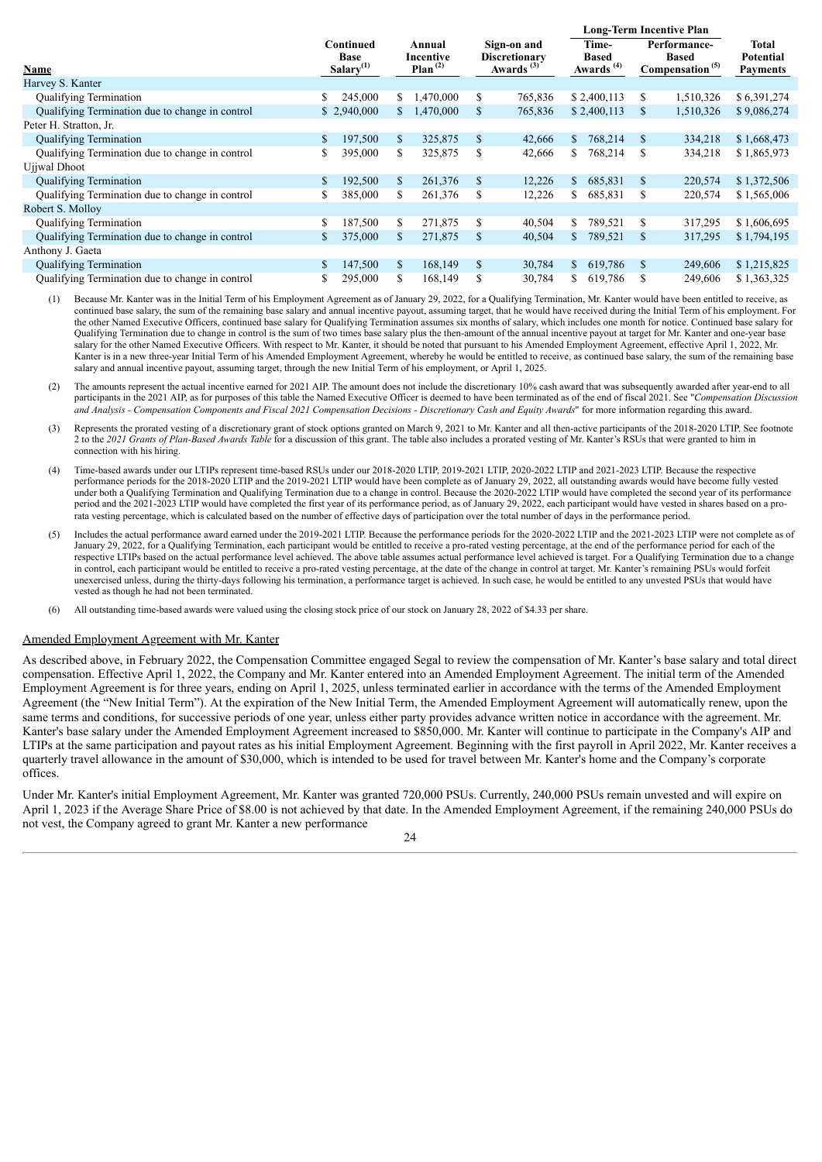|                                                 |                                          |             |                                      |           | <b>Long-Term Incentive Plan</b>                       |         |              |                                                        |               |                                                             |                                              |  |
|-------------------------------------------------|------------------------------------------|-------------|--------------------------------------|-----------|-------------------------------------------------------|---------|--------------|--------------------------------------------------------|---------------|-------------------------------------------------------------|----------------------------------------------|--|
| Name                                            | Continued<br><b>Base</b><br>Salary $(1)$ |             | Annual<br>Incentive<br>Plan $^{(2)}$ |           | Sign-on and<br><b>Discretionary</b><br>$Awards^{(3)}$ |         |              | Time-<br><b>Based</b><br>$\Delta$ wards <sup>(4)</sup> |               | Performance-<br><b>Based</b><br>Compensation <sup>(5)</sup> | Total<br><b>Potential</b><br><b>Payments</b> |  |
| Harvey S. Kanter                                |                                          |             |                                      |           |                                                       |         |              |                                                        |               |                                                             |                                              |  |
| <b>Qualifying Termination</b>                   | S.                                       | 245,000     | S.                                   | 1,470,000 | \$                                                    | 765,836 |              | \$2,400,113                                            | \$            | 1,510,326                                                   | \$6,391,274                                  |  |
| Qualifying Termination due to change in control |                                          | \$2,940,000 |                                      | 1,470,000 | \$                                                    | 765,836 |              | \$2,400,113                                            | <sup>\$</sup> | 1,510,326                                                   | \$9,086,274                                  |  |
| Peter H. Stratton, Jr.                          |                                          |             |                                      |           |                                                       |         |              |                                                        |               |                                                             |                                              |  |
| <b>Qualifying Termination</b>                   | S.                                       | 197,500     | \$                                   | 325,875   | \$                                                    | 42,666  | <sup>S</sup> | 768,214                                                | <sup>S</sup>  | 334,218                                                     | \$1,668,473                                  |  |
| Qualifying Termination due to change in control | S.                                       | 395,000     | \$                                   | 325,875   | \$                                                    | 42,666  | S.           | 768,214                                                | \$.           | 334,218                                                     | \$1,865,973                                  |  |
| Ujiwal Dhoot                                    |                                          |             |                                      |           |                                                       |         |              |                                                        |               |                                                             |                                              |  |
| <b>Qualifying Termination</b>                   | S.                                       | 192,500     | \$                                   | 261,376   | \$                                                    | 12,226  | S.           | 685,831                                                | \$            | 220,574                                                     | \$1,372,506                                  |  |
| Qualifying Termination due to change in control | S                                        | 385,000     | \$                                   | 261,376   | \$                                                    | 12,226  | S.           | 685,831                                                | \$            | 220,574                                                     | \$1,565,006                                  |  |
| Robert S. Molloy                                |                                          |             |                                      |           |                                                       |         |              |                                                        |               |                                                             |                                              |  |
| <b>Qualifying Termination</b>                   | S.                                       | 187,500     | S                                    | 271,875   | \$                                                    | 40,504  | S.           | 789,521                                                | \$.           | 317,295                                                     | \$1,606,695                                  |  |
| Qualifying Termination due to change in control |                                          | 375,000     | \$.                                  | 271,875   | \$                                                    | 40,504  | \$           | 789,521                                                | \$            | 317,295                                                     | \$1,794,195                                  |  |
| Anthony J. Gaeta                                |                                          |             |                                      |           |                                                       |         |              |                                                        |               |                                                             |                                              |  |
| <b>Qualifying Termination</b>                   | \$.                                      | 147,500     | \$                                   | 168,149   | \$                                                    | 30,784  | \$           | 619,786                                                | <sup>\$</sup> | 249,606                                                     | \$1,215,825                                  |  |
| Qualifying Termination due to change in control | \$                                       | 295,000     | \$                                   | 168,149   | \$                                                    | 30,784  | S.           | 619,786                                                | S             | 249,606                                                     | \$1,363,325                                  |  |

(1) Because Mr. Kanter was in the Initial Term of his Employment Agreement as of January 29, 2022, for a Qualifying Termination, Mr. Kanter would have been entitled to receive, as continued base salary, the sum of the remaining base salary and annual incentive payout, assuming target, that he would have received during the Initial Term of his employment. For the other Named Executive Officers, continued base salary for Qualifying Termination assumes six months of salary, which includes one month for notice. Continued base salary for Qualifying Termination due to change in control is the sum of two times base salary plus the then-amount of the annual incentive payout at target for Mr. Kanter and one-year base salary for the other Named Executive Officers. With respect to Mr. Kanter, it should be noted that pursuant to his Amended Employment Agreement, effective April 1, 2022, Mr. Kanter is in a new three-year Initial Term of his Amended Employment Agreement, whereby he would be entitled to receive, as continued base salary, the sum of the remaining base salary and annual incentive payout, assuming target, through the new Initial Term of his employment, or April 1, 2025.

(2) The amounts represent the actual incentive earned for 2021 AIP. The amount does not include the discretionary 10% cash award that was subsequently awarded after year-end to all participants in the 2021 AIP, as for purposes of this table the Named Executive Officer is deemed to have been terminated as of the end of fiscal 2021. See "*Compensation Discussion* and Analysis - Compensation Components and Fiscal 2021 Compensation Decisions - Discretionary Cash and Equity Awards" for more information regarding this award.

(3) Represents the prorated vesting of a discretionary grant of stock options granted on March 9, 2021 to Mr. Kanter and all then-active participants of the 2018-2020 LTIP. See footnote 2 to the *2021 Grants of Plan-Based Awards Table* for a discussion of this grant. The table also includes a prorated vesting of Mr. Kanter's RSUs that were granted to him in connection with his hiring.

(4) Time-based awards under our LTIPs represent time-based RSUs under our 2018-2020 LTIP, 2019-2021 LTIP, 2020-2022 LTIP and 2021-2023 LTIP. Because the respective performance periods for the 2018-2020 LTIP and the 2019-2021 LTIP would have been complete as of January 29, 2022, all outstanding awards would have become fully vested under both a Qualifying Termination and Qualifying Termination due to a change in control. Because the 2020-2022 LTIP would have completed the second year of its performance period and the 2021-2023 LTIP would have completed the first year of its performance period, as of January 29, 2022, each participant would have vested in shares based on a prorata vesting percentage, which is calculated based on the number of effective days of participation over the total number of days in the performance period.

(5) Includes the actual performance award earned under the 2019-2021 LTIP. Because the performance periods for the 2020-2022 LTIP and the 2021-2023 LTIP were not complete as of January 29, 2022, for a Qualifying Termination, each participant would be entitled to receive a pro-rated vesting percentage, at the end of the performance period for each of the respective LTIPs based on the actual performance level achieved. The above table assumes actual performance level achieved is target. For a Qualifying Termination due to a change in control, each participant would be entitled to receive a pro-rated vesting percentage, at the date of the change in control at target. Mr. Kanter's remaining PSUs would forfeit unexercised unless, during the thirty-days following his termination, a performance target is achieved. In such case, he would be entitled to any unvested PSUs that would have vested as though he had not been terminated.

(6) All outstanding time-based awards were valued using the closing stock price of our stock on January 28, 2022 of \$4.33 per share.

#### Amended Employment Agreement with Mr. Kanter

As described above, in February 2022, the Compensation Committee engaged Segal to review the compensation of Mr. Kanter's base salary and total direct compensation. Effective April 1, 2022, the Company and Mr. Kanter entered into an Amended Employment Agreement. The initial term of the Amended Employment Agreement is for three years, ending on April 1, 2025, unless terminated earlier in accordance with the terms of the Amended Employment Agreement (the "New Initial Term"). At the expiration of the New Initial Term, the Amended Employment Agreement will automatically renew, upon the same terms and conditions, for successive periods of one year, unless either party provides advance written notice in accordance with the agreement. Mr. Kanter's base salary under the Amended Employment Agreement increased to \$850,000. Mr. Kanter will continue to participate in the Company's AIP and LTIPs at the same participation and payout rates as his initial Employment Agreement. Beginning with the first payroll in April 2022, Mr. Kanter receives a quarterly travel allowance in the amount of \$30,000, which is intended to be used for travel between Mr. Kanter's home and the Company's corporate offices.

Under Mr. Kanter's initial Employment Agreement, Mr. Kanter was granted 720,000 PSUs. Currently, 240,000 PSUs remain unvested and will expire on April 1, 2023 if the Average Share Price of \$8.00 is not achieved by that date. In the Amended Employment Agreement, if the remaining 240,000 PSUs do not vest, the Company agreed to grant Mr. Kanter a new performance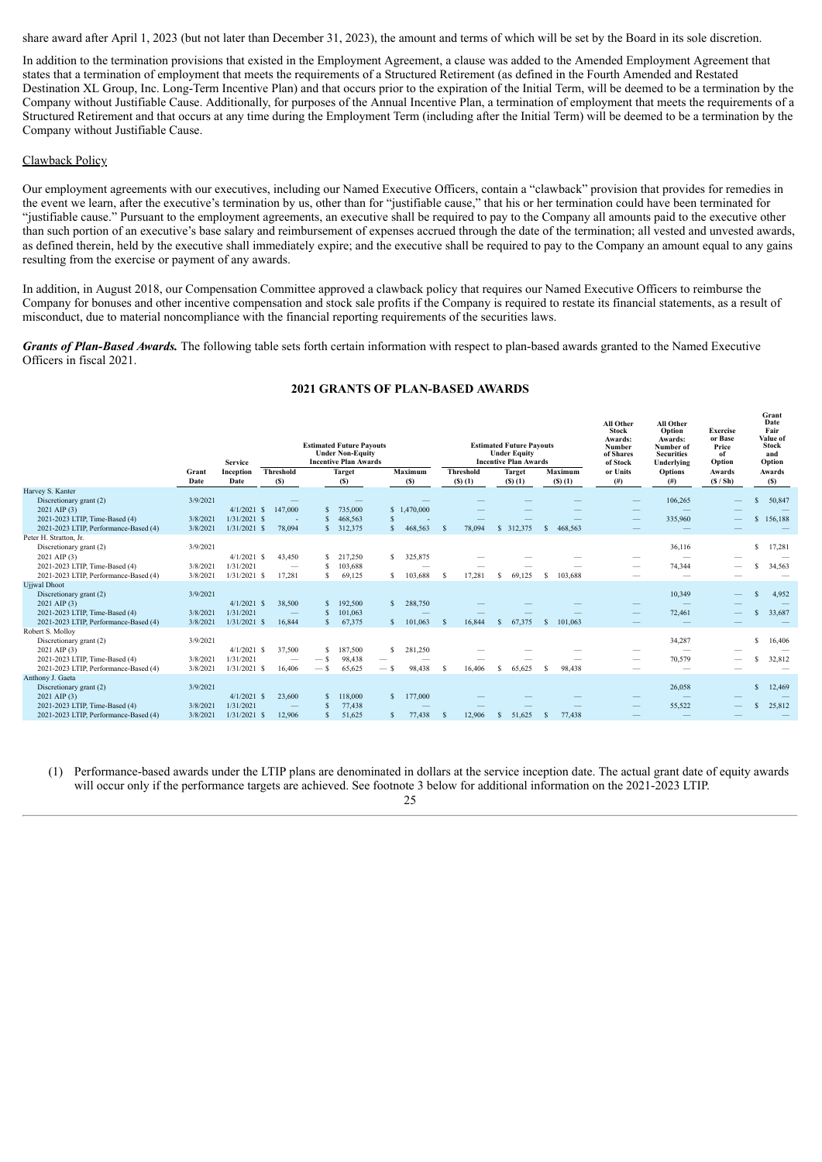share award after April 1, 2023 (but not later than December 31, 2023), the amount and terms of which will be set by the Board in its sole discretion.

In addition to the termination provisions that existed in the Employment Agreement, a clause was added to the Amended Employment Agreement that states that a termination of employment that meets the requirements of a Structured Retirement (as defined in the Fourth Amended and Restated Destination XL Group, Inc. Long-Term Incentive Plan) and that occurs prior to the expiration of the Initial Term, will be deemed to be a termination by the Company without Justifiable Cause. Additionally, for purposes of the Annual Incentive Plan, a termination of employment that meets the requirements of a Structured Retirement and that occurs at any time during the Employment Term (including after the Initial Term) will be deemed to be a termination by the Company without Justifiable Cause.

## Clawback Policy

Our employment agreements with our executives, including our Named Executive Officers, contain a "clawback" provision that provides for remedies in the event we learn, after the executive's termination by us, other than for "justifiable cause," that his or her termination could have been terminated for "justifiable cause." Pursuant to the employment agreements, an executive shall be required to pay to the Company all amounts paid to the executive other than such portion of an executive's base salary and reimbursement of expenses accrued through the date of the termination; all vested and unvested awards, as defined therein, held by the executive shall immediately expire; and the executive shall be required to pay to the Company an amount equal to any gains resulting from the exercise or payment of any awards.

In addition, in August 2018, our Compensation Committee approved a clawback policy that requires our Named Executive Officers to reimburse the Company for bonuses and other incentive compensation and stock sale profits if the Company is required to restate its financial statements, as a result of misconduct, due to material noncompliance with the financial reporting requirements of the securities laws.

*Grants of Plan-Based Awards.* The following table sets forth certain information with respect to plan-based awards granted to the Named Executive Officers in fiscal 2021.

| 2021 GRANTS OF PLAN-BASED AWARDS |  |
|----------------------------------|--|
|----------------------------------|--|

|                                                    |          | <b>Service</b> |                          |              | <b>Estimated Future Pavouts</b><br><b>Under Non-Equity</b><br><b>Incentive Plan Awards</b> |              |                |               |                  | <b>Estimated Future Payouts</b><br><b>Under Equity</b><br><b>Incentive Plan Awards</b> |              |                | All Other<br><b>Stock</b><br>Awards:<br><b>Number</b><br>of Shares<br>of Stock | All Other<br>Option<br>Awards:<br>Number of<br><b>Securities</b><br>Underlying | <b>Exercise</b><br>or Base<br>Price<br>of<br>Option |              | Grant<br>Date<br>Fair<br>Value of<br><b>Stock</b><br>and<br>Option |
|----------------------------------------------------|----------|----------------|--------------------------|--------------|--------------------------------------------------------------------------------------------|--------------|----------------|---------------|------------------|----------------------------------------------------------------------------------------|--------------|----------------|--------------------------------------------------------------------------------|--------------------------------------------------------------------------------|-----------------------------------------------------|--------------|--------------------------------------------------------------------|
|                                                    | Grant    | Inception      | <b>Threshold</b>         |              | <b>Target</b>                                                                              |              | <b>Maximum</b> |               | <b>Threshold</b> | <b>Target</b>                                                                          |              | <b>Maximum</b> | or Units                                                                       | <b>Options</b>                                                                 | Awards                                              |              | Awards                                                             |
|                                                    | Date     | Date           | (S)                      |              | (S)                                                                                        |              | (S)            |               | $(S)$ $(1)$      | $(S)$ (1)                                                                              |              | $($ \$ $)(1)$  | (# )                                                                           | #)                                                                             | (S / Sh)                                            |              | (S)                                                                |
| Harvey S. Kanter                                   |          |                |                          |              |                                                                                            |              |                |               |                  |                                                                                        |              |                |                                                                                |                                                                                |                                                     |              |                                                                    |
| Discretionary grant (2)                            | 3/9/2021 | $4/1/2021$ \$  |                          |              |                                                                                            |              |                |               |                  |                                                                                        |              |                |                                                                                | 106,265                                                                        |                                                     | S            | 50,847                                                             |
| $2021$ AIP $(3)$<br>2021-2023 LTIP, Time-Based (4) | 3/8/2021 | $1/31/2021$ \$ | 147,000                  | <b>S</b>     | 735,000<br>468,563                                                                         |              | \$1,470,000    |               |                  |                                                                                        |              |                |                                                                                | 335,960                                                                        |                                                     | $\mathbf{s}$ | 156,188                                                            |
| 2021-2023 LTIP, Performance-Based (4)              | 3/8/2021 | 1/31/2021      | 78.094<br><sub>S</sub>   | $\mathbf{s}$ | 312,375                                                                                    | $\mathbf{s}$ | 468,563        |               | 78,094           | \$ 312,375                                                                             | $\mathbf{s}$ | 468.563        |                                                                                |                                                                                |                                                     |              |                                                                    |
| Peter H. Stratton, Jr.                             |          |                |                          |              |                                                                                            |              |                |               |                  |                                                                                        |              |                |                                                                                |                                                                                |                                                     |              |                                                                    |
| Discretionary grant (2)                            | 3/9/2021 |                |                          |              |                                                                                            |              |                |               |                  |                                                                                        |              |                |                                                                                | 36,116                                                                         |                                                     | S            | 17,281                                                             |
| 2021 AIP (3)                                       |          | $4/1/2021$ \$  | 43,450                   | s            | 217,250                                                                                    | S.           | 325,875        |               |                  |                                                                                        |              |                |                                                                                |                                                                                |                                                     |              |                                                                    |
| 2021-2023 LTIP. Time-Based (4)                     | 3/8/2021 | 1/31/2021      |                          |              | 103,688                                                                                    |              |                |               |                  |                                                                                        |              |                |                                                                                | 74,344                                                                         |                                                     | s            | 34,563                                                             |
| 2021-2023 LTIP, Performance-Based (4)              | 3/8/2021 | $1/31/2021$ \$ | 17,281                   |              | 69,125                                                                                     | S.           | 103,688        | s             | 17,281           | 69,125<br>S                                                                            | -S           | 103,688        |                                                                                | $\overline{\phantom{0}}$                                                       |                                                     |              |                                                                    |
| <b>Ujjwal</b> Dhoot                                |          |                |                          |              |                                                                                            |              |                |               |                  |                                                                                        |              |                |                                                                                |                                                                                |                                                     |              |                                                                    |
| Discretionary grant (2)                            | 3/9/2021 |                |                          |              |                                                                                            |              |                |               |                  |                                                                                        |              |                |                                                                                | 10,349                                                                         |                                                     |              | 4,952                                                              |
| 2021 AIP (3)                                       |          | $4/1/2021$ \$  | 38,500                   | S            | 192,500                                                                                    | S.           | 288,750        |               |                  |                                                                                        |              |                |                                                                                |                                                                                |                                                     |              |                                                                    |
| 2021-2023 LTIP, Time-Based (4)                     | 3/8/2021 | 1/31/2021      |                          |              | 101,063                                                                                    |              |                |               |                  |                                                                                        |              |                |                                                                                | 72,461                                                                         |                                                     | S            | 33,687                                                             |
| 2021-2023 LTIP, Performance-Based (4)              | 3/8/2021 | $1/31/2021$ \$ | 16.844                   | $\mathbf S$  | 67,375                                                                                     | $\mathbf{s}$ | 101.063        | <sup>\$</sup> | 16.844           | 67.375<br>$\mathcal{S}$                                                                | <sup>S</sup> | 101.063        |                                                                                |                                                                                |                                                     |              |                                                                    |
| Robert S. Molloy                                   |          |                |                          |              |                                                                                            |              |                |               |                  |                                                                                        |              |                |                                                                                |                                                                                |                                                     |              |                                                                    |
| Discretionary grant (2)                            | 3/9/2021 | $4/1/2021$ \$  |                          | .S           |                                                                                            | s            |                |               |                  |                                                                                        |              |                |                                                                                | 34,287                                                                         |                                                     | S            | 16,406                                                             |
| 2021 AIP (3)<br>2021-2023 LTIP, Time-Based (4)     | 3/8/2021 | 1/31/2021      | 37,500                   |              | 187,500<br>98,438                                                                          |              | 281,250        |               |                  |                                                                                        |              |                |                                                                                | 70,579                                                                         |                                                     | s            | 32,812                                                             |
| 2021-2023 LTIP, Performance-Based (4)              | 3/8/2021 | $1/31/2021$ \$ | 16.406                   | $-$ \$       | 65.625                                                                                     | — s          | 98,438         | s             | 16.406           | 65.625<br>S.                                                                           | -S           | 98.438         |                                                                                |                                                                                |                                                     |              |                                                                    |
| Anthony J. Gaeta                                   |          |                |                          |              |                                                                                            |              |                |               |                  |                                                                                        |              |                |                                                                                |                                                                                |                                                     |              |                                                                    |
| Discretionary grant (2)                            | 3/9/2021 |                |                          |              |                                                                                            |              |                |               |                  |                                                                                        |              |                |                                                                                | 26,058                                                                         |                                                     | $\mathbf{s}$ | 12,469                                                             |
| $2021$ AIP $(3)$                                   |          | $4/1/2021$ \$  | 23,600                   | $\mathbf S$  | 118,000                                                                                    | S            | 177,000        |               |                  |                                                                                        |              |                |                                                                                |                                                                                |                                                     |              |                                                                    |
| 2021-2023 LTIP, Time-Based (4)                     | 3/8/2021 | 1/31/2021      | $\overline{\phantom{m}}$ |              | 77,438                                                                                     |              |                |               |                  |                                                                                        |              |                |                                                                                | 55,522                                                                         |                                                     | S            | 25,812                                                             |
| 2021-2023 LTIP, Performance-Based (4)              | 3/8/2021 | $1/31/2021$ \$ | 12,906                   |              | 51,625                                                                                     | s            | 77,438         | S             | 12,906           | 51,625<br>S                                                                            |              | 77,438         |                                                                                |                                                                                |                                                     |              |                                                                    |

(1) Performance-based awards under the LTIP plans are denominated in dollars at the service inception date. The actual grant date of equity awards will occur only if the performance targets are achieved. See footnote 3 below for additional information on the 2021-2023 LTIP.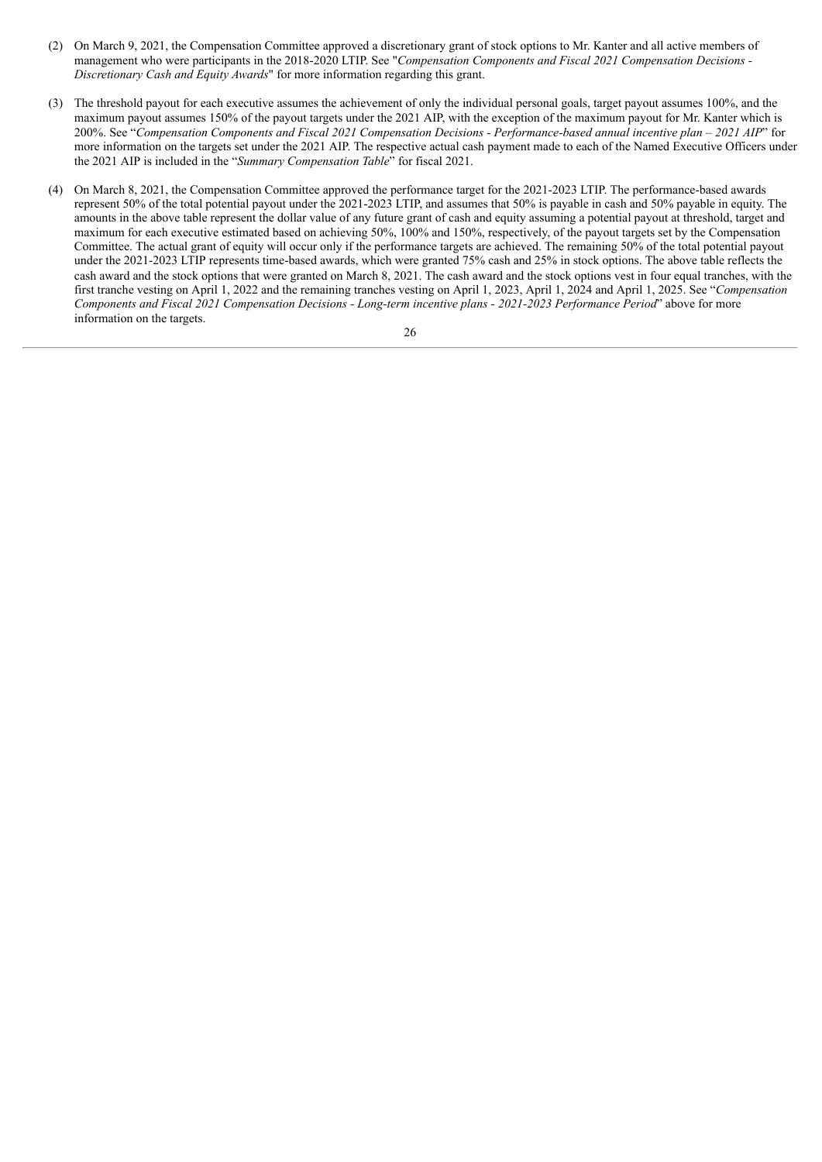- (2) On March 9, 2021, the Compensation Committee approved a discretionary grant of stock options to Mr. Kanter and all active members of management who were participants in the 2018-2020 LTIP. See "*Compensation Components and Fiscal 2021 Compensation Decisions - Discretionary Cash and Equity Awards*" for more information regarding this grant.
- (3) The threshold payout for each executive assumes the achievement of only the individual personal goals, target payout assumes 100%, and the maximum payout assumes 150% of the payout targets under the 2021 AIP, with the exception of the maximum payout for Mr. Kanter which is 200%. See "Compensation Components and Fiscal 2021 Compensation Decisions - Performance-based annual incentive plan – 2021 AIP" for more information on the targets set under the 2021 AIP. The respective actual cash payment made to each of the Named Executive Officers under the 2021 AIP is included in the "*Summary Compensation Table*" for fiscal 2021.
- (4) On March 8, 2021, the Compensation Committee approved the performance target for the 2021-2023 LTIP. The performance-based awards represent 50% of the total potential payout under the 2021-2023 LTIP, and assumes that 50% is payable in cash and 50% payable in equity. The amounts in the above table represent the dollar value of any future grant of cash and equity assuming a potential payout at threshold, target and maximum for each executive estimated based on achieving 50%, 100% and 150%, respectively, of the payout targets set by the Compensation Committee. The actual grant of equity will occur only if the performance targets are achieved. The remaining 50% of the total potential payout under the 2021-2023 LTIP represents time-based awards, which were granted 75% cash and 25% in stock options. The above table reflects the cash award and the stock options that were granted on March 8, 2021. The cash award and the stock options vest in four equal tranches, with the first tranche vesting on April 1, 2022 and the remaining tranches vesting on April 1, 2023, April 1, 2024 and April 1, 2025. See "*Compensation Components and Fiscal 2021 Compensation Decisions - Long-term incentive plans - 2021-2023 Performance Period*" above for more information on the targets.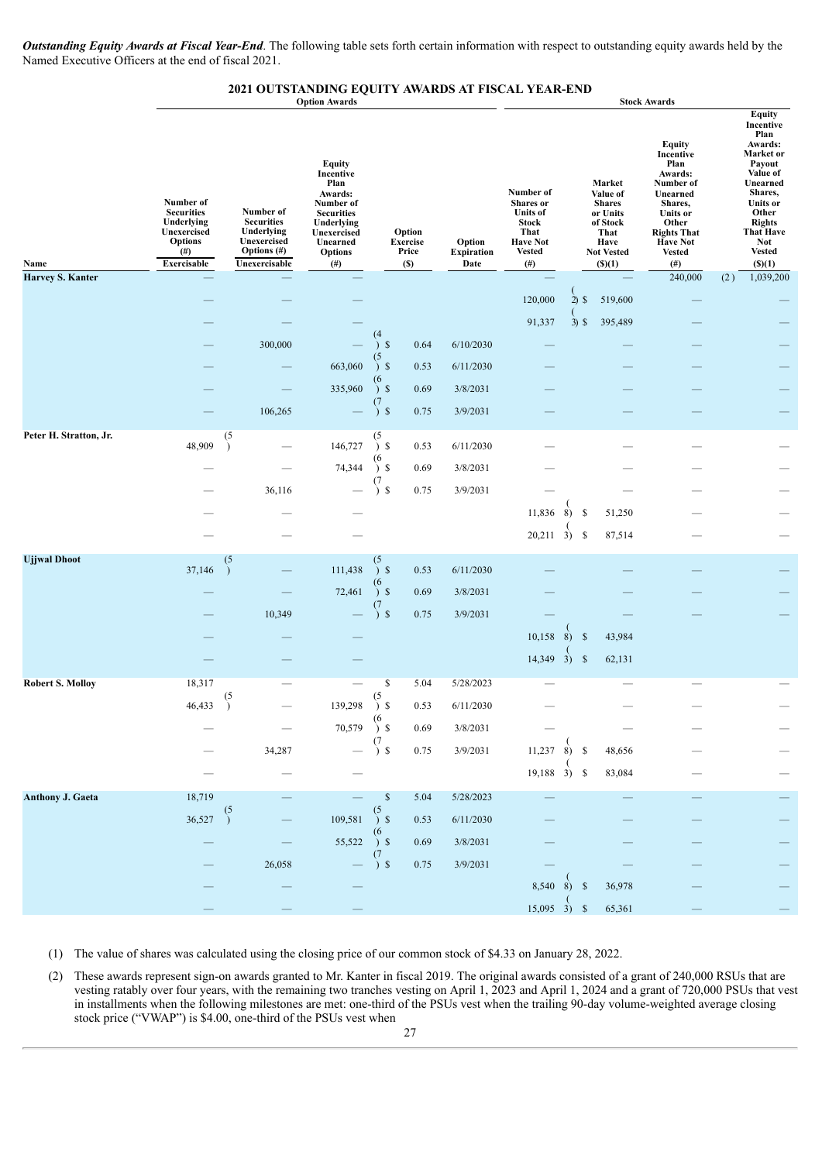*Outstanding Equity Awards at Fiscal Year-End*. The following table sets forth certain information with respect to outstanding equity awards held by the Named Executive Officers at the end of fiscal 2021.

# **2021 OUTSTANDING EQUITY AWARDS AT FISCAL YEAR-END Option Awards Stock Awards**

|                         |                                                                                                          |                                                                                                                                                                                                                                                              | <b>Option Awards</b> |                       |                                           |                                     | <b>STOCK AWATUS</b>                                                                                               |    |                    |                                                                                                                  |                                                                                                                                                                                   |     |                                                                                                                                                                                                                   |  |  |  |  |
|-------------------------|----------------------------------------------------------------------------------------------------------|--------------------------------------------------------------------------------------------------------------------------------------------------------------------------------------------------------------------------------------------------------------|----------------------|-----------------------|-------------------------------------------|-------------------------------------|-------------------------------------------------------------------------------------------------------------------|----|--------------------|------------------------------------------------------------------------------------------------------------------|-----------------------------------------------------------------------------------------------------------------------------------------------------------------------------------|-----|-------------------------------------------------------------------------------------------------------------------------------------------------------------------------------------------------------------------|--|--|--|--|
| Name                    | Number of<br><b>Securities</b><br>Underlying<br>Unexercised<br><b>Options</b><br>$^{(#)}$<br>Exercisable | <b>Equity</b><br>Incentive<br>Plan<br>Awards:<br>Number of<br>Number of<br><b>Securities</b><br><b>Securities</b><br>Underlying<br>Underlying<br>Unexercised<br>Unexercised<br>Unearned<br><b>Options</b> (#)<br><b>Options</b><br>Unexercisable<br>$^{(#)}$ |                      |                       | Option<br><b>Exercise</b><br>Price<br>(S) | Option<br><b>Expiration</b><br>Date | Number of<br>Shares or<br><b>Units of</b><br><b>Stock</b><br>That<br><b>Have Not</b><br><b>Vested</b><br>$^{(#)}$ |    |                    | Market<br>Value of<br><b>Shares</b><br>or Units<br>of Stock<br>That<br>Have<br><b>Not Vested</b><br>$($ S) $(1)$ | <b>Equity</b><br>Incentive<br>Plan<br>Awards:<br>Number of<br>Unearned<br>Shares,<br><b>Units</b> or<br>Other<br><b>Rights That</b><br><b>Have Not</b><br><b>Vested</b><br>$(\#)$ |     | <b>Equity</b><br>Incentive<br>Plan<br>Awards:<br>Market or<br>Payout<br>Value of<br>Unearned<br>Shares,<br><b>Units or</b><br>Other<br><b>Rights</b><br><b>That Have</b><br><b>Not</b><br><b>Vested</b><br>() (1) |  |  |  |  |
| <b>Harvey S. Kanter</b> |                                                                                                          |                                                                                                                                                                                                                                                              |                      |                       |                                           |                                     |                                                                                                                   |    |                    |                                                                                                                  | 240,000                                                                                                                                                                           | (2) | 1,039,200                                                                                                                                                                                                         |  |  |  |  |
|                         |                                                                                                          |                                                                                                                                                                                                                                                              |                      |                       |                                           |                                     | 120,000                                                                                                           |    | $2)$ \$            | 519,600                                                                                                          |                                                                                                                                                                                   |     |                                                                                                                                                                                                                   |  |  |  |  |
|                         |                                                                                                          |                                                                                                                                                                                                                                                              |                      |                       |                                           |                                     | 91,337                                                                                                            |    | $3)$ \$            | 395,489                                                                                                          |                                                                                                                                                                                   |     |                                                                                                                                                                                                                   |  |  |  |  |
|                         |                                                                                                          | 300,000                                                                                                                                                                                                                                                      |                      | $\mathcal{S}$         | 0.64                                      | 6/10/2030                           |                                                                                                                   |    |                    |                                                                                                                  |                                                                                                                                                                                   |     |                                                                                                                                                                                                                   |  |  |  |  |
|                         |                                                                                                          |                                                                                                                                                                                                                                                              | 663,060              | (5)<br>$\mathcal{S}$  | 0.53                                      | 6/11/2030                           |                                                                                                                   |    |                    |                                                                                                                  |                                                                                                                                                                                   |     |                                                                                                                                                                                                                   |  |  |  |  |
|                         |                                                                                                          |                                                                                                                                                                                                                                                              | 335,960              | (6<br>5 <sup>5</sup>  | 0.69                                      | 3/8/2031                            |                                                                                                                   |    |                    |                                                                                                                  |                                                                                                                                                                                   |     |                                                                                                                                                                                                                   |  |  |  |  |
|                         |                                                                                                          | 106,265                                                                                                                                                                                                                                                      |                      | (7<br>$\mathbf{s}$    | 0.75                                      | 3/9/2031                            |                                                                                                                   |    |                    |                                                                                                                  |                                                                                                                                                                                   |     |                                                                                                                                                                                                                   |  |  |  |  |
| Peter H. Stratton, Jr.  |                                                                                                          | (5)                                                                                                                                                                                                                                                          |                      | (5                    |                                           |                                     |                                                                                                                   |    |                    |                                                                                                                  |                                                                                                                                                                                   |     |                                                                                                                                                                                                                   |  |  |  |  |
|                         | 48,909                                                                                                   |                                                                                                                                                                                                                                                              | 146,727              | 5 <sup>°</sup>        | 0.53                                      | 6/11/2030                           |                                                                                                                   |    |                    |                                                                                                                  |                                                                                                                                                                                   |     |                                                                                                                                                                                                                   |  |  |  |  |
|                         |                                                                                                          |                                                                                                                                                                                                                                                              | 74,344               | 6<br>5 <sup>°</sup>   | 0.69                                      | 3/8/2031                            |                                                                                                                   |    |                    |                                                                                                                  |                                                                                                                                                                                   |     |                                                                                                                                                                                                                   |  |  |  |  |
|                         |                                                                                                          | 36,116                                                                                                                                                                                                                                                       |                      | (7<br>$\mathbf{s}$    | 0.75                                      | 3/9/2031                            |                                                                                                                   |    |                    |                                                                                                                  |                                                                                                                                                                                   |     |                                                                                                                                                                                                                   |  |  |  |  |
|                         |                                                                                                          |                                                                                                                                                                                                                                                              |                      |                       |                                           |                                     | 11,836                                                                                                            | 8) | <sup>\$</sup>      | 51,250                                                                                                           |                                                                                                                                                                                   |     |                                                                                                                                                                                                                   |  |  |  |  |
|                         |                                                                                                          |                                                                                                                                                                                                                                                              |                      |                       |                                           |                                     | $20,211 \quad 3)$                                                                                                 |    | $\mathcal{S}$      | 87,514                                                                                                           |                                                                                                                                                                                   |     |                                                                                                                                                                                                                   |  |  |  |  |
| <b>Ujjwal Dhoot</b>     |                                                                                                          | (5)                                                                                                                                                                                                                                                          |                      | (5                    |                                           |                                     |                                                                                                                   |    |                    |                                                                                                                  |                                                                                                                                                                                   |     |                                                                                                                                                                                                                   |  |  |  |  |
|                         | 37,146                                                                                                   |                                                                                                                                                                                                                                                              | 111,438              | $\mathcal{S}$         | 0.53                                      | 6/11/2030                           |                                                                                                                   |    |                    |                                                                                                                  |                                                                                                                                                                                   |     |                                                                                                                                                                                                                   |  |  |  |  |
|                         |                                                                                                          |                                                                                                                                                                                                                                                              | 72,461               | 5 <sup>5</sup><br>(7) | 0.69                                      | 3/8/2031                            |                                                                                                                   |    |                    |                                                                                                                  |                                                                                                                                                                                   |     |                                                                                                                                                                                                                   |  |  |  |  |
|                         |                                                                                                          | 10,349                                                                                                                                                                                                                                                       |                      | $\sqrt{3}$            | 0.75                                      | 3/9/2031                            |                                                                                                                   |    |                    |                                                                                                                  |                                                                                                                                                                                   |     |                                                                                                                                                                                                                   |  |  |  |  |
|                         |                                                                                                          |                                                                                                                                                                                                                                                              |                      |                       |                                           |                                     | 10,158                                                                                                            | 8) | - \$               | 43,984                                                                                                           |                                                                                                                                                                                   |     |                                                                                                                                                                                                                   |  |  |  |  |
|                         |                                                                                                          |                                                                                                                                                                                                                                                              |                      |                       |                                           |                                     | $14,349$ 3)                                                                                                       |    | $\mathbf{\hat{s}}$ | 62,131                                                                                                           |                                                                                                                                                                                   |     |                                                                                                                                                                                                                   |  |  |  |  |
| <b>Robert S. Molloy</b> | 18,317                                                                                                   | (5)                                                                                                                                                                                                                                                          |                      | \$<br>(5)             | 5.04                                      | 5/28/2023                           |                                                                                                                   |    |                    |                                                                                                                  |                                                                                                                                                                                   |     |                                                                                                                                                                                                                   |  |  |  |  |
|                         | 46,433                                                                                                   | $\lambda$                                                                                                                                                                                                                                                    | 139,298              | -S<br>$\lambda$<br>(6 | 0.53                                      | 6/11/2030                           |                                                                                                                   |    |                    |                                                                                                                  |                                                                                                                                                                                   |     |                                                                                                                                                                                                                   |  |  |  |  |
|                         |                                                                                                          |                                                                                                                                                                                                                                                              | $70,579$ ) \$        |                       | 0.69                                      | 3/8/2031                            |                                                                                                                   |    |                    |                                                                                                                  |                                                                                                                                                                                   |     |                                                                                                                                                                                                                   |  |  |  |  |
|                         |                                                                                                          | 34,287                                                                                                                                                                                                                                                       |                      | $\mathbf{\hat{S}}$    | 0.75                                      | 3/9/2031                            | $11,237$ 8) \$                                                                                                    |    |                    | 48,656                                                                                                           |                                                                                                                                                                                   |     |                                                                                                                                                                                                                   |  |  |  |  |
|                         |                                                                                                          |                                                                                                                                                                                                                                                              |                      |                       |                                           |                                     | $19,188$ $3)$ \$                                                                                                  |    |                    | 83,084                                                                                                           |                                                                                                                                                                                   |     |                                                                                                                                                                                                                   |  |  |  |  |
| <b>Anthony J. Gaeta</b> | 18,719                                                                                                   |                                                                                                                                                                                                                                                              |                      | \$                    | 5.04                                      | 5/28/2023                           |                                                                                                                   |    |                    |                                                                                                                  |                                                                                                                                                                                   |     |                                                                                                                                                                                                                   |  |  |  |  |
|                         | 36,527                                                                                                   | (5                                                                                                                                                                                                                                                           | 109,581              | 5 <sup>5</sup>        | 0.53                                      | 6/11/2030                           |                                                                                                                   |    |                    |                                                                                                                  |                                                                                                                                                                                   |     |                                                                                                                                                                                                                   |  |  |  |  |
|                         |                                                                                                          |                                                                                                                                                                                                                                                              | 55,522               | 5 <sup>5</sup>        | 0.69                                      | 3/8/2031                            |                                                                                                                   |    |                    |                                                                                                                  |                                                                                                                                                                                   |     |                                                                                                                                                                                                                   |  |  |  |  |
|                         |                                                                                                          | 26,058                                                                                                                                                                                                                                                       |                      | (7<br>$\mathcal{S}$   | 0.75                                      | 3/9/2031                            |                                                                                                                   |    |                    |                                                                                                                  |                                                                                                                                                                                   |     |                                                                                                                                                                                                                   |  |  |  |  |
|                         |                                                                                                          |                                                                                                                                                                                                                                                              |                      |                       |                                           |                                     | $8,540$ $8)$ \$                                                                                                   |    |                    | 36,978                                                                                                           |                                                                                                                                                                                   |     |                                                                                                                                                                                                                   |  |  |  |  |
|                         |                                                                                                          |                                                                                                                                                                                                                                                              |                      |                       |                                           |                                     | $15,095$ 3)                                                                                                       |    | <sup>\$</sup>      | 65,361                                                                                                           |                                                                                                                                                                                   |     |                                                                                                                                                                                                                   |  |  |  |  |

(1) The value of shares was calculated using the closing price of our common stock of \$4.33 on January 28, 2022.

(2) These awards represent sign-on awards granted to Mr. Kanter in fiscal 2019. The original awards consisted of a grant of 240,000 RSUs that are vesting ratably over four years, with the remaining two tranches vesting on April 1, 2023 and April 1, 2024 and a grant of 720,000 PSUs that vest in installments when the following milestones are met: one-third of the PSUs vest when the trailing 90-day volume-weighted average closing stock price ("VWAP") is \$4.00, one-third of the PSUs vest when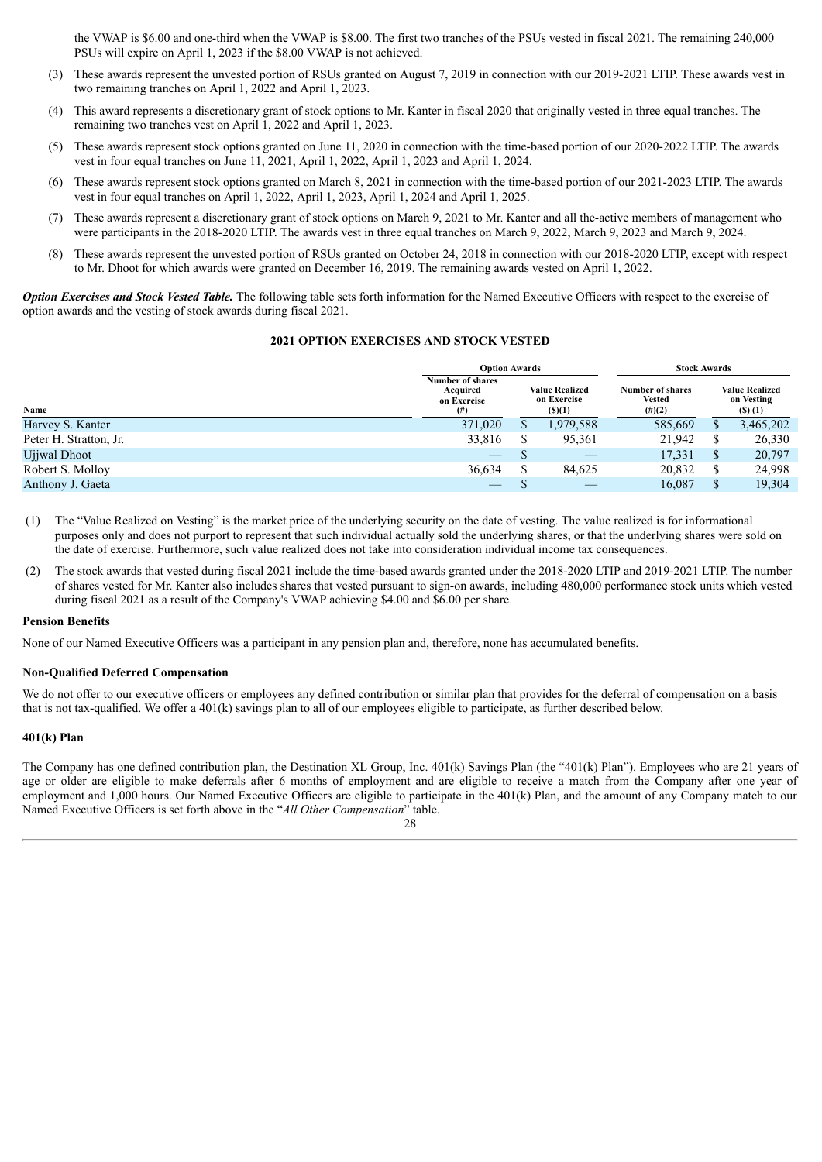the VWAP is \$6.00 and one-third when the VWAP is \$8.00. The first two tranches of the PSUs vested in fiscal 2021. The remaining 240,000 PSUs will expire on April 1, 2023 if the \$8.00 VWAP is not achieved.

- (3) These awards represent the unvested portion of RSUs granted on August 7, 2019 in connection with our 2019-2021 LTIP. These awards vest in two remaining tranches on April 1, 2022 and April 1, 2023.
- (4) This award represents a discretionary grant of stock options to Mr. Kanter in fiscal 2020 that originally vested in three equal tranches. The remaining two tranches vest on April 1, 2022 and April 1, 2023.
- (5) These awards represent stock options granted on June 11, 2020 in connection with the time-based portion of our 2020-2022 LTIP. The awards vest in four equal tranches on June 11, 2021, April 1, 2022, April 1, 2023 and April 1, 2024.
- (6) These awards represent stock options granted on March 8, 2021 in connection with the time-based portion of our 2021-2023 LTIP. The awards vest in four equal tranches on April 1, 2022, April 1, 2023, April 1, 2024 and April 1, 2025.
- (7) These awards represent a discretionary grant of stock options on March 9, 2021 to Mr. Kanter and all the-active members of management who were participants in the 2018-2020 LTIP. The awards vest in three equal tranches on March 9, 2022, March 9, 2023 and March 9, 2024.
- (8) These awards represent the unvested portion of RSUs granted on October 24, 2018 in connection with our 2018-2020 LTIP, except with respect to Mr. Dhoot for which awards were granted on December 16, 2019. The remaining awards vested on April 1, 2022.

*Option Exercises and Stock Vested Table.* The following table sets forth information for the Named Executive Officers with respect to the exercise of option awards and the vesting of stock awards during fiscal 2021.

## **2021 OPTION EXERCISES AND STOCK VESTED**

|                        | <b>Option Awards</b>                                       |                                                       |           | <b>Stock Awards</b>                                   |   |                                               |  |
|------------------------|------------------------------------------------------------|-------------------------------------------------------|-----------|-------------------------------------------------------|---|-----------------------------------------------|--|
| Name                   | <b>Number of shares</b><br>Acquired<br>on Exercise<br>(# ) | <b>Value Realized</b><br>on Exercise<br>$($ \$ $)(1)$ |           | <b>Number of shares</b><br><b>Vested</b><br>$(\#)(2)$ |   | <b>Value Realized</b><br>on Vesting<br>(5)(1) |  |
| Harvey S. Kanter       | 371,020                                                    |                                                       | 1,979,588 | 585,669                                               |   | 3,465,202                                     |  |
| Peter H. Stratton, Jr. | 33,816                                                     |                                                       | 95,361    | 21,942                                                |   | 26,330                                        |  |
| Ujiwal Dhoot           | $\hspace{0.05cm}$                                          |                                                       |           | 17,331                                                | S | 20,797                                        |  |
| Robert S. Molloy       | 36,634                                                     |                                                       | 84,625    | 20,832                                                |   | 24,998                                        |  |
| Anthony J. Gaeta       |                                                            |                                                       |           | 16,087                                                |   | 19.304                                        |  |

- (1) The "Value Realized on Vesting" is the market price of the underlying security on the date of vesting. The value realized is for informational purposes only and does not purport to represent that such individual actually sold the underlying shares, or that the underlying shares were sold on the date of exercise. Furthermore, such value realized does not take into consideration individual income tax consequences.
- (2) The stock awards that vested during fiscal 2021 include the time-based awards granted under the 2018-2020 LTIP and 2019-2021 LTIP. The number of shares vested for Mr. Kanter also includes shares that vested pursuant to sign-on awards, including 480,000 performance stock units which vested during fiscal 2021 as a result of the Company's VWAP achieving \$4.00 and \$6.00 per share.

#### **Pension Benefits**

None of our Named Executive Officers was a participant in any pension plan and, therefore, none has accumulated benefits.

#### **Non-Qualified Deferred Compensation**

We do not offer to our executive officers or employees any defined contribution or similar plan that provides for the deferral of compensation on a basis that is not tax-qualified. We offer a 401(k) savings plan to all of our employees eligible to participate, as further described below.

#### **401(k) Plan**

The Company has one defined contribution plan, the Destination XL Group, Inc. 401(k) Savings Plan (the "401(k) Plan"). Employees who are 21 years of age or older are eligible to make deferrals after 6 months of employment and are eligible to receive a match from the Company after one year of employment and 1,000 hours. Our Named Executive Officers are eligible to participate in the 401(k) Plan, and the amount of any Company match to our Named Executive Officers is set forth above in the "*All Other Compensation*" table.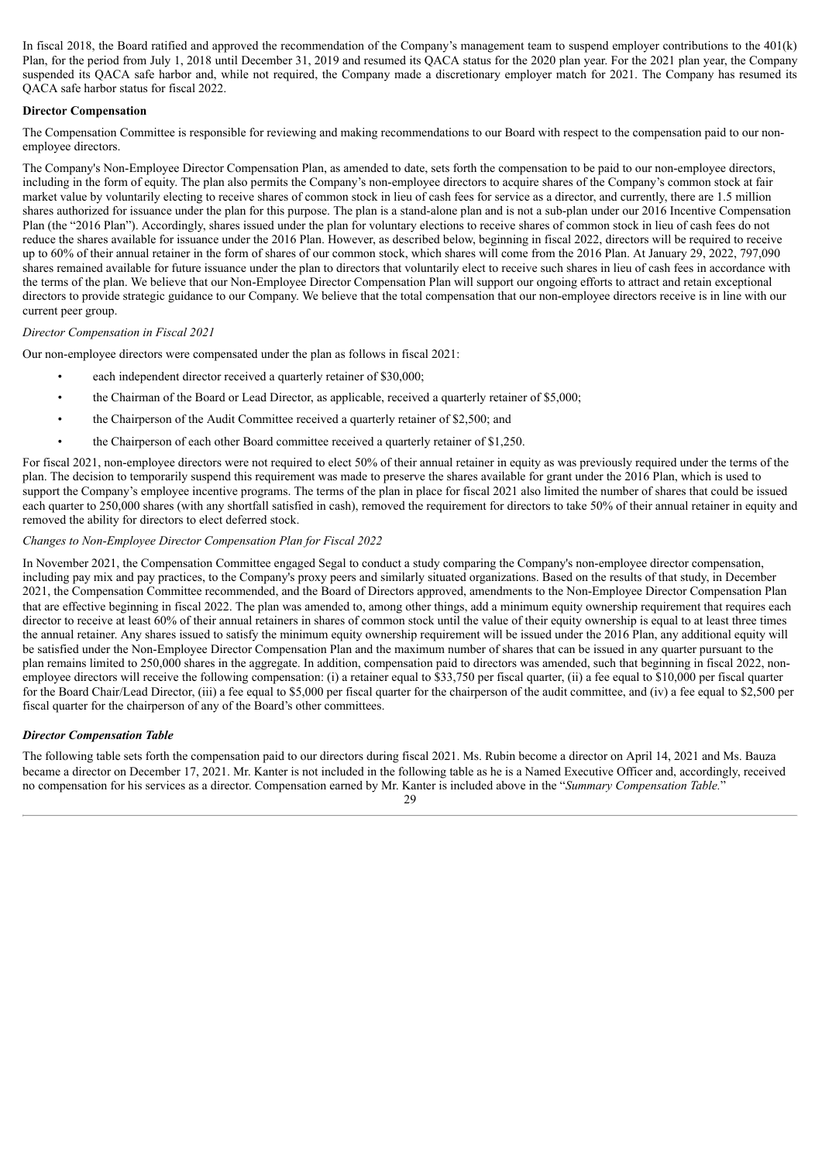In fiscal 2018, the Board ratified and approved the recommendation of the Company's management team to suspend employer contributions to the 401(k) Plan, for the period from July 1, 2018 until December 31, 2019 and resumed its QACA status for the 2020 plan year. For the 2021 plan year, the Company suspended its QACA safe harbor and, while not required, the Company made a discretionary employer match for 2021. The Company has resumed its QACA safe harbor status for fiscal 2022.

## **Director Compensation**

The Compensation Committee is responsible for reviewing and making recommendations to our Board with respect to the compensation paid to our nonemployee directors.

The Company's Non-Employee Director Compensation Plan, as amended to date, sets forth the compensation to be paid to our non-employee directors, including in the form of equity. The plan also permits the Company's non-employee directors to acquire shares of the Company's common stock at fair market value by voluntarily electing to receive shares of common stock in lieu of cash fees for service as a director, and currently, there are 1.5 million shares authorized for issuance under the plan for this purpose. The plan is a stand-alone plan and is not a sub-plan under our 2016 Incentive Compensation Plan (the "2016 Plan"). Accordingly, shares issued under the plan for voluntary elections to receive shares of common stock in lieu of cash fees do not reduce the shares available for issuance under the 2016 Plan. However, as described below, beginning in fiscal 2022, directors will be required to receive up to 60% of their annual retainer in the form of shares of our common stock, which shares will come from the 2016 Plan. At January 29, 2022, 797,090 shares remained available for future issuance under the plan to directors that voluntarily elect to receive such shares in lieu of cash fees in accordance with the terms of the plan. We believe that our Non-Employee Director Compensation Plan will support our ongoing efforts to attract and retain exceptional directors to provide strategic guidance to our Company. We believe that the total compensation that our non-employee directors receive is in line with our current peer group.

## *Director Compensation in Fiscal 2021*

Our non-employee directors were compensated under the plan as follows in fiscal 2021:

- each independent director received a quarterly retainer of \$30,000;
- the Chairman of the Board or Lead Director, as applicable, received a quarterly retainer of \$5,000;
- the Chairperson of the Audit Committee received a quarterly retainer of \$2,500; and
- the Chairperson of each other Board committee received a quarterly retainer of \$1,250.

For fiscal 2021, non-employee directors were not required to elect 50% of their annual retainer in equity as was previously required under the terms of the plan. The decision to temporarily suspend this requirement was made to preserve the shares available for grant under the 2016 Plan, which is used to support the Company's employee incentive programs. The terms of the plan in place for fiscal 2021 also limited the number of shares that could be issued each quarter to 250,000 shares (with any shortfall satisfied in cash), removed the requirement for directors to take 50% of their annual retainer in equity and removed the ability for directors to elect deferred stock.

## *Changes to Non-Employee Director Compensation Plan for Fiscal 2022*

In November 2021, the Compensation Committee engaged Segal to conduct a study comparing the Company's non-employee director compensation, including pay mix and pay practices, to the Company's proxy peers and similarly situated organizations. Based on the results of that study, in December 2021, the Compensation Committee recommended, and the Board of Directors approved, amendments to the Non-Employee Director Compensation Plan that are effective beginning in fiscal 2022. The plan was amended to, among other things, add a minimum equity ownership requirement that requires each director to receive at least 60% of their annual retainers in shares of common stock until the value of their equity ownership is equal to at least three times the annual retainer. Any shares issued to satisfy the minimum equity ownership requirement will be issued under the 2016 Plan, any additional equity will be satisfied under the Non-Employee Director Compensation Plan and the maximum number of shares that can be issued in any quarter pursuant to the plan remains limited to 250,000 shares in the aggregate. In addition, compensation paid to directors was amended, such that beginning in fiscal 2022, nonemployee directors will receive the following compensation: (i) a retainer equal to \$33,750 per fiscal quarter, (ii) a fee equal to \$10,000 per fiscal quarter for the Board Chair/Lead Director, (iii) a fee equal to \$5,000 per fiscal quarter for the chairperson of the audit committee, and (iv) a fee equal to \$2,500 per fiscal quarter for the chairperson of any of the Board's other committees.

## *Director Compensation Table*

The following table sets forth the compensation paid to our directors during fiscal 2021. Ms. Rubin become a director on April 14, 2021 and Ms. Bauza became a director on December 17, 2021. Mr. Kanter is not included in the following table as he is a Named Executive Officer and, accordingly, received no compensation for his services as a director. Compensation earned by Mr. Kanter is included above in the "*Summary Compensation Table.*"

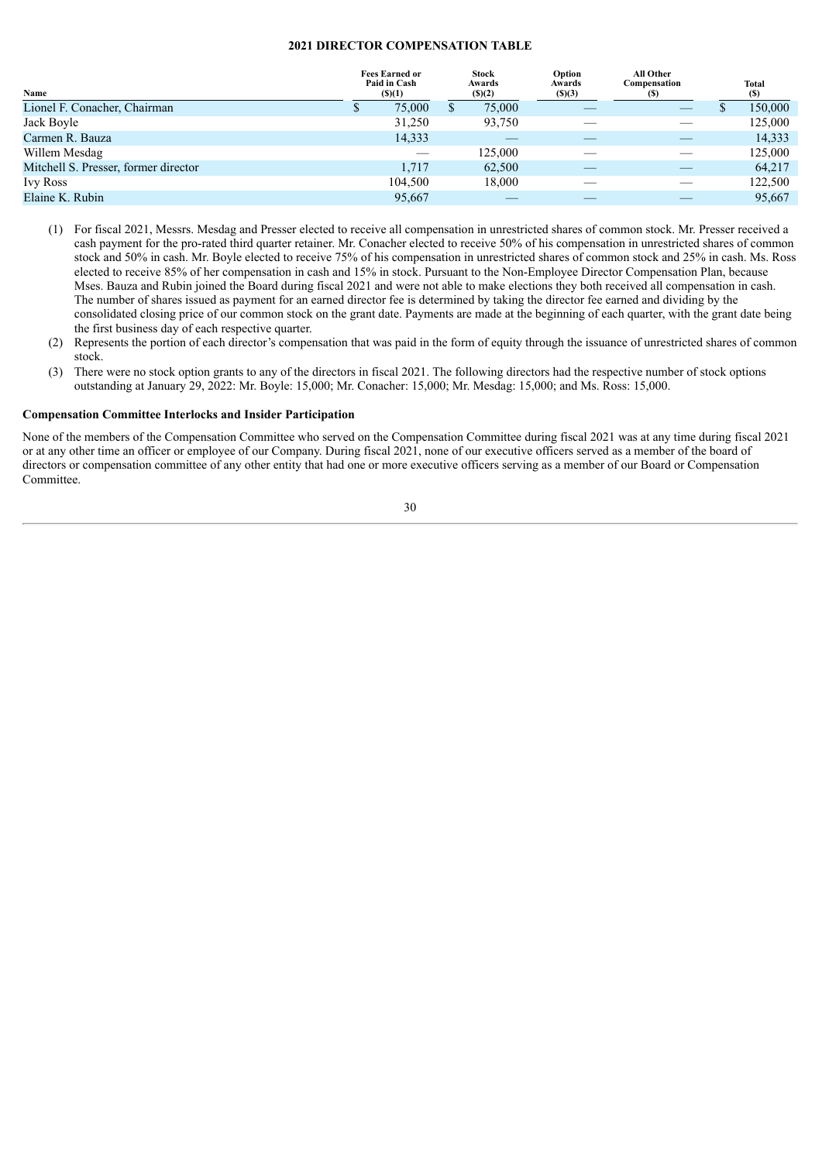## **2021 DIRECTOR COMPENSATION TABLE**

| Name                                 | <b>Fees Earned or</b><br>Paid in Cash<br>$($ (\$)(1) |         | <b>Stock</b><br>Awards<br>$($ (\$) $(2)$ | Option<br>Awards<br>(S)(3) | All Other<br>Compensation<br>$\bf(5)$ | Total<br>(S) |
|--------------------------------------|------------------------------------------------------|---------|------------------------------------------|----------------------------|---------------------------------------|--------------|
| Lionel F. Conacher, Chairman         |                                                      | 75,000  | 75,000                                   |                            |                                       | 150,000      |
| Jack Boyle                           |                                                      | 31,250  | 93,750                                   |                            |                                       | 125,000      |
| Carmen R. Bauza                      |                                                      | 14,333  |                                          |                            |                                       | 14,333       |
| Willem Mesdag                        |                                                      |         | 125.000                                  |                            |                                       | 125,000      |
| Mitchell S. Presser, former director |                                                      | 1.717   | 62,500                                   |                            |                                       | 64.217       |
| <b>Ivy Ross</b>                      |                                                      | 104,500 | 18,000                                   |                            |                                       | 122,500      |
| Elaine K. Rubin                      |                                                      | 95,667  |                                          |                            |                                       | 95,667       |
|                                      |                                                      |         |                                          |                            |                                       |              |

- (1) For fiscal 2021, Messrs. Mesdag and Presser elected to receive all compensation in unrestricted shares of common stock. Mr. Presser received a cash payment for the pro-rated third quarter retainer. Mr. Conacher elected to receive 50% of his compensation in unrestricted shares of common stock and 50% in cash. Mr. Boyle elected to receive 75% of his compensation in unrestricted shares of common stock and 25% in cash. Ms. Ross elected to receive 85% of her compensation in cash and 15% in stock. Pursuant to the Non-Employee Director Compensation Plan, because Mses. Bauza and Rubin joined the Board during fiscal 2021 and were not able to make elections they both received all compensation in cash. The number of shares issued as payment for an earned director fee is determined by taking the director fee earned and dividing by the consolidated closing price of our common stock on the grant date. Payments are made at the beginning of each quarter, with the grant date being the first business day of each respective quarter.
- (2) Represents the portion of each director's compensation that was paid in the form of equity through the issuance of unrestricted shares of common stock.
- (3) There were no stock option grants to any of the directors in fiscal 2021. The following directors had the respective number of stock options outstanding at January 29, 2022: Mr. Boyle: 15,000; Mr. Conacher: 15,000; Mr. Mesdag: 15,000; and Ms. Ross: 15,000.

## **Compensation Committee Interlocks and Insider Participation**

None of the members of the Compensation Committee who served on the Compensation Committee during fiscal 2021 was at any time during fiscal 2021 or at any other time an officer or employee of our Company. During fiscal 2021, none of our executive officers served as a member of the board of directors or compensation committee of any other entity that had one or more executive officers serving as a member of our Board or Compensation Committee.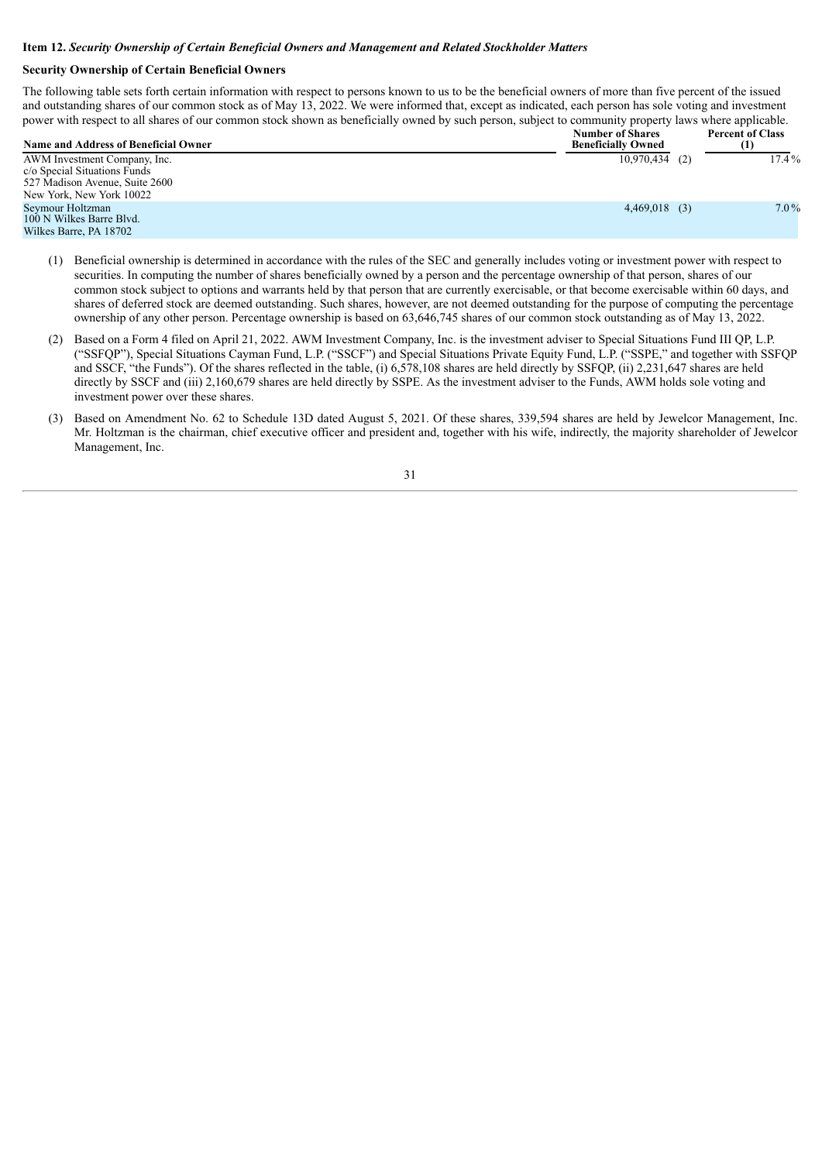#### <span id="page-30-0"></span>**Item 12.** *Security Ownership of Certain Beneficial Owners and Management and Related Stockholder Matters*

## **Security Ownership of Certain Beneficial Owners**

The following table sets forth certain information with respect to persons known to us to be the beneficial owners of more than five percent of the issued and outstanding shares of our common stock as of May 13, 2022. We were informed that, except as indicated, each person has sole voting and investment power with respect to all shares of our common stock shown as beneficially owned by such person, subject to community property laws where applicable.

| <b>Name and Address of Beneficial Owner</b>                                                    | <b>Number of Shares</b><br><b>Beneficially Owned</b> | <b>Percent of Class</b><br>(1) |
|------------------------------------------------------------------------------------------------|------------------------------------------------------|--------------------------------|
| AWM Investment Company, Inc.<br>c/o Special Situations Funds<br>527 Madison Avenue, Suite 2600 | $10,970,434$ (2)                                     | $17.4\%$                       |
| New York, New York 10022                                                                       |                                                      |                                |
| Seymour Holtzman<br>100 N Wilkes Barre Blvd.<br>Wilkes Barre, PA 18702                         | $4,469,018$ (3)                                      | $7.0\%$                        |

- (1) Beneficial ownership is determined in accordance with the rules of the SEC and generally includes voting or investment power with respect to securities. In computing the number of shares beneficially owned by a person and the percentage ownership of that person, shares of our common stock subject to options and warrants held by that person that are currently exercisable, or that become exercisable within 60 days, and shares of deferred stock are deemed outstanding. Such shares, however, are not deemed outstanding for the purpose of computing the percentage ownership of any other person. Percentage ownership is based on 63,646,745 shares of our common stock outstanding as of May 13, 2022.
- (2) Based on a Form 4 filed on April 21, 2022. AWM Investment Company, Inc. is the investment adviser to Special Situations Fund III QP, L.P. ("SSFQP"), Special Situations Cayman Fund, L.P. ("SSCF") and Special Situations Private Equity Fund, L.P. ("SSPE," and together with SSFQP and SSCF, "the Funds"). Of the shares reflected in the table, (i) 6,578,108 shares are held directly by SSFQP, (ii) 2,231,647 shares are held directly by SSCF and (iii) 2,160,679 shares are held directly by SSPE. As the investment adviser to the Funds, AWM holds sole voting and investment power over these shares.
- (3) Based on Amendment No. 62 to Schedule 13D dated August 5, 2021. Of these shares, 339,594 shares are held by Jewelcor Management, Inc. Mr. Holtzman is the chairman, chief executive officer and president and, together with his wife, indirectly, the majority shareholder of Jewelcor Management, Inc.

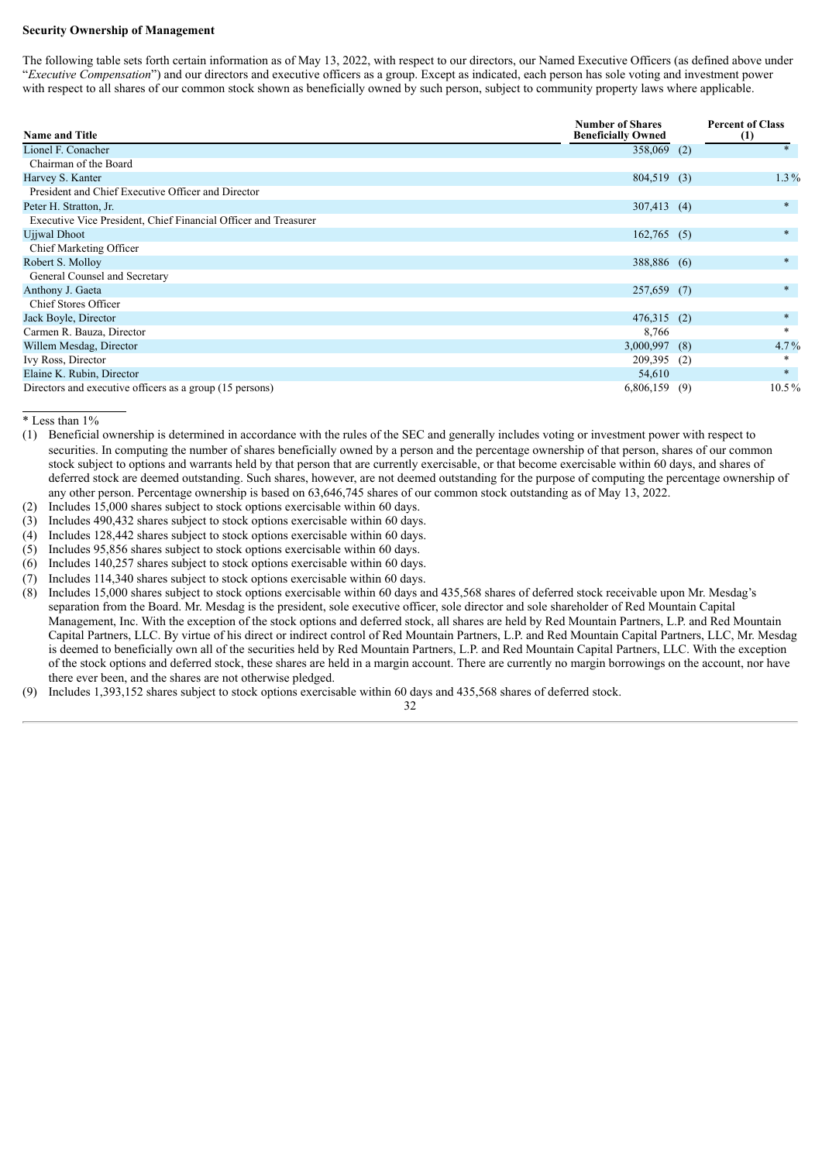#### **Security Ownership of Management**

The following table sets forth certain information as of May 13, 2022, with respect to our directors, our Named Executive Officers (as defined above under "*Executive Compensation*") and our directors and executive officers as a group. Except as indicated, each person has sole voting and investment power with respect to all shares of our common stock shown as beneficially owned by such person, subject to community property laws where applicable.

| <b>Name and Title</b>                                           | <b>Number of Shares</b><br><b>Beneficially Owned</b> |     | <b>Percent of Class</b><br>(1) |
|-----------------------------------------------------------------|------------------------------------------------------|-----|--------------------------------|
| Lionel F. Conacher                                              | 358,069 (2)                                          |     | $\ast$                         |
| Chairman of the Board                                           |                                                      |     |                                |
| Harvey S. Kanter                                                | 804,519 (3)                                          |     | $1.3\%$                        |
| President and Chief Executive Officer and Director              |                                                      |     |                                |
| Peter H. Stratton, Jr.                                          | $307,413$ (4)                                        |     | $\ast$                         |
| Executive Vice President, Chief Financial Officer and Treasurer |                                                      |     |                                |
| Ujjwal Dhoot                                                    | $162,765$ (5)                                        |     | $\ast$                         |
| Chief Marketing Officer                                         |                                                      |     |                                |
| Robert S. Molloy                                                | 388,886 (6)                                          |     | $\ast$                         |
| General Counsel and Secretary                                   |                                                      |     |                                |
| Anthony J. Gaeta                                                | 257,659 (7)                                          |     | $\ast$                         |
| Chief Stores Officer                                            |                                                      |     |                                |
| Jack Boyle, Director                                            | $476,315$ (2)                                        |     | $\ast$                         |
| Carmen R. Bauza, Director                                       | 8,766                                                |     | $\ast$                         |
| Willem Mesdag, Director                                         | 3,000,997                                            | (8) | $4.7\%$                        |
| Ivy Ross, Director                                              | 209,395                                              | (2) |                                |
| Elaine K. Rubin, Director                                       | 54,610                                               |     | $\ast$                         |
| Directors and executive officers as a group (15 persons)        | 6,806,159                                            | (9) | $10.5\%$                       |

\* Less than 1%

- (1) Beneficial ownership is determined in accordance with the rules of the SEC and generally includes voting or investment power with respect to securities. In computing the number of shares beneficially owned by a person and the percentage ownership of that person, shares of our common stock subject to options and warrants held by that person that are currently exercisable, or that become exercisable within 60 days, and shares of deferred stock are deemed outstanding. Such shares, however, are not deemed outstanding for the purpose of computing the percentage ownership of any other person. Percentage ownership is based on 63,646,745 shares of our common stock outstanding as of May 13, 2022.
- (2) Includes 15,000 shares subject to stock options exercisable within 60 days.
- (3) Includes 490,432 shares subject to stock options exercisable within 60 days.
- (4) Includes 128,442 shares subject to stock options exercisable within 60 days.
- (5) Includes 95,856 shares subject to stock options exercisable within 60 days.
- (6) Includes 140,257 shares subject to stock options exercisable within 60 days.
- (7) Includes 114,340 shares subject to stock options exercisable within 60 days.
- (8) Includes 15,000 shares subject to stock options exercisable within 60 days and 435,568 shares of deferred stock receivable upon Mr. Mesdag's separation from the Board. Mr. Mesdag is the president, sole executive officer, sole director and sole shareholder of Red Mountain Capital Management, Inc. With the exception of the stock options and deferred stock, all shares are held by Red Mountain Partners, L.P. and Red Mountain Capital Partners, LLC. By virtue of his direct or indirect control of Red Mountain Partners, L.P. and Red Mountain Capital Partners, LLC, Mr. Mesdag is deemed to beneficially own all of the securities held by Red Mountain Partners, L.P. and Red Mountain Capital Partners, LLC. With the exception of the stock options and deferred stock, these shares are held in a margin account. There are currently no margin borrowings on the account, nor have there ever been, and the shares are not otherwise pledged.

32

(9) Includes 1,393,152 shares subject to stock options exercisable within 60 days and 435,568 shares of deferred stock.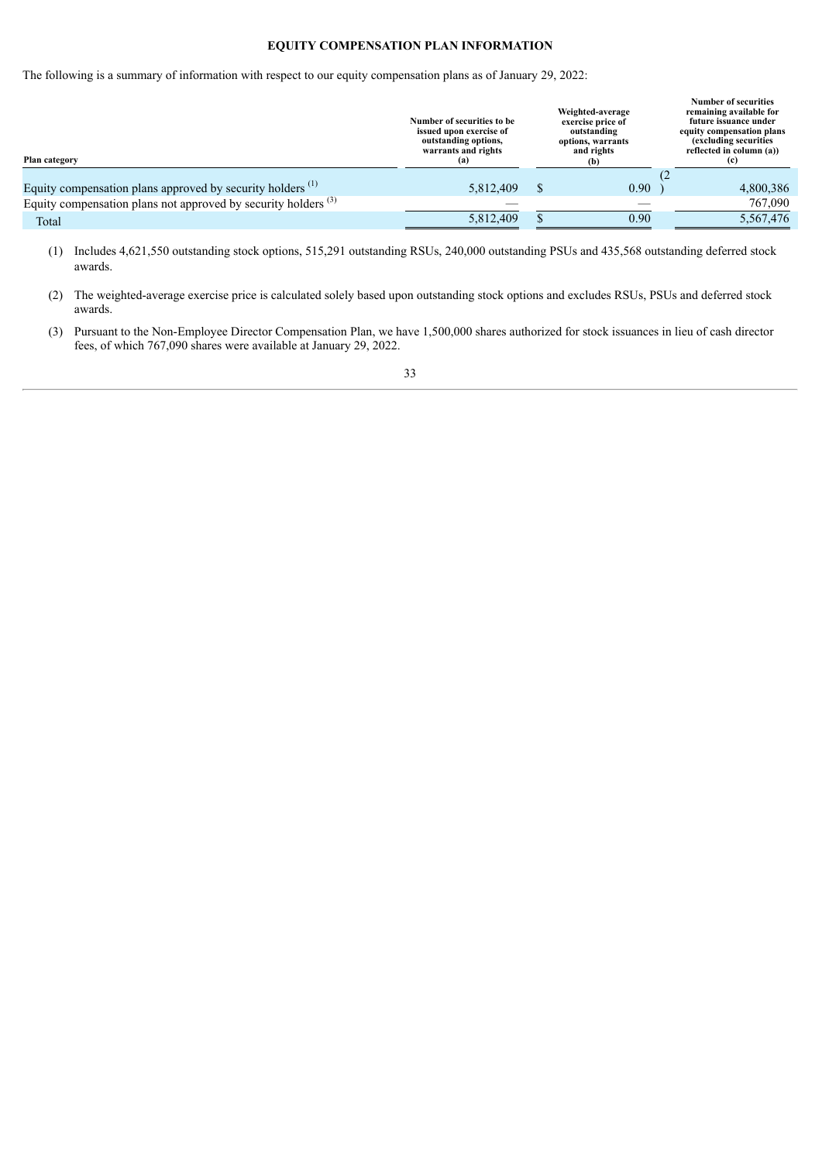## **EQUITY COMPENSATION PLAN INFORMATION**

The following is a summary of information with respect to our equity compensation plans as of January 29, 2022:

| Number of securities to be<br>issued upon exercise of<br>outstanding options,<br>warrants and rights<br>(a) | Weighted-average<br>exercise price of<br>outstanding<br>options, warrants<br>and rights<br>(b) |      | <b>Number of securities</b><br>remaining available for<br>future issuance under<br>equity compensation plans<br>(excluding securities)<br>reflected in column (a))<br>(c) |
|-------------------------------------------------------------------------------------------------------------|------------------------------------------------------------------------------------------------|------|---------------------------------------------------------------------------------------------------------------------------------------------------------------------------|
|                                                                                                             |                                                                                                |      |                                                                                                                                                                           |
| 5,812,409                                                                                                   |                                                                                                | 0.90 | 4,800,386                                                                                                                                                                 |
|                                                                                                             |                                                                                                |      | 767,090                                                                                                                                                                   |
| 5,812,409                                                                                                   |                                                                                                | 0.90 | 5,567,476                                                                                                                                                                 |
|                                                                                                             |                                                                                                |      |                                                                                                                                                                           |

(1) Includes 4,621,550 outstanding stock options, 515,291 outstanding RSUs, 240,000 outstanding PSUs and 435,568 outstanding deferred stock awards.

(2) The weighted-average exercise price is calculated solely based upon outstanding stock options and excludes RSUs, PSUs and deferred stock awards.

(3) Pursuant to the Non-Employee Director Compensation Plan, we have 1,500,000 shares authorized for stock issuances in lieu of cash director fees, of which 767,090 shares were available at January 29, 2022.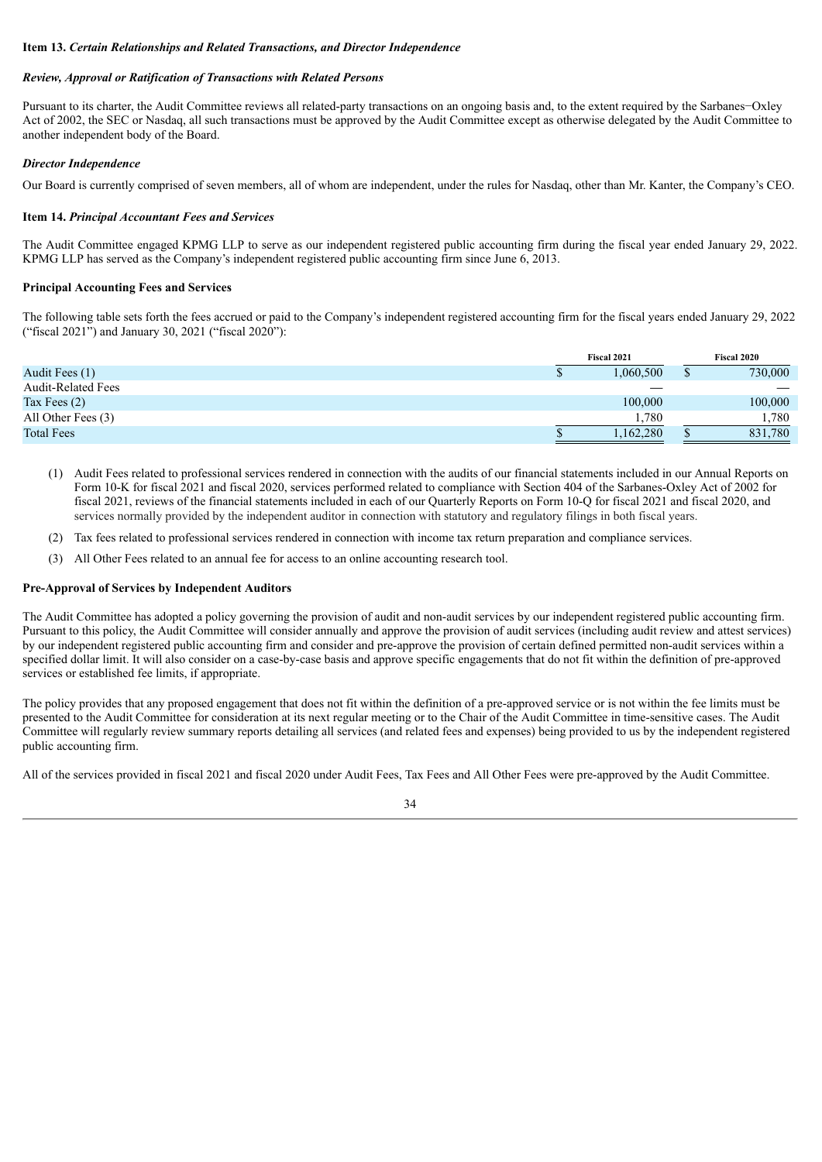### <span id="page-33-0"></span>**Item 13.** *Certain Relationships and Related Transactions, and Director Independence*

### *Review, Approval or Ratification of Transactions with Related Persons*

Pursuant to its charter, the Audit Committee reviews all related-party transactions on an ongoing basis and, to the extent required by the Sarbanes−Oxley Act of 2002, the SEC or Nasdaq, all such transactions must be approved by the Audit Committee except as otherwise delegated by the Audit Committee to another independent body of the Board.

## *Director Independence*

Our Board is currently comprised of seven members, all of whom are independent, under the rules for Nasdaq, other than Mr. Kanter, the Company's CEO.

## <span id="page-33-1"></span>**Item 14.** *Principal Accountant Fees and Services*

The Audit Committee engaged KPMG LLP to serve as our independent registered public accounting firm during the fiscal year ended January 29, 2022. KPMG LLP has served as the Company's independent registered public accounting firm since June 6, 2013.

#### **Principal Accounting Fees and Services**

The following table sets forth the fees accrued or paid to the Company's independent registered accounting firm for the fiscal years ended January 29, 2022 ("fiscal 2021") and January 30, 2021 ("fiscal 2020"):

|                           |   | Fiscal 2021 | <b>Fiscal 2020</b> |         |  |
|---------------------------|---|-------------|--------------------|---------|--|
| Audit Fees (1)            | Φ | .060.500    | Φ                  | 730,000 |  |
| <b>Audit-Related Fees</b> |   |             |                    |         |  |
| Tax Fees $(2)$            |   | 100,000     |                    | 100,000 |  |
| All Other Fees (3)        |   | .780        |                    | 1,780   |  |
| <b>Total Fees</b>         |   | .162,280    |                    | 831,780 |  |

- (1) Audit Fees related to professional services rendered in connection with the audits of our financial statements included in our Annual Reports on Form 10-K for fiscal 2021 and fiscal 2020, services performed related to compliance with Section 404 of the Sarbanes-Oxley Act of 2002 for fiscal 2021, reviews of the financial statements included in each of our Quarterly Reports on Form 10-Q for fiscal 2021 and fiscal 2020, and services normally provided by the independent auditor in connection with statutory and regulatory filings in both fiscal years.
- (2) Tax fees related to professional services rendered in connection with income tax return preparation and compliance services.
- (3) All Other Fees related to an annual fee for access to an online accounting research tool.

#### **Pre-Approval of Services by Independent Auditors**

The Audit Committee has adopted a policy governing the provision of audit and non-audit services by our independent registered public accounting firm. Pursuant to this policy, the Audit Committee will consider annually and approve the provision of audit services (including audit review and attest services) by our independent registered public accounting firm and consider and pre-approve the provision of certain defined permitted non-audit services within a specified dollar limit. It will also consider on a case-by-case basis and approve specific engagements that do not fit within the definition of pre-approved services or established fee limits, if appropriate.

The policy provides that any proposed engagement that does not fit within the definition of a pre-approved service or is not within the fee limits must be presented to the Audit Committee for consideration at its next regular meeting or to the Chair of the Audit Committee in time-sensitive cases. The Audit Committee will regularly review summary reports detailing all services (and related fees and expenses) being provided to us by the independent registered public accounting firm.

All of the services provided in fiscal 2021 and fiscal 2020 under Audit Fees, Tax Fees and All Other Fees were pre-approved by the Audit Committee.

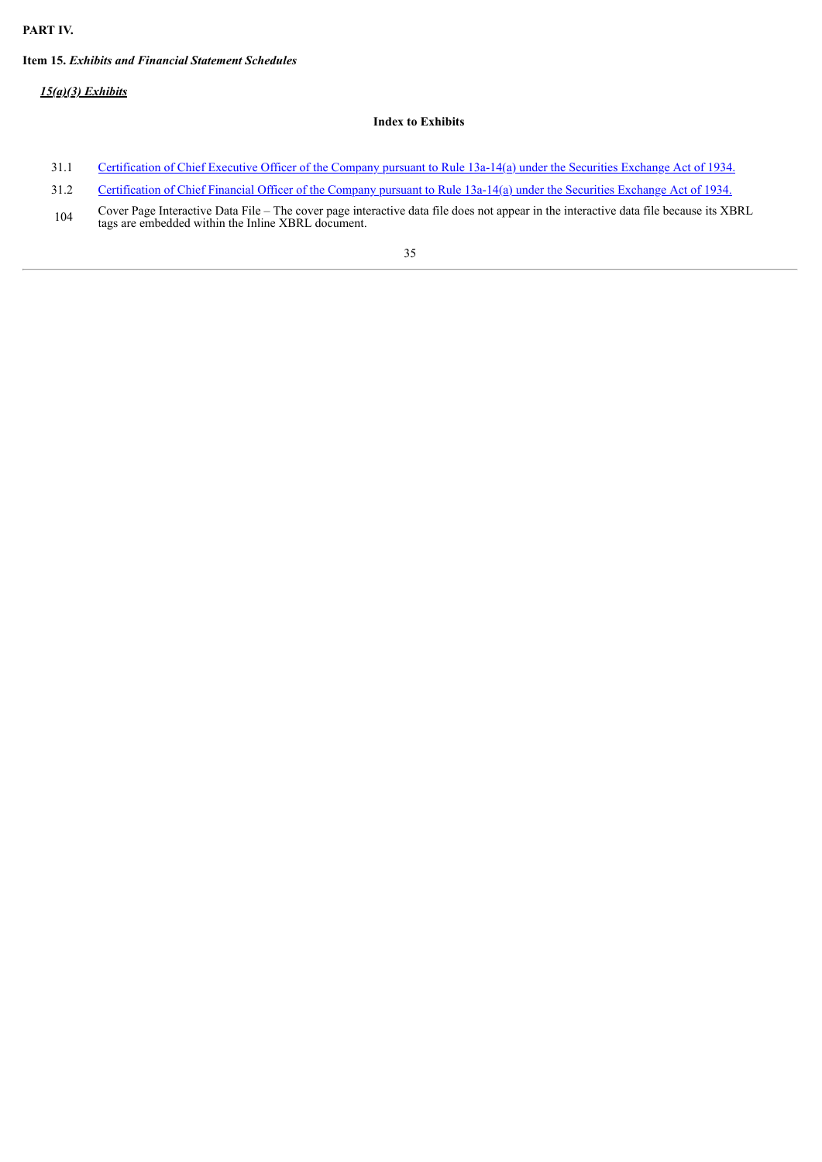## **PART IV.**

## <span id="page-34-0"></span>**Item 15.** *Exhibits and Financial Statement Schedules*

*15(a)(3) Exhibits*

## **Index to Exhibits**

- 31.1 [Certification](#page-36-0) of Chief Executive Officer of the Company pursuant to Rule 13a-14(a) under the Securities Exchange Act of 1934.
- 31.2 [Certification](#page-37-0) of Chief Financial Officer of the Company pursuant to Rule 13a-14(a) under the Securities Exchange Act of 1934.
- 104 Cover Page Interactive Data File – The cover page interactive data file does not appear in the interactive data file because its XBRL tags are embedded within the Inline XBRL document.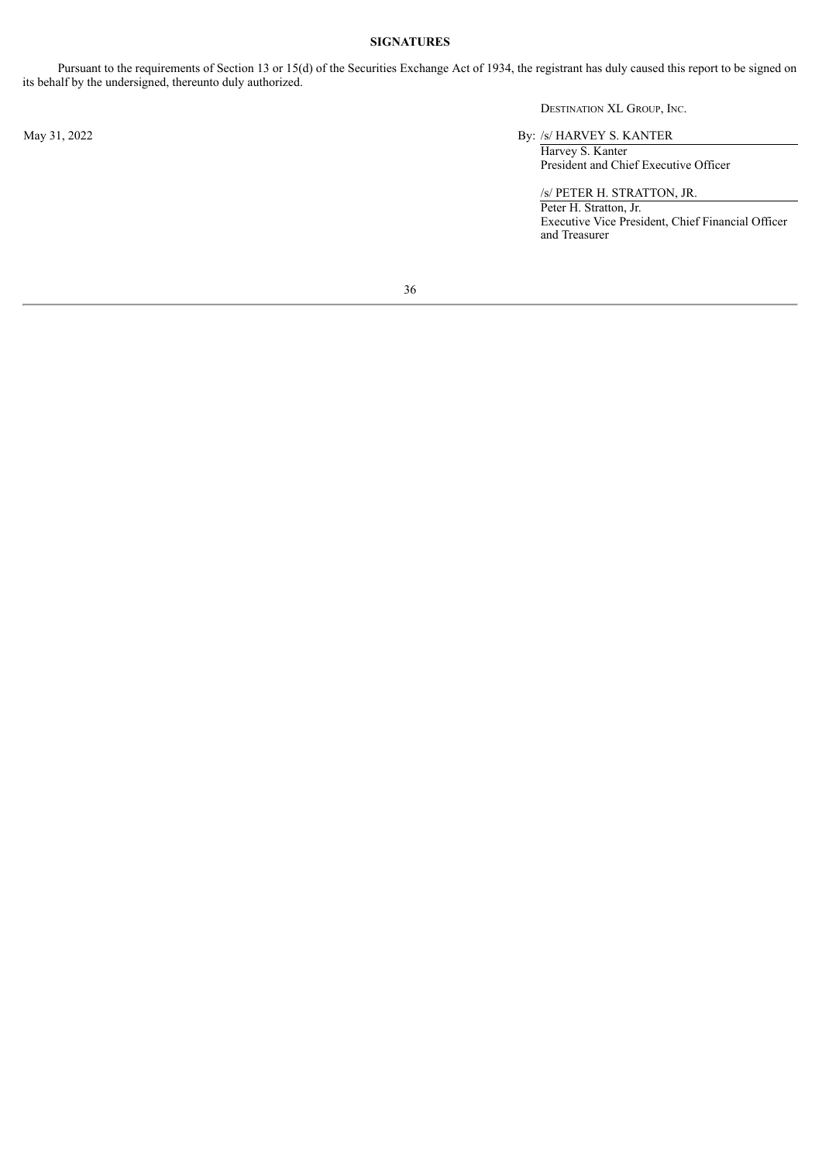## **SIGNATURES**

<span id="page-35-0"></span>Pursuant to the requirements of Section 13 or 15(d) of the Securities Exchange Act of 1934, the registrant has duly caused this report to be signed on its behalf by the undersigned, thereunto duly authorized.

DESTINATION XL GROUP, INC.

May 31, 2022 By: /s/ HARVEY S. KANTER

Harvey S. Kanter President and Chief Executive Officer

/s/ PETER H. STRATTON, JR. Peter H. Stratton, Jr. Executive Vice President, Chief Financial Officer and Treasurer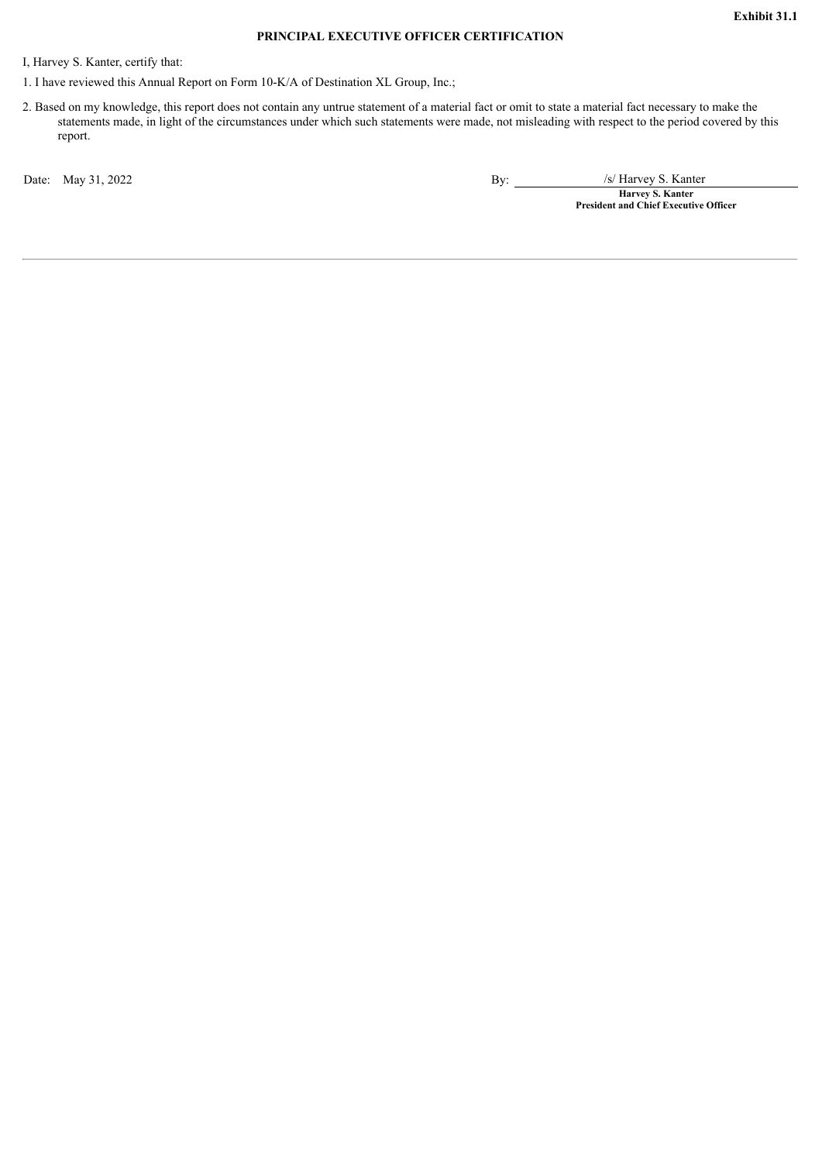## **PRINCIPAL EXECUTIVE OFFICER CERTIFICATION**

<span id="page-36-0"></span>I, Harvey S. Kanter, certify that:

1. I have reviewed this Annual Report on Form 10-K/A of Destination XL Group, Inc.;

2. Based on my knowledge, this report does not contain any untrue statement of a material fact or omit to state a material fact necessary to make the statements made, in light of the circumstances under which such statements were made, not misleading with respect to the period covered by this report.

Date: May 31, 2022 **By:** /s/ Harvey S. Kanter

**Harvey S. Kanter President and Chief Executive Officer**